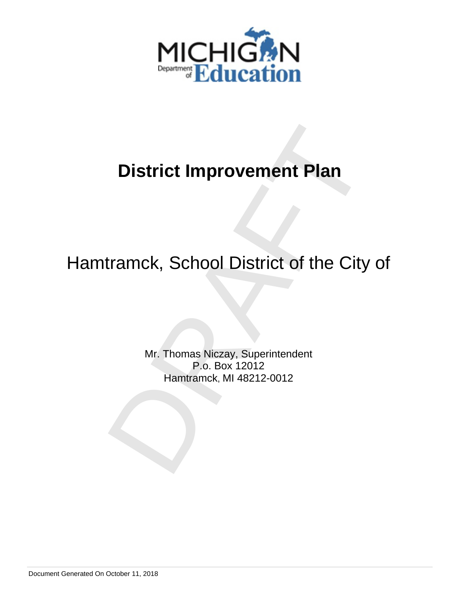

# Hamtramck, School District of the City of

District Improvement Plan<br>tramck, School District of the City of<br>Mr. Thomas Niczay, Superintendent<br>P.o. Box 12012<br>Hamtramck, MI 48212-0012 Mr. Thomas Niczay, Superintendent P.o. Box 12012 Hamtramck, MI 48212-0012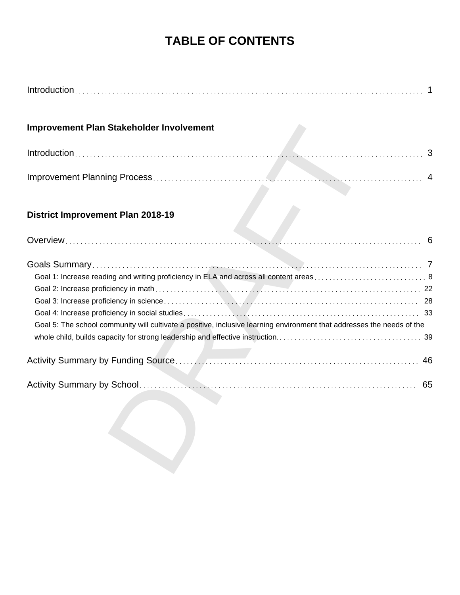# **TABLE OF CONTENTS**

| Improvement Plan Stakeholder Involvement                                                                                                                                                                         |    |
|------------------------------------------------------------------------------------------------------------------------------------------------------------------------------------------------------------------|----|
|                                                                                                                                                                                                                  | 3  |
|                                                                                                                                                                                                                  |    |
| <b>District Improvement Plan 2018-19</b>                                                                                                                                                                         |    |
|                                                                                                                                                                                                                  | 6  |
| Goal 1: Increase reading and writing proficiency in ELA and across all content areas 8<br>Goal 5: The school community will cultivate a positive, inclusive learning environment that addresses the needs of the |    |
|                                                                                                                                                                                                                  | 46 |
|                                                                                                                                                                                                                  | 65 |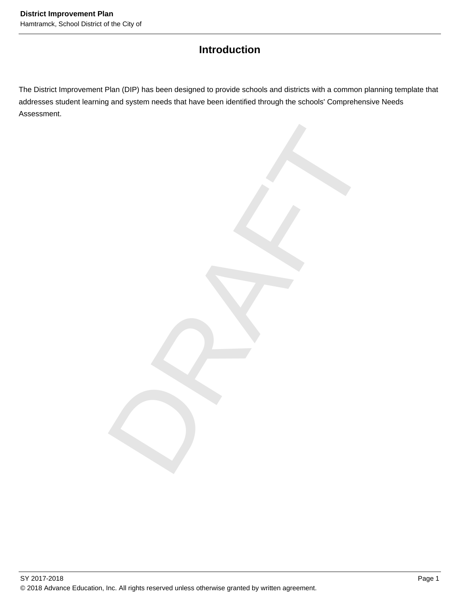# **Introduction**

The District Improvement Plan (DIP) has been designed to provide schools and districts with a common planning template that addresses student learning and system needs that have been identified through the schools' Comprehensive Needs Assessment.

DRAFT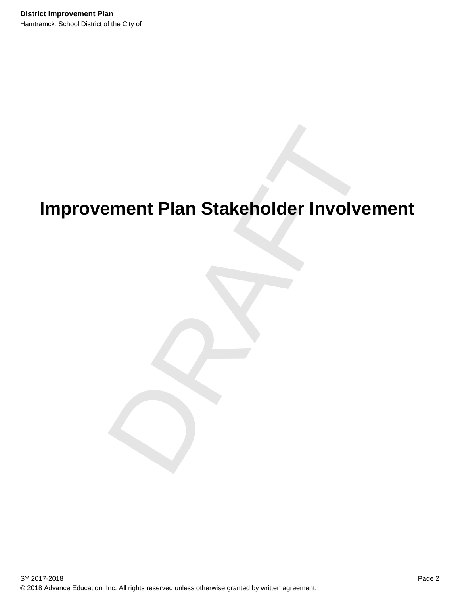# ement Plan Stakeholder Involveme<br>Drama<br>Drama<br>Drama<br>Drama<br>Drama<br>Drama<br>Drama<br>Drama<br>Drama<br>Drama<br>Drama<br>Drama<br>Drama<br>Drama<br>Drama<br>Drama<br>Drama<br>Drama<br>Drama<br>Drama<br>Drama<br>Drama<br>Drama<br>Drama<br>Drama<br>Drama<br>Drama<br>Drama<br>Drama<br>Drama<br>Drama<br>Dra **Improvement Plan Stakeholder Involvement**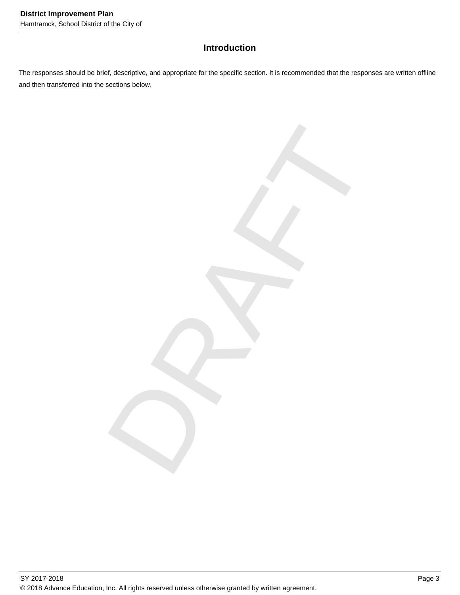# **Introduction**

The responses should be brief, descriptive, and appropriate for the specific section. It is recommended that the responses are written offline and then transferred into the sections below.

DRAFT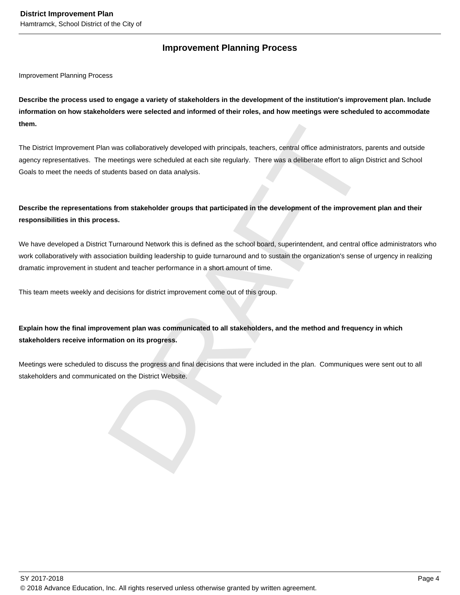# **Improvement Planning Process**

Improvement Planning Process

**Describe the process used to engage a variety of stakeholders in the development of the institution's improvement plan. Include information on how stakeholders were selected and informed of their roles, and how meetings were scheduled to accommodate them.** 

The District Improvement Plan was collaboratively developed with principals, teachers, central office administrators, parents and outside agency representatives. The meetings were scheduled at each site regularly. There was a deliberate effort to align District and School Goals to meet the needs of students based on data analysis.

# **Describe the representations from stakeholder groups that participated in the development of the improvement plan and their responsibilities in this process.**

In was collaboratively developed with principals, teachers, central office administrators, parents an metrings were scheduled at each site regularly. There was a deliberate effort to align District and metrings were schedu We have developed a District Turnaround Network this is defined as the school board, superintendent, and central office administrators who work collaboratively with association building leadership to guide turnaround and to sustain the organization's sense of urgency in realizing dramatic improvement in student and teacher performance in a short amount of time.

This team meets weekly and decisions for district improvement come out of this group.

# **Explain how the final improvement plan was communicated to all stakeholders, and the method and frequency in which stakeholders receive information on its progress.**

Meetings were scheduled to discuss the progress and final decisions that were included in the plan. Communiques were sent out to all stakeholders and communicated on the District Website.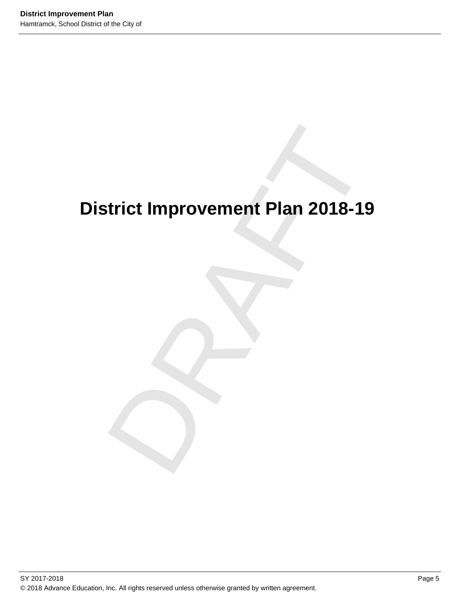# trict Improvement Plan 2018-19 **District Improvement Plan 2018-19**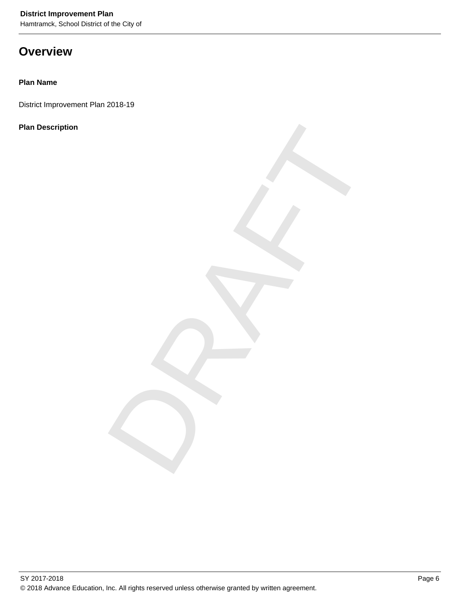Hamtramck, School District of the City of

# **Overview**

# **Plan Name**

District Improvement Plan 2018-19

# **Plan Description**

DRAFT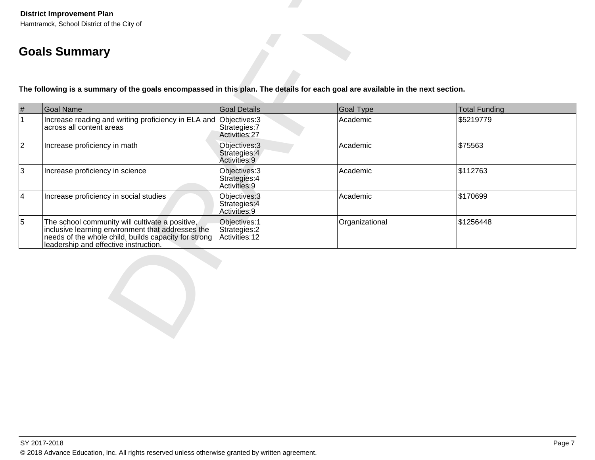|                 | Hamtramck, School District of the City of<br><b>Goals Summary</b>                                                                                                                                     |                                                  |                  |                      |  |  |  |  |  |  |  |  |
|-----------------|-------------------------------------------------------------------------------------------------------------------------------------------------------------------------------------------------------|--------------------------------------------------|------------------|----------------------|--|--|--|--|--|--|--|--|
|                 | The following is a summary of the goals encompassed in this plan. The details for each goal are available in the next section.                                                                        |                                                  |                  |                      |  |  |  |  |  |  |  |  |
| #               | <b>Goal Name</b>                                                                                                                                                                                      | Goal Details                                     | <b>Goal Type</b> | <b>Total Funding</b> |  |  |  |  |  |  |  |  |
| $\mathbf{1}$    | Increase reading and writing proficiency in ELA and Objectives: 3<br>across all content areas                                                                                                         | Strategies: 7<br>Activities: 27                  | Academic         | \$5219779            |  |  |  |  |  |  |  |  |
| $ 2\rangle$     | Increase proficiency in math                                                                                                                                                                          | Objectives: 3<br>Strategies: 4<br>Activities: 9  | Academic         | \$75563              |  |  |  |  |  |  |  |  |
| $ 3\rangle$     | Increase proficiency in science                                                                                                                                                                       | Objectives: 3<br>Strategies: 4<br>Activities: 9  | Academic         | \$112763             |  |  |  |  |  |  |  |  |
| $\vert 4 \vert$ | Increase proficiency in social studies                                                                                                                                                                | Objectives: 3<br>Strategies: 4<br>Activities: 9  | Academic         | \$170699             |  |  |  |  |  |  |  |  |
| $\overline{5}$  | The school community will cultivate a positive,<br>inclusive learning environment that addresses the<br>needs of the whole child, builds capacity for strong<br>leadership and effective instruction. | Objectives: 1<br>Strategies: 2<br>Activities: 12 | Organizational   | \$1256448            |  |  |  |  |  |  |  |  |
|                 |                                                                                                                                                                                                       |                                                  |                  |                      |  |  |  |  |  |  |  |  |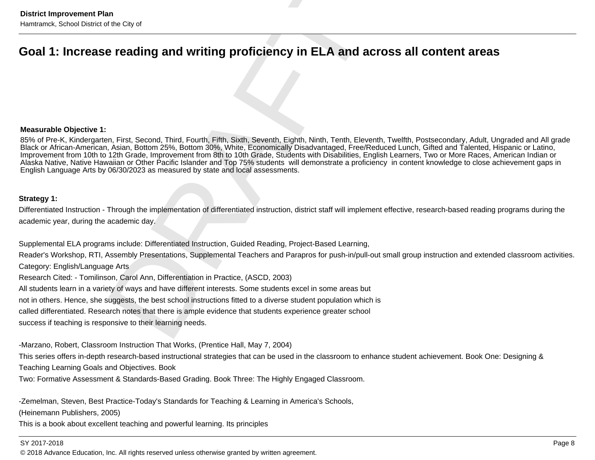### **Measurable Objective 1:**

District Improvement Plan<br> **Goal 1:** Increase reading and writing proficiency in ELA and across all content areas<br>
Measurable Objective t:<br>
Measurable Objective t:<br>
Measurable Objective t:<br>
Measurable Objective t:<br>
Measura 85% of Pre-K, Kindergarten, First, Second, Third, Fourth, Fifth, Sixth, Seventh, Eighth, Ninth, Tenth, Eleventh, Twelfth, Postsecondary, Adult, Ungraded and All gradeBlack or African-American, Asian, Bottom 25%, Bottom 30%, White, Economically Disadvantaged, Free/Reduced Lunch, Gifted and Talented, Hispanic or Latino,<br>Improvement from 10th to 12th Grade, Improvement from 8th to 10th Gr Alaska Native, Native Hawaiian or Other Pacific Islander and Top 75% students will demonstrate a proficiency in content knowledge to close achievement gaps inEnglish Language Arts by 06/30/2023 as measured by state and local assessments.

-Marzano, Robert, Classroom Instruction That Works, (Prentice Hall, May 7, 2004)

This series offers in-depth research-based instructional strategies that can be used in the classroom to enhance student achievement. Book One: Designing &Teaching Learning Goals and Objectives. Book

Two: Formative Assessment & Standards-Based Grading. Book Three: The Highly Engaged Classroom.

-Zemelman, Steven, Best Practice-Today's Standards for Teaching & Learning in America's Schools,

(Heinemann Publishers, 2005)

This is a book about excellent teaching and powerful learning. Its principles

### SY 2017-2018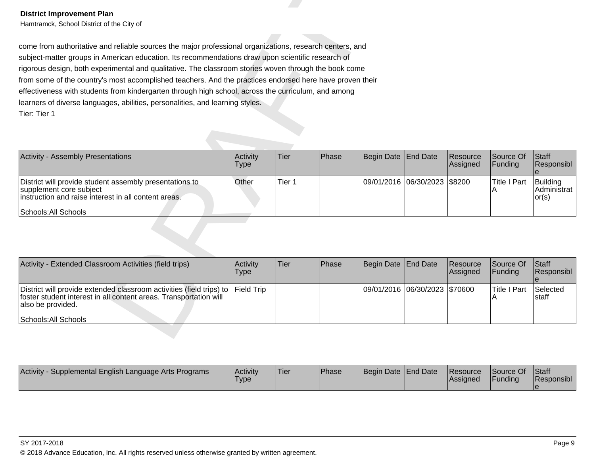| <b>District Improvement Plan</b><br>Hamtramck, School District of the City of                                                                                                                                                                                                                                                                                                                                                                                                                                                                                                                                                              |                         |                   |       |            |                 |                      |                          |                                            |
|--------------------------------------------------------------------------------------------------------------------------------------------------------------------------------------------------------------------------------------------------------------------------------------------------------------------------------------------------------------------------------------------------------------------------------------------------------------------------------------------------------------------------------------------------------------------------------------------------------------------------------------------|-------------------------|-------------------|-------|------------|-----------------|----------------------|--------------------------|--------------------------------------------|
| come from authoritative and reliable sources the major professional organizations, research centers, and<br>subject-matter groups in American education. Its recommendations draw upon scientific research of<br>rigorous design, both experimental and qualitative. The classroom stories woven through the book come<br>from some of the country's most accomplished teachers. And the practices endorsed here have proven their<br>effectiveness with students from kindergarten through high school, across the curriculum, and among<br>learners of diverse languages, abilities, personalities, and learning styles.<br>Tier: Tier 1 |                         |                   |       |            |                 |                      |                          |                                            |
| <b>Activity - Assembly Presentations</b>                                                                                                                                                                                                                                                                                                                                                                                                                                                                                                                                                                                                   | Activity<br><b>Type</b> | Tier              | Phase | Begin Date | <b>End Date</b> | Resource<br>Assigned | Source Of<br>Funding     | <b>Staff</b><br>Responsibl<br>$\mathbf{e}$ |
| District will provide student assembly presentations to<br>supplement core subject<br>instruction and raise interest in all content areas.<br>Schools: All Schools                                                                                                                                                                                                                                                                                                                                                                                                                                                                         | Other                   | Tier <sub>1</sub> |       | 09/01/2016 | 06/30/2023      | \$8200               | <b>Title I Part</b><br>Α | Building<br>Administrat<br>or(s)           |
|                                                                                                                                                                                                                                                                                                                                                                                                                                                                                                                                                                                                                                            |                         |                   |       |            |                 |                      |                          |                                            |
| Activity - Extended Classroom Activities (field trips)                                                                                                                                                                                                                                                                                                                                                                                                                                                                                                                                                                                     | Activity<br><b>Type</b> | Tier              | Phase | Begin Date | <b>End Date</b> | Resource<br>Assigned | Source Of<br>Funding     | Staff<br>Responsibl<br>$\mathbf{e}$        |
| District will provide extended classroom activities (field trips) to<br>foster student interest in all content areas. Transportation will<br>also be provided.                                                                                                                                                                                                                                                                                                                                                                                                                                                                             | <b>Field Trip</b>       |                   |       | 09/01/2016 | 06/30/2023      | \$70600              | <b>Title I Part</b><br>Α | Selected<br>staff                          |

| Activity - Extended Classroom Activities (field trips)                                                                                                                                            | <b>Activity</b><br>Type | lTier∶ | <b>Phase</b> | Begin Date   End Date         | Resource<br>Assigned | Source Of<br><b>IFunding</b> | <b>Staff</b><br>Responsibl |
|---------------------------------------------------------------------------------------------------------------------------------------------------------------------------------------------------|-------------------------|--------|--------------|-------------------------------|----------------------|------------------------------|----------------------------|
| District will provide extended classroom activities (field trips) to Field Trip<br>foster student interest in all content areas. Transportation will<br>also be provided.<br>Schools: All Schools |                         |        |              | 09/01/2016 06/30/2023 \$70600 |                      | Title I Part                 | Selected<br>Istaff         |

| <b>Activity</b><br>Supplemental English Language Arts Programs | <b>Activity</b><br>Type | 'Tier | <b>Phase</b> | Begin Date End Date | <b>Resource</b><br><b>Assigned</b> | Source Of<br>Funding | Staff<br>Responsibl |
|----------------------------------------------------------------|-------------------------|-------|--------------|---------------------|------------------------------------|----------------------|---------------------|
|                                                                |                         |       |              |                     |                                    |                      |                     |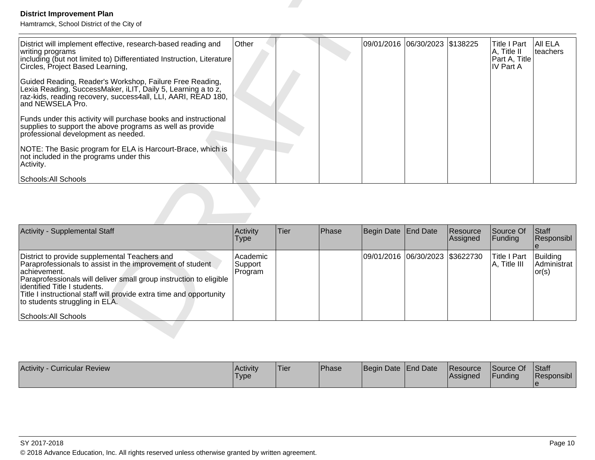| <b>District Improvement Plan</b><br>Hamtramck, School District of the City of                                                                                                                                                                                                                                                                                                                                                                                                                                                                                                                                                                                                                                                         |                                |      |       |                   |                                |                      |                                                                  |                                            |
|---------------------------------------------------------------------------------------------------------------------------------------------------------------------------------------------------------------------------------------------------------------------------------------------------------------------------------------------------------------------------------------------------------------------------------------------------------------------------------------------------------------------------------------------------------------------------------------------------------------------------------------------------------------------------------------------------------------------------------------|--------------------------------|------|-------|-------------------|--------------------------------|----------------------|------------------------------------------------------------------|--------------------------------------------|
| District will implement effective, research-based reading and<br>writing programs<br>including (but not limited to) Differentiated Instruction, Literature<br>Circles, Project Based Learning,<br>Guided Reading, Reader's Workshop, Failure Free Reading,<br>Lexia Reading, SuccessMaker, iLIT, Daily 5, Learning a to z,<br>raz-kids, reading recovery, success4all, LLI, AARI, READ 180,<br>and NEWSELA Pro.<br>Funds under this activity will purchase books and instructional<br>supplies to support the above programs as well as provide<br>professional development as needed.<br>NOTE: The Basic program for ELA is Harcourt-Brace, which is<br>not included in the programs under this<br>Activity.<br>Schools: All Schools | Other                          |      |       |                   | 09/01/2016 06/30/2023 \$138225 |                      | <b>Title I Part</b><br>A, Title II<br>Part A, Title<br>IV Part A | All ELA<br>teachers                        |
|                                                                                                                                                                                                                                                                                                                                                                                                                                                                                                                                                                                                                                                                                                                                       |                                |      |       |                   |                                |                      |                                                                  |                                            |
| <b>Activity - Supplemental Staff</b>                                                                                                                                                                                                                                                                                                                                                                                                                                                                                                                                                                                                                                                                                                  | Activity<br><b>Type</b>        | Tier | Phase | <b>Begin Date</b> | End Date                       | Resource<br>Assigned | Source Of<br>Funding                                             | <b>Staff</b><br>Responsibl<br>$\mathbf{e}$ |
| District to provide supplemental Teachers and<br>Paraprofessionals to assist in the improvement of student<br>achievement.<br>Paraprofessionals will deliver small group instruction to eligible<br>identified Title I students.<br>Title I instructional staff will provide extra time and opportunity<br>to students struggling in ELA.<br>Schools: All Schools                                                                                                                                                                                                                                                                                                                                                                     | Academic<br>Support<br>Program |      |       |                   | 09/01/2016 06/30/2023          | \$3622730            | <b>Title I Part</b><br>A, Title III                              | <b>Building</b><br>Administrat<br>or(s)    |
|                                                                                                                                                                                                                                                                                                                                                                                                                                                                                                                                                                                                                                                                                                                                       |                                |      |       |                   |                                |                      |                                                                  |                                            |

| <b>Activity - Supplemental Staff</b>                                                                                                                                                                                                                                                                                                                                | <b>Activity</b><br>Type        | lTier | Phase | Begin Date End Date |                                 | Resource<br>Assigned | <b>Source Of</b><br> Fundina  | <b>Staff</b><br>Responsibl          |
|---------------------------------------------------------------------------------------------------------------------------------------------------------------------------------------------------------------------------------------------------------------------------------------------------------------------------------------------------------------------|--------------------------------|-------|-------|---------------------|---------------------------------|----------------------|-------------------------------|-------------------------------------|
| District to provide supplemental Teachers and<br>Paraprofessionals to assist in the improvement of student<br>lachievement.<br>Paraprofessionals will deliver small group instruction to eligible<br>lidentified Title I students.<br>Title I instructional staff will provide extra time and opportunity<br>to students struggling in ELA.<br>Schools: All Schools | Academic<br>Support<br>Program |       |       |                     | 09/01/2016 06/30/2023 \$3622730 |                      | Title I Part<br>IA. Title III | Building<br>Administrat  <br> or(s) |

| <b>Activity</b><br><b>Curricular Review</b> | Activity<br>Туре | 'Tier | <b>Phase</b> | Begin Date End Date | <b>Resource</b><br><b>Assigned</b> | Source Of<br>Funding | <b>Staff</b><br>Responsibl |
|---------------------------------------------|------------------|-------|--------------|---------------------|------------------------------------|----------------------|----------------------------|
|                                             |                  |       |              |                     |                                    |                      |                            |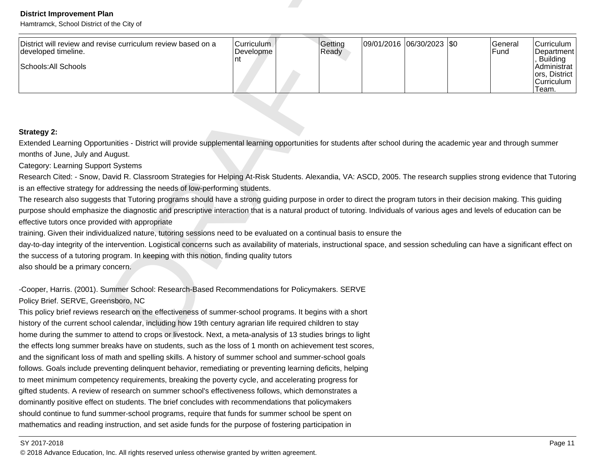| <b>District Improvement Plan</b><br>Hamtramck, School District of the City of                                                                                                 |                                      |                  |            |                    |                 |                                                                                               |
|-------------------------------------------------------------------------------------------------------------------------------------------------------------------------------|--------------------------------------|------------------|------------|--------------------|-----------------|-----------------------------------------------------------------------------------------------|
| District will review and revise curriculum review based on a<br>developed timeline.<br>Schools: All Schools                                                                   | <b>Curriculum</b><br>Developme<br>nt | Getting<br>Ready | 09/01/2016 | $ 06/30/2023 $ \$0 | General<br>Fund | Curriculum<br>Department<br>, Building<br>Administrat<br>ors, District<br>Curriculum<br>Team. |
|                                                                                                                                                                               |                                      |                  |            |                    |                 |                                                                                               |
| <b>Strategy 2:</b>                                                                                                                                                            |                                      |                  |            |                    |                 |                                                                                               |
| Extended Learning Opportunities - District will provide supplemental learning opportunities for students after school during the academic year and through summer             |                                      |                  |            |                    |                 |                                                                                               |
| months of June, July and August.                                                                                                                                              |                                      |                  |            |                    |                 |                                                                                               |
| <b>Category: Learning Support Systems</b>                                                                                                                                     |                                      |                  |            |                    |                 |                                                                                               |
| Research Cited: - Snow, David R. Classroom Strategies for Helping At-Risk Students. Alexandia, VA: ASCD, 2005. The research supplies strong evidence that Tutoring            |                                      |                  |            |                    |                 |                                                                                               |
| is an effective strategy for addressing the needs of low-performing students.                                                                                                 |                                      |                  |            |                    |                 |                                                                                               |
| The research also suggests that Tutoring programs should have a strong guiding purpose in order to direct the program tutors in their decision making. This guiding           |                                      |                  |            |                    |                 |                                                                                               |
| purpose should emphasize the diagnostic and prescriptive interaction that is a natural product of tutoring. Individuals of various ages and levels of education can be        |                                      |                  |            |                    |                 |                                                                                               |
| effective tutors once provided with appropriate                                                                                                                               |                                      |                  |            |                    |                 |                                                                                               |
| training. Given their individualized nature, tutoring sessions need to be evaluated on a continual basis to ensure the                                                        |                                      |                  |            |                    |                 |                                                                                               |
| day-to-day integrity of the intervention. Logistical concerns such as availability of materials, instructional space, and session scheduling can have a significant effect on |                                      |                  |            |                    |                 |                                                                                               |
| the success of a tutoring program. In keeping with this notion, finding quality tutors                                                                                        |                                      |                  |            |                    |                 |                                                                                               |
| also should be a primary concern.                                                                                                                                             |                                      |                  |            |                    |                 |                                                                                               |
| -Cooper, Harris. (2001). Summer School: Research-Based Recommendations for Policymakers. SERVE                                                                                |                                      |                  |            |                    |                 |                                                                                               |
| Policy Brief. SERVE, Greensboro, NC                                                                                                                                           |                                      |                  |            |                    |                 |                                                                                               |
| This policy brief reviews research on the effectiveness of summer-school programs. It begins with a short                                                                     |                                      |                  |            |                    |                 |                                                                                               |
| history of the current school calendar, including how 19th century agrarian life required children to stay                                                                    |                                      |                  |            |                    |                 |                                                                                               |
| home during the summer to attend to crops or livestock. Next, a meta-analysis of 13 studies brings to light                                                                   |                                      |                  |            |                    |                 |                                                                                               |

the effects long summer breaks have on students, such as the loss of 1 month on achievement test scores,and the significant loss of math and spelling skills. A history of summer school and summer-school goalsfollows. Goals include preventing delinquent behavior, remediating or preventing learning deficits, helpingto meet minimum competency requirements, breaking the poverty cycle, and accelerating progress forgifted students. A review of research on summer school's effectiveness follows, which demonstrates adominantly positive effect on students. The brief concludes with recommendations that policymakersshould continue to fund summer-school programs, require that funds for summer school be spent onmathematics and reading instruction, and set aside funds for the purpose of fostering participation in

### SY 2017-2018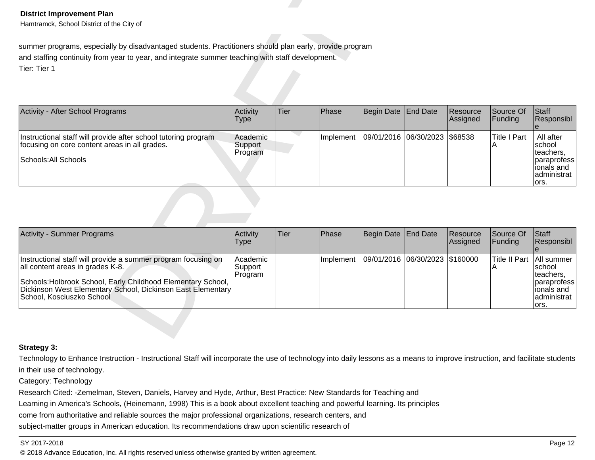| <b>District Improvement Plan</b><br>Hamtramck, School District of the City of                                                                                                                                                                                 |                                |      |           |                        |                 |                      |                           |                                                                                         |
|---------------------------------------------------------------------------------------------------------------------------------------------------------------------------------------------------------------------------------------------------------------|--------------------------------|------|-----------|------------------------|-----------------|----------------------|---------------------------|-----------------------------------------------------------------------------------------|
| summer programs, especially by disadvantaged students. Practitioners should plan early, provide program<br>and staffing continuity from year to year, and integrate summer teaching with staff development.<br>Tier: Tier 1                                   |                                |      |           |                        |                 |                      |                           |                                                                                         |
| Activity - After School Programs                                                                                                                                                                                                                              | Activity<br><b>Type</b>        | Tier | Phase     | <b>Begin Date</b>      | <b>End Date</b> | Resource<br>Assigned | Source Of<br>Funding      | Staff<br>Responsibl                                                                     |
| Instructional staff will provide after school tutoring program<br>focusing on core content areas in all grades.<br>Schools: All Schools                                                                                                                       | Academic<br>Support<br>Program |      | Implement | 09/01/2016 06/30/2023  |                 | \$68538              | <b>Title I Part</b><br>Α  | All after<br>school<br>teachers,<br>paraprofess<br>lionals and<br>administrat<br>lors.  |
|                                                                                                                                                                                                                                                               |                                |      |           |                        |                 |                      |                           |                                                                                         |
| <b>Activity - Summer Programs</b>                                                                                                                                                                                                                             | Activity<br><b>Type</b>        | Tier | Phase     | <b>Begin Date</b>      | <b>End Date</b> | Resource<br>Assigned | Source Of<br>Funding      | Staff<br>Responsibl                                                                     |
| Instructional staff will provide a summer program focusing on<br>all content areas in grades K-8.<br>Schools: Holbrook School, Early Childhood Elementary School,<br>Dickinson West Elementary School, Dickinson East Elementary<br>School, Kosciuszko School | Academic<br>Support<br>Program |      | Implement | 09/01/2016  06/30/2023 |                 | \$160000             | <b>Title II Part</b><br>A | All summer<br>school<br>teachers,<br>paraprofess<br>lionals and<br>administrat<br>lors. |

| Activity - Summer Programs                                                                                                                                                                                                                                    | <b>Activity</b><br>Type        | Tier | <b>IPhase</b>     | Begin Date End Date            | Resource<br>Assigned | Source Of<br><b>IFunding</b>     | <b>Staff</b><br><b>Responsibl</b>                                           |
|---------------------------------------------------------------------------------------------------------------------------------------------------------------------------------------------------------------------------------------------------------------|--------------------------------|------|-------------------|--------------------------------|----------------------|----------------------------------|-----------------------------------------------------------------------------|
| Instructional staff will provide a summer program focusing on<br>all content areas in grades K-8.<br>Schools: Holbrook School, Early Childhood Elementary School,<br>Dickinson West Elementary School, Dickinson East Elementary<br>School, Kosciuszko School | Academic<br>Support<br>Program |      | <b>Ilmplement</b> | 09/01/2016 06/30/2023 \$160000 |                      | <b>Title II Part TAII summer</b> | Ischool<br>Iteachers.<br>paraprofess<br>lionals and<br>administrat<br>lors. |

# **Strategy 3:**

Technology to Enhance Instruction - Instructional Staff will incorporate the use of technology into daily lessons as a means to improve instruction, and facilitate studentsin their use of technology.

Category: Technology

Research Cited: -Zemelman, Steven, Daniels, Harvey and Hyde, Arthur, Best Practice: New Standards for Teaching and

Learning in America's Schools, (Heinemann, 1998) This is a book about excellent teaching and powerful learning. Its principles

come from authoritative and reliable sources the major professional organizations, research centers, and

subject-matter groups in American education. Its recommendations draw upon scientific research of

### SY 2017-2018

en and the set of the set of the set of the set of the set of the set of the set of the set of the set of the set of the set of the set of the set of the set of the set of the set of the set of the set of the set of the se © 2018 Advance Education, Inc. All rights reserved unless otherwise granted by written agreement.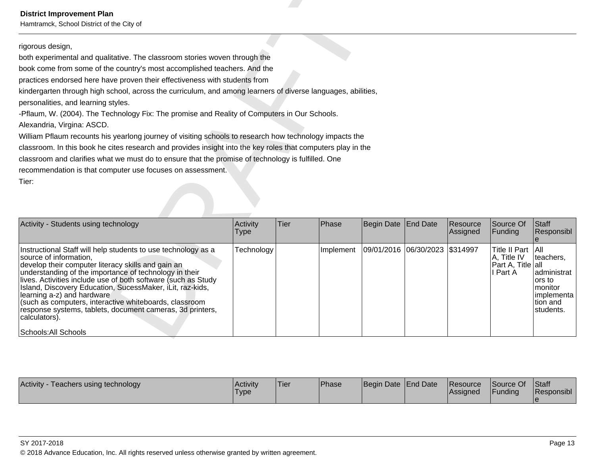Hamtramck, School District of the City of

Detrict Improvement Plan<br>
riginum and qualitative. The disastrom stories weven through the<br>entropy detections and qualitative. The disastrom stories weven through the<br>media of the county mast accompless less describes the

| Activity<br>Teachers using technology | l Acti∨it∨<br>'Type | 'Tier | <b>IPhase</b> | Begin Date End Date |  | <b>Resource</b><br><b>Assigned</b> | Source Of<br>Funding | <b>Staff</b><br>Responsibl |
|---------------------------------------|---------------------|-------|---------------|---------------------|--|------------------------------------|----------------------|----------------------------|
|---------------------------------------|---------------------|-------|---------------|---------------------|--|------------------------------------|----------------------|----------------------------|

### SY 2017-2018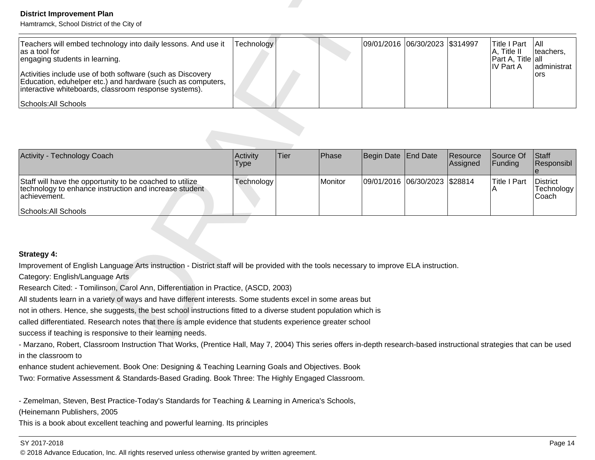| <b>District Improvement Plan</b><br>Hamtramck, School District of the City of                                                                                                                                                                                                                                                  |                  |      |         |            |                       |                      |                                                                             |                                        |
|--------------------------------------------------------------------------------------------------------------------------------------------------------------------------------------------------------------------------------------------------------------------------------------------------------------------------------|------------------|------|---------|------------|-----------------------|----------------------|-----------------------------------------------------------------------------|----------------------------------------|
| Teachers will embed technology into daily lessons. And use it<br>as a tool for<br>engaging students in learning.<br>Activities include use of both software (such as Discovery<br>Education, eduhelper etc.) and hardware (such as computers,<br>interactive whiteboards, classroom response systems).<br>Schools: All Schools | Technology       |      |         | 09/01/2016 | 06/30/2023            | \$314997             | <b>Title I Part</b><br>A, Title II<br>Part A, Title all<br><b>IV Part A</b> | All<br>teachers,<br>administrat<br>ors |
|                                                                                                                                                                                                                                                                                                                                |                  |      |         |            |                       |                      |                                                                             |                                        |
| Activity - Technology Coach                                                                                                                                                                                                                                                                                                    | Activity<br>Type | Tier | Phase   | Begin Date | <b>End Date</b>       | Resource<br>Assigned | Source Of<br>Funding                                                        | Staff<br>Responsibl<br>$\mathbf{e}$    |
| Staff will have the opportunity to be coached to utilize<br>technology to enhance instruction and increase student<br>achievement.<br>Schools: All Schools                                                                                                                                                                     | Technology       |      | Monitor |            | 09/01/2016 06/30/2023 | \$28814              | <b>Title I Part</b><br>A                                                    | <b>District</b><br>Technology<br>Coach |
|                                                                                                                                                                                                                                                                                                                                |                  |      |         |            |                       |                      |                                                                             |                                        |
| <b>Strategy 4:</b>                                                                                                                                                                                                                                                                                                             |                  |      |         |            |                       |                      |                                                                             |                                        |
| Improvement of English Language Arts instruction - District staff will be provided with the tools necessary to improve ELA instruction.                                                                                                                                                                                        |                  |      |         |            |                       |                      |                                                                             |                                        |
| Category: English/Language Arts                                                                                                                                                                                                                                                                                                |                  |      |         |            |                       |                      |                                                                             |                                        |
| Research Cited: - Tomilinson, Carol Ann, Differentiation in Practice, (ASCD, 2003)                                                                                                                                                                                                                                             |                  |      |         |            |                       |                      |                                                                             |                                        |
| All students learn in a variety of ways and have different interests. Some students excel in some areas but                                                                                                                                                                                                                    |                  |      |         |            |                       |                      |                                                                             |                                        |
| not in others. Hence, she suggests, the best school instructions fitted to a diverse student population which is                                                                                                                                                                                                               |                  |      |         |            |                       |                      |                                                                             |                                        |
| called differentiated. Research notes that there is ample evidence that students experience greater school                                                                                                                                                                                                                     |                  |      |         |            |                       |                      |                                                                             |                                        |
| success if teaching is responsive to their learning needs.                                                                                                                                                                                                                                                                     |                  |      |         |            |                       |                      |                                                                             |                                        |

| Activity - Technology Coach                                                                                                                                 | <b>Activity</b><br>Type | lTier | <b>IPhase</b>  | Begin Date End Date           | Resource<br>Assigned | Source Of<br><b>IFunding</b> | <b>Staff</b><br>Responsibl          |
|-------------------------------------------------------------------------------------------------------------------------------------------------------------|-------------------------|-------|----------------|-------------------------------|----------------------|------------------------------|-------------------------------------|
| Staff will have the opportunity to be coached to utilize<br>technology to enhance instruction and increase student<br>lachievement.<br>Schools: All Schools | Technology              |       | <b>Monitor</b> | 09/01/2016 06/30/2023 \$28814 |                      | Title I Part                 | District<br> Technology  <br>lCoach |

- Marzano, Robert, Classroom Instruction That Works, (Prentice Hall, May 7, 2004) This series offers in-depth research-based instructional strategies that can be usedin the classroom to

enhance student achievement. Book One: Designing & Teaching Learning Goals and Objectives. Book

Two: Formative Assessment & Standards-Based Grading. Book Three: The Highly Engaged Classroom.

- Zemelman, Steven, Best Practice-Today's Standards for Teaching & Learning in America's Schools,

(Heinemann Publishers, 2005

This is a book about excellent teaching and powerful learning. Its principles

# SY 2017-2018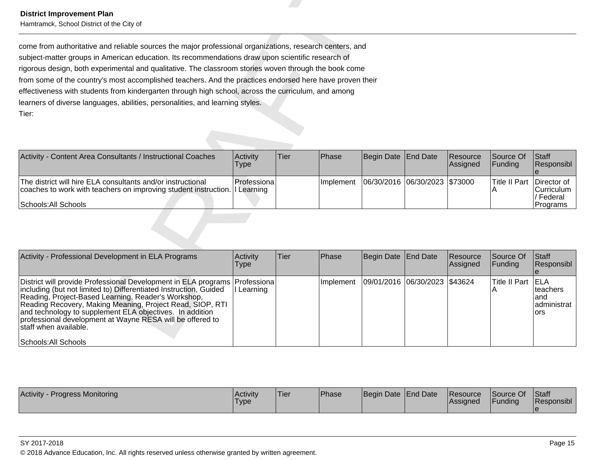| Activity - Content Area Consultants / Instructional Coaches                                                                                | Activity<br>Type | lTier. | <b>IPhase</b>     | Begin Date End Date |                                 | <b>Resource</b><br><b>Assigned</b> | Source Of<br><b>IFunding</b>      | <b>Staff</b><br><b>Responsibl</b> |
|--------------------------------------------------------------------------------------------------------------------------------------------|------------------|--------|-------------------|---------------------|---------------------------------|------------------------------------|-----------------------------------|-----------------------------------|
| The district will hire ELA consultants and/or instructional<br>coaches to work with teachers on improving student instruction. If Learning | Professiona      |        | <b>Ilmplement</b> |                     | 06/30/2016  06/30/2023  \$73000 |                                    | <b>Title II Part IDirector of</b> | <b>Curriculum</b><br>/ Federal    |
| Schools: All Schools                                                                                                                       |                  |        |                   |                     |                                 |                                    |                                   | <b>Programs</b>                   |

| <b>District Improvement Plan</b><br>Hamtramck, School District of the City of                                                                                                                                                                                                                                                                                                                                                                                                                                                                                                                                                       |                           |      |           |                       |                 |                      |                           |                                                             |  |  |
|-------------------------------------------------------------------------------------------------------------------------------------------------------------------------------------------------------------------------------------------------------------------------------------------------------------------------------------------------------------------------------------------------------------------------------------------------------------------------------------------------------------------------------------------------------------------------------------------------------------------------------------|---------------------------|------|-----------|-----------------------|-----------------|----------------------|---------------------------|-------------------------------------------------------------|--|--|
| come from authoritative and reliable sources the major professional organizations, research centers, and<br>subject-matter groups in American education. Its recommendations draw upon scientific research of<br>rigorous design, both experimental and qualitative. The classroom stories woven through the book come<br>from some of the country's most accomplished teachers. And the practices endorsed here have proven their<br>effectiveness with students from kindergarten through high school, across the curriculum, and among<br>learners of diverse languages, abilities, personalities, and learning styles.<br>Tier: |                           |      |           |                       |                 |                      |                           |                                                             |  |  |
| Activity - Content Area Consultants / Instructional Coaches                                                                                                                                                                                                                                                                                                                                                                                                                                                                                                                                                                         | Activity<br><b>Type</b>   | Tier | Phase     | <b>Begin Date</b>     | End Date        | Resource<br>Assigned | Source Of<br>Funding      | Staff<br>Responsibl                                         |  |  |
| The district will hire ELA consultants and/or instructional<br>coaches to work with teachers on improving student instruction. If Learning<br>Schools: All Schools                                                                                                                                                                                                                                                                                                                                                                                                                                                                  | Professiona               |      | Implement | 06/30/2016 06/30/2023 |                 | \$73000              | <b>Title II Part</b><br>Α | Director of<br>Curriculum<br>/ Federal<br>Programs          |  |  |
|                                                                                                                                                                                                                                                                                                                                                                                                                                                                                                                                                                                                                                     |                           |      |           |                       |                 |                      |                           |                                                             |  |  |
| Activity - Professional Development in ELA Programs                                                                                                                                                                                                                                                                                                                                                                                                                                                                                                                                                                                 | Activity<br>Type          | Tier | Phase     | <b>Begin Date</b>     | <b>End Date</b> | Resource<br>Assigned | Source Of<br>Funding      | Staff<br>Responsibl                                         |  |  |
| District will provide Professional Development in ELA programs<br>including (but not limited to) Differentiated Instruction, Guided<br>Reading, Project-Based Learning, Reader's Workshop,<br>Reading Recovery, Making Meaning, Project Read, SIOP, RTI<br>and technology to supplement ELA objectives. In addition<br>professional development at Wayne RESA will be offered to<br>staff when available.<br>Schools: All Schools                                                                                                                                                                                                   | Professiona<br>I Learning |      | Implement | 09/01/2016 06/30/2023 |                 | \$43624              | <b>Title II Part</b><br>A | <b>IELA</b><br>teachers<br>and<br>administrat<br><b>ors</b> |  |  |

| <b>Activity</b><br>/ - Progress Monitoring | <b>Activity</b><br>'Type | 'Tier | Phase | Begin Date End Date | <b>Resource</b><br>Assigned | Source Of<br>Funding | Staff<br><b>Responsibl</b> |
|--------------------------------------------|--------------------------|-------|-------|---------------------|-----------------------------|----------------------|----------------------------|
|                                            |                          |       |       |                     |                             |                      |                            |

### SY 2017-2018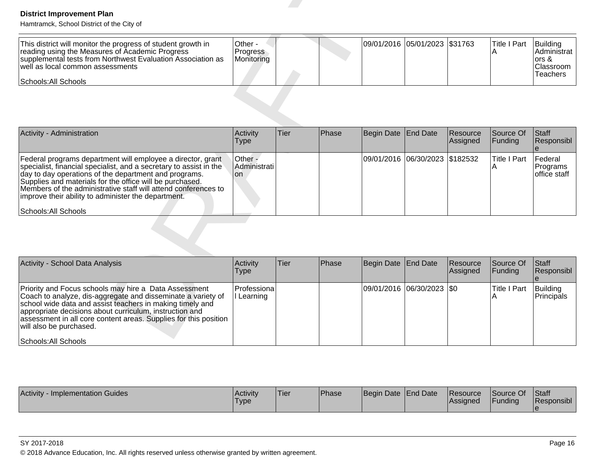| This district will monitor the progress of student growth in<br>reading using the Measures of Academic Progress<br>supplemental tests from Northwest Evaluation Association as<br>well as local common assessments<br> Schools: All Schools_ | ∣Other ·<br><b>Progress</b><br>Monitoring |  |  |  | 09/01/2016 05/01/2023 \$31763 |  | Title I Part | Building<br>IAdministrat l<br>lors &<br><b>Classroom</b><br><b>Teachers</b> |
|----------------------------------------------------------------------------------------------------------------------------------------------------------------------------------------------------------------------------------------------|-------------------------------------------|--|--|--|-------------------------------|--|--------------|-----------------------------------------------------------------------------|
|----------------------------------------------------------------------------------------------------------------------------------------------------------------------------------------------------------------------------------------------|-------------------------------------------|--|--|--|-------------------------------|--|--------------|-----------------------------------------------------------------------------|

| <b>District Improvement Plan</b><br>Hamtramck, School District of the City of                                                                                                                                                                                                                                                                                                                           |                                          |      |       |                       |                               |                      |                          |                                                                    |
|---------------------------------------------------------------------------------------------------------------------------------------------------------------------------------------------------------------------------------------------------------------------------------------------------------------------------------------------------------------------------------------------------------|------------------------------------------|------|-------|-----------------------|-------------------------------|----------------------|--------------------------|--------------------------------------------------------------------|
| This district will monitor the progress of student growth in<br>reading using the Measures of Academic Progress<br>supplemental tests from Northwest Evaluation Association as<br>well as local common assessments<br>Schools: All Schools                                                                                                                                                              | Other -<br><b>Progress</b><br>Monitoring |      |       |                       | 09/01/2016 05/01/2023 \$31763 |                      | <b>Title I Part</b><br>Α | Building<br>Administrat<br>$ors 8$<br>Classroom<br><b>Teachers</b> |
|                                                                                                                                                                                                                                                                                                                                                                                                         |                                          |      |       |                       |                               |                      |                          |                                                                    |
| Activity - Administration                                                                                                                                                                                                                                                                                                                                                                               | Activity<br><b>Type</b>                  | Tier | Phase | Begin Date            | <b>End Date</b>               | Resource<br>Assigned | Source Of<br>Funding     | Staff<br>Responsibl                                                |
| Federal programs department will employee a director, grant<br>specialist, financial specialist, and a secretary to assist in the<br>day to day operations of the department and programs.<br>Supplies and materials for the office will be purchased.<br>Members of the administrative staff will attend conferences to<br>improve their ability to administer the department.<br>Schools: All Schools | Other -<br>Administrati<br>lon           |      |       | 09/01/2016            | 06/30/2023                    | \$182532             | <b>Title I Part</b><br>Α | Federal<br>Programs<br>office staff                                |
|                                                                                                                                                                                                                                                                                                                                                                                                         |                                          |      |       |                       |                               |                      |                          |                                                                    |
| Activity - School Data Analysis                                                                                                                                                                                                                                                                                                                                                                         | Activity<br><b>Type</b>                  | Tier | Phase | <b>Begin Date</b>     | <b>End Date</b>               | Resource<br>Assigned | Source Of<br>Funding     | Staff<br>Responsibl                                                |
| Priority and Focus schools may hire a Data Assessment<br>Coach to analyze, dis-aggregate and disseminate a variety of<br>school wide data and assist teachers in making timely and<br>appropriate decisions about curriculum, instruction and<br>assessment in all core content areas. Supplies for this position<br>will also be purchased.<br>Schools: All Schools                                    | Professiona<br>I Learning                |      |       | 09/01/2016 06/30/2023 |                               | \$0                  | <b>Title I Part</b><br>A | Building<br>Principals                                             |

| Activity - School Data Analysis                                                                                                                                                                                                                                                                                                                                      | Activity<br>Type           | <b>Tier</b> | <b>Phase</b> | Begin Date End Date |                           | Resource<br>Assigned | Source Of<br><b>IFunding</b> | <b>Staff</b><br>Responsibl |
|----------------------------------------------------------------------------------------------------------------------------------------------------------------------------------------------------------------------------------------------------------------------------------------------------------------------------------------------------------------------|----------------------------|-------------|--------------|---------------------|---------------------------|----------------------|------------------------------|----------------------------|
| Priority and Focus schools may hire a Data Assessment<br>Coach to analyze, dis-aggregate and disseminate a variety of<br>school wide data and assist teachers in making timely and<br>appropriate decisions about curriculum, instruction and<br>assessment in all core content areas. Supplies for this position<br>will also be purchased.<br>Schools: All Schools | Professional<br>I Learning |             |              |                     | 09/01/2016 06/30/2023 \$0 |                      | <b>Title I Part</b>          | Building<br>Principals     |

| Activity<br>· Implementation Guides | Activity<br>'Type | 'Tier | Phase | Begin Date End Date | <b>Resource</b><br><b>Assigned</b> | Source Of<br><b>Funding</b> | <b>Staff</b><br>Responsibl |
|-------------------------------------|-------------------|-------|-------|---------------------|------------------------------------|-----------------------------|----------------------------|
|                                     |                   |       |       |                     |                                    |                             |                            |

### SY 2017-2018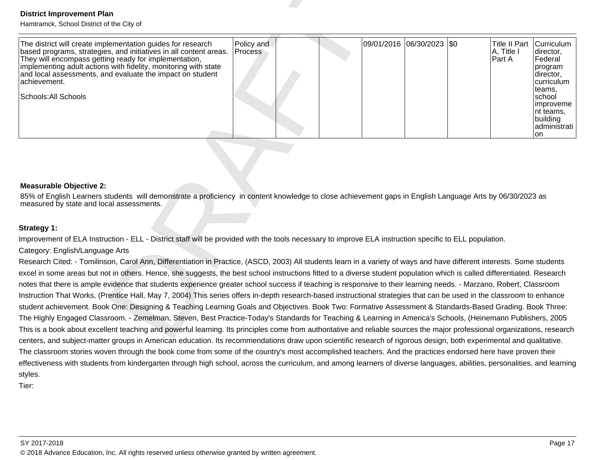| <b>District Improvement Plan</b><br>Hamtramck, School District of the City of                                                                                                                                                                                                                                                                                     |                       |  |                           |                                              |                                                                                                                                                          |
|-------------------------------------------------------------------------------------------------------------------------------------------------------------------------------------------------------------------------------------------------------------------------------------------------------------------------------------------------------------------|-----------------------|--|---------------------------|----------------------------------------------|----------------------------------------------------------------------------------------------------------------------------------------------------------|
| The district will create implementation guides for research<br>based programs, strategies, and initiatives in all content areas.<br>They will encompass getting ready for implementation,<br>implementing adult actions with fidelity, monitoring with state<br>and local assessments, and evaluate the impact on student<br>achievement.<br>Schools: All Schools | Policy and<br>Process |  | 09/01/2016 06/30/2023 \$0 | <b>Title II Part</b><br>A, Title I<br>Part A | Curriculum<br>director,<br>Federal<br>program<br>director,<br>curriculum<br>teams.<br>school<br>improveme<br>nt teams,<br>building<br>administrati<br>on |
| <b>Measurable Objective 2:</b><br>85% of English Learners students will demonstrate a proficiency in content knowledge to close achievement gaps in English Language Arts by 06/30/2023 as<br>measured by state and local assessments.                                                                                                                            |                       |  |                           |                                              |                                                                                                                                                          |
|                                                                                                                                                                                                                                                                                                                                                                   |                       |  |                           |                                              |                                                                                                                                                          |
| Strategy 1:                                                                                                                                                                                                                                                                                                                                                       |                       |  |                           |                                              |                                                                                                                                                          |
| Improvement of ELA Instruction - ELL - District staff will be provided with the tools necessary to improve ELA instruction specific to ELL population.                                                                                                                                                                                                            |                       |  |                           |                                              |                                                                                                                                                          |
| Category: English/Language Arts                                                                                                                                                                                                                                                                                                                                   |                       |  |                           |                                              |                                                                                                                                                          |
| Research Cited: - Tomilinson, Carol Ann, Differentiation in Practice, (ASCD, 2003) All students learn in a variety of ways and have different interests. Some students                                                                                                                                                                                            |                       |  |                           |                                              |                                                                                                                                                          |
| excel in some areas but not in others. Hence, she suggests, the best school instructions fitted to a diverse student population which is called differentiated. Research                                                                                                                                                                                          |                       |  |                           |                                              |                                                                                                                                                          |
| notes that there is ample evidence that students experience greater school success if teaching is responsive to their learning needs. - Marzano, Robert, Classroom                                                                                                                                                                                                |                       |  |                           |                                              |                                                                                                                                                          |
| Instruction That Works, (Prentice Hall, May 7, 2004) This series offers in-depth research-based instructional strategies that can be used in the classroom to enhance<br>student achievement. Book One: Designing & Teaching Learning Goals and Objectives. Book Two: Formative Assessment & Standards-Based Grading. Book Three:                                 |                       |  |                           |                                              |                                                                                                                                                          |
| The Highly Engaged Classroom. - Zemelman, Steven, Best Practice-Today's Standards for Teaching & Learning in America's Schools, (Heinemann Publishers, 2005                                                                                                                                                                                                       |                       |  |                           |                                              |                                                                                                                                                          |
| This is a book about excellent teaching and powerful learning. Its principles come from authoritative and reliable sources the major professional organizations, research                                                                                                                                                                                         |                       |  |                           |                                              |                                                                                                                                                          |
| centers, and subject-matter groups in American education. Its recommendations draw upon scientific research of rigorous design, both experimental and qualitative.                                                                                                                                                                                                |                       |  |                           |                                              |                                                                                                                                                          |

### **Measurable Objective 2:**

The classroom stories woven through the book come from some of the country's most accomplished teachers. And the practices endorsed here have proven theireffectiveness with students from kindergarten through high school, across the curriculum, and among learners of diverse languages, abilities, personalities, and learningstyles.

Tier: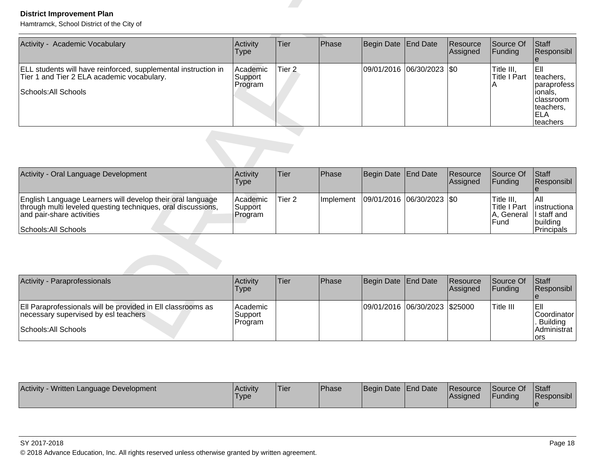| <b>District Improvement Plan</b><br>Hamtramck, School District of the City of                                                                                                   |                                |                   |           |                   |                           |                      |                                                  |                                                                                                 |
|---------------------------------------------------------------------------------------------------------------------------------------------------------------------------------|--------------------------------|-------------------|-----------|-------------------|---------------------------|----------------------|--------------------------------------------------|-------------------------------------------------------------------------------------------------|
| Activity - Academic Vocabulary                                                                                                                                                  | Activity<br><b>Type</b>        | <b>Tier</b>       | Phase     | <b>Begin Date</b> | <b>End Date</b>           | Resource<br>Assigned | Source Of<br>Funding                             | Staff<br>Responsibl<br>$\theta$                                                                 |
| ELL students will have reinforced, supplemental instruction in<br>Tier 1 and Tier 2 ELA academic vocabulary.<br>Schools: All Schools                                            | Academic<br>Support<br>Program | Tier <sub>2</sub> |           | 09/01/2016        | 06/30/2023                | $ $ \$0              | Title III,<br>Title I Part<br>А                  | EII<br>teachers.<br>paraprofess<br>lionals,<br>classroom<br>teachers,<br><b>ELA</b><br>teachers |
|                                                                                                                                                                                 |                                |                   |           |                   |                           |                      |                                                  |                                                                                                 |
| Activity - Oral Language Development                                                                                                                                            | Activity<br><b>Type</b>        | <b>Tier</b>       | Phase     | <b>Begin Date</b> | End Date                  | Resource<br>Assigned | Source Of<br>Funding                             | Staff<br>Responsibl<br>le                                                                       |
| English Language Learners will develop their oral language<br>through multi leveled questing techniques, oral discussions,<br>and pair-share activities<br>Schools: All Schools | Academic<br>Support<br>Program | Tier <sub>2</sub> | Implement |                   | 09/01/2016 06/30/2023 \$0 |                      | Title III,<br>Title I Part<br>A, General<br>Fund | All<br>Iinstructiona<br>ll staff and<br>building<br>Principals                                  |
|                                                                                                                                                                                 |                                |                   |           |                   |                           |                      |                                                  |                                                                                                 |
| Activity - Paraprofessionals                                                                                                                                                    | Activity<br><b>Type</b>        | <b>Tier</b>       | Phase     | <b>Begin Date</b> | <b>End Date</b>           | Resource<br>Assigned | Source Of<br>Funding                             | Staff<br>Responsibl<br>$\theta$                                                                 |
| Ell Paraprofessionals will be provided in Ell classrooms as<br>necessary supervised by esl teachers<br>Schools: All Schools                                                     | Academic<br>Support<br>Program |                   |           | 09/01/2016        | 06/30/2023                | \$25000              | Title III                                        | Ell<br>Coordinator<br><b>Building</b><br>Administrat<br>lors                                    |

| Activity - Oral Language Development                                                                                                                                            | Activity<br>Type                 | <b>Tier</b> | <b>Phase</b> | Begin Date End Date                       | <b>Resource</b><br><b>Assigned</b> | <b>Source Of</b><br>IFundina                         | <b>IStaff</b><br>Responsibl                                     |
|---------------------------------------------------------------------------------------------------------------------------------------------------------------------------------|----------------------------------|-------------|--------------|-------------------------------------------|------------------------------------|------------------------------------------------------|-----------------------------------------------------------------|
| English Language Learners will develop their oral language<br>through multi leveled questing techniques, oral discussions,<br>and pair-share activities<br>Schools: All Schools | Academic <br>Support<br> Program | 'Tier 2     |              | Implement   09/01/2016   06/30/2023   \$0 |                                    | ITitle III.<br>ITitle I Part<br>IA. General<br>IFund | IAII<br>linstructiona<br>I staff and<br> building<br>Principals |

| Activity - Paraprofessionals                                                                                                | <b>Activity</b><br>Type          | Tier | Phase | Begin Date End Date           | Resource<br><b>Assigned</b> | <b>Source Of</b><br><b>IFunding</b> | <b>Staff</b><br><b>Responsibl</b>                            |
|-----------------------------------------------------------------------------------------------------------------------------|----------------------------------|------|-------|-------------------------------|-----------------------------|-------------------------------------|--------------------------------------------------------------|
| Ell Paraprofessionals will be provided in Ell classrooms as<br>necessary supervised by esl teachers<br>Schools: All Schools | Academic<br> Support_<br>Program |      |       | 09/01/2016 06/30/2023 \$25000 |                             | Title III                           | IEII<br>lCoordinator l<br>. Buildina<br>IAdministrat<br>lors |

| Written Language Development<br><b>Activity</b> | <b>Activity</b><br>'Type | 'Tier | Phase | Begin Date End Date |  | <b>Resource</b><br><b>Assigned</b> | Source Of<br>Funding | <b>Staff</b><br>Responsibl |
|-------------------------------------------------|--------------------------|-------|-------|---------------------|--|------------------------------------|----------------------|----------------------------|
|-------------------------------------------------|--------------------------|-------|-------|---------------------|--|------------------------------------|----------------------|----------------------------|

### SY 2017-2018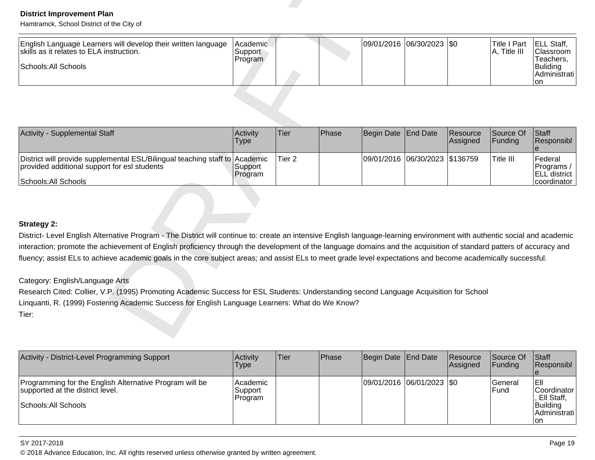| English Language Learners will develop their written language<br>skills as it relates to ELA instruction.<br>Schools: All Schools | <b>IAcademic</b><br>'Support'<br>Program |  | 09/01/2016 06/30/2023 \$0 | 'Title I Part<br>Title III | <b>IELL Staff.</b><br> Classroom  <br>Геасһers.<br> Buliding <br>I Administrati l |
|-----------------------------------------------------------------------------------------------------------------------------------|------------------------------------------|--|---------------------------|----------------------------|-----------------------------------------------------------------------------------|
|                                                                                                                                   |                                          |  |                           |                            | Ton                                                                               |

| <b>District Improvement Plan</b><br>Hamtramck, School District of the City of                                                                                             |                                |                   |       |            |                                |                      |                                     |                                                                               |
|---------------------------------------------------------------------------------------------------------------------------------------------------------------------------|--------------------------------|-------------------|-------|------------|--------------------------------|----------------------|-------------------------------------|-------------------------------------------------------------------------------|
| English Language Learners will develop their written language<br>skills as it relates to ELA instruction.<br>Schools: All Schools                                         | Academic<br>Support<br>Program |                   |       | 09/01/2016 | $ 06/30/2023 $ \$0             |                      | <b>Title I Part</b><br>A, Title III | ELL Staff,<br>Classroom<br>Teachers,<br><b>Buliding</b><br>Administrati<br>on |
|                                                                                                                                                                           |                                |                   |       |            |                                |                      |                                     |                                                                               |
| Activity - Supplemental Staff                                                                                                                                             | Activity<br><b>Type</b>        | Tier              | Phase | Begin Date | <b>End Date</b>                | Resource<br>Assigned | Source Of<br>Funding                | Staff<br>Responsibl<br>e                                                      |
| District will provide supplemental ESL/Bilingual teaching staff to<br>provided additional support for esl students                                                        | Academic<br>Support<br>Program | Tier <sub>2</sub> |       |            | 09/01/2016 06/30/2023 \$136759 |                      | Title III                           | Federal<br>Programs /<br>ELL district                                         |
| Schools: All Schools                                                                                                                                                      |                                |                   |       |            |                                |                      |                                     | coordinator                                                                   |
| <b>Strategy 2:</b>                                                                                                                                                        |                                |                   |       |            |                                |                      |                                     |                                                                               |
| District- Level English Alternative Program - The District will continue to: create an intensive English language-learning environment with authentic social and academic |                                |                   |       |            |                                |                      |                                     |                                                                               |
| interaction; promote the achievement of English proficiency through the development of the language domains and the acquisition of standard patters of accuracy and       |                                |                   |       |            |                                |                      |                                     |                                                                               |
| fluency; assist ELs to achieve academic goals in the core subject areas; and assist ELs to meet grade level expectations and become academically successful.              |                                |                   |       |            |                                |                      |                                     |                                                                               |
| Category: English/Language Arts                                                                                                                                           |                                |                   |       |            |                                |                      |                                     |                                                                               |
| Research Cited: Collier, V.P. (1995) Promoting Academic Success for ESL Students: Understanding second Language Acquisition for School                                    |                                |                   |       |            |                                |                      |                                     |                                                                               |
| Linquanti, R. (1999) Fostering Academic Success for English Language Learners: What do We Know?                                                                           |                                |                   |       |            |                                |                      |                                     |                                                                               |
| Tier:                                                                                                                                                                     |                                |                   |       |            |                                |                      |                                     |                                                                               |

| Activity - District-Level Programming Support                                                                       | Activity<br>Type                 | Tier | <b>Phase</b> | Begin Date End Date |                           | <b>Resource</b><br>Assigned | Source Of<br><b>IFundina</b>    | <b>Staff</b><br><b>Responsibl</b>                                        |
|---------------------------------------------------------------------------------------------------------------------|----------------------------------|------|--------------|---------------------|---------------------------|-----------------------------|---------------------------------|--------------------------------------------------------------------------|
| Programming for the English Alternative Program will be<br>supported at the district level.<br>Schools: All Schools | Academic<br> Support_<br>Program |      |              |                     | 09/01/2016 06/01/2023 \$0 |                             | <b>IGeneral</b><br><b>IFund</b> | IEII<br>lCoordinator<br>, Ell Staff,<br>Building<br>IAdministrati<br>Ion |

### SY 2017-2018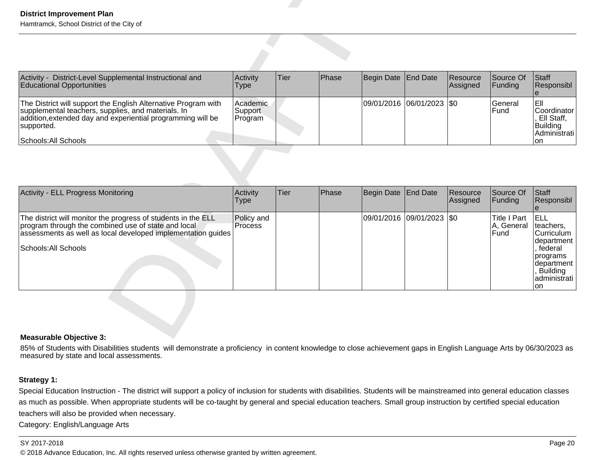| District-Level Supplemental Instructional and<br>Activity -<br><b>Educational Opportunities</b>                                                                                                                           | Activity<br>Type                | <b>Tier</b> | <b>Phase</b> | Begin Date End Date       | <b>Resource</b><br>Assigned | <b>Source Of</b><br> Funding | <b>Staff</b><br><b>Responsibl</b>                                           |
|---------------------------------------------------------------------------------------------------------------------------------------------------------------------------------------------------------------------------|---------------------------------|-------------|--------------|---------------------------|-----------------------------|------------------------------|-----------------------------------------------------------------------------|
| The District will support the English Alternative Program with<br>supplemental teachers, supplies, and materials. In<br>addition, extended day and experiential programming will be<br>supported.<br>Schools: All Schools | Academic<br>Support<br> Program |             |              | 09/01/2016 06/01/2023 \$0 |                             | lGeneral<br><b>Fund</b>      | IEII<br> Coordinator  <br>Ell Staff,<br>Building<br> Administrati  <br>lon. |

| <b>District Improvement Plan</b><br>Hamtramck, School District of the City of                                                                                                                                             |                                       |      |       |                   |                       |                      |                                           |                                                                                                                                     |
|---------------------------------------------------------------------------------------------------------------------------------------------------------------------------------------------------------------------------|---------------------------------------|------|-------|-------------------|-----------------------|----------------------|-------------------------------------------|-------------------------------------------------------------------------------------------------------------------------------------|
|                                                                                                                                                                                                                           |                                       |      |       |                   |                       |                      |                                           |                                                                                                                                     |
| Activity - District-Level Supplemental Instructional and<br><b>Educational Opportunities</b>                                                                                                                              | Activity<br><b>Type</b>               | Tier | Phase | <b>Begin Date</b> | End Date              | Resource<br>Assigned | Source Of<br>Funding                      | Staff<br>Responsibl                                                                                                                 |
| The District will support the English Alternative Program with<br>supplemental teachers, supplies, and materials. In<br>addition, extended day and experiential programming will be<br>supported.<br>Schools: All Schools | Academic<br><b>Support</b><br>Program |      |       |                   | 09/01/2016 06/01/2023 | \$0                  | General<br>Fund                           | leıı<br>Coordinator<br>Ell Staff,<br>Building<br>Administrati<br><b>on</b>                                                          |
| Activity - ELL Progress Monitoring                                                                                                                                                                                        | Activity<br><b>Type</b>               | Tier | Phase | <b>Begin Date</b> | <b>End Date</b>       | Resource<br>Assigned | Source Of<br>Funding                      | Staff<br>Responsibl<br>$\mathbf{e}$                                                                                                 |
| The district will monitor the progress of students in the ELL<br>program through the combined use of state and local<br>assessments as well as local developed implementation guides<br>Schools: All Schools              | Policy and<br>Process                 |      |       |                   | 09/01/2016 09/01/2023 | I\$0                 | <b>Title I Part</b><br>A, General<br>Fund | ELL<br>teachers,<br>Curriculum<br>department<br>, federal<br>programs<br>department<br><b>Building</b><br>administrati<br><b>on</b> |
| بي Measurahle Ohjective 3                                                                                                                                                                                                 |                                       |      |       |                   |                       |                      |                                           |                                                                                                                                     |

### **Measurable Objective 3:**

85% of Students with Disabilities students will demonstrate a proficiency in content knowledge to close achievement gaps in English Language Arts by 06/30/2023 as<br>measured by state and local assessments.

# **Strategy 1:**

Special Education Instruction - The district will support a policy of inclusion for students with disabilities. Students will be mainstreamed into general education classes as much as possible. When appropriate students will be co-taught by general and special education teachers. Small group instruction by certified special educationteachers will also be provided when necessary.

Category: English/Language Arts

### SY 2017-2018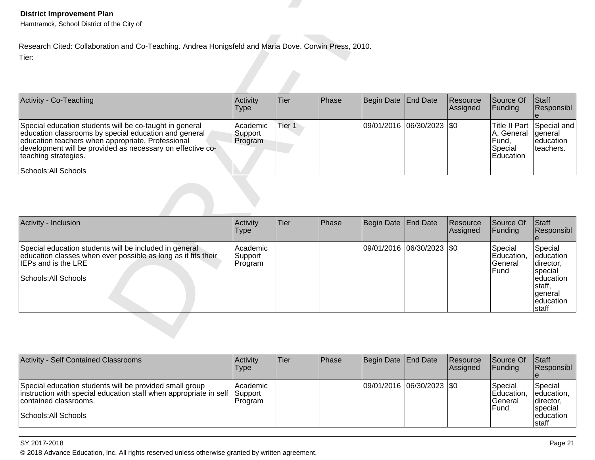| Activity<br>Type                | lTier  | <b>IPhase</b> |  |                     |                                                          | Staff<br>Responsibl                                                                     |
|---------------------------------|--------|---------------|--|---------------------|----------------------------------------------------------|-----------------------------------------------------------------------------------------|
| Academic <br>Support<br>Program | Tier 1 |               |  |                     |                                                          | Title II Part Special and<br>education<br>Iteachers.                                    |
|                                 |        |               |  | Begin Date End Date | Resource<br><b>Assigned</b><br>09/01/2016 06/30/2023 \$0 | Source Of<br> Funding<br>A, General   general<br>IFund.<br>Special<br><b>IEducation</b> |

| <b>District Improvement Plan</b><br>Hamtramck, School District of the City of                                                                                                                                                                                                       |                                |             |       |                   |                           |                      |                                                                     |                                                                                                      |
|-------------------------------------------------------------------------------------------------------------------------------------------------------------------------------------------------------------------------------------------------------------------------------------|--------------------------------|-------------|-------|-------------------|---------------------------|----------------------|---------------------------------------------------------------------|------------------------------------------------------------------------------------------------------|
| Research Cited: Collaboration and Co-Teaching. Andrea Honigsfeld and Maria Dove. Corwin Press, 2010.<br>Tier:                                                                                                                                                                       |                                |             |       |                   |                           |                      |                                                                     |                                                                                                      |
| Activity - Co-Teaching                                                                                                                                                                                                                                                              | Activity<br><b>Type</b>        | Tier        | Phase | <b>Begin Date</b> | End Date                  | Resource<br>Assigned | Source Of<br>Funding                                                | Staff<br>Responsibl                                                                                  |
| Special education students will be co-taught in general<br>education classrooms by special education and general<br>education teachers when appropriate. Professional<br>development will be provided as necessary on effective co-<br>teaching strategies.<br>Schools: All Schools | Academic<br>Support<br>Program | Tier 1      |       |                   | 09/01/2016 06/30/2023 \$0 |                      | <b>Title II Part</b><br>A, General<br>Fund,<br>Special<br>Education | Special and<br>general<br>education<br>teachers.                                                     |
| Activity - Inclusion                                                                                                                                                                                                                                                                | Activity                       | <b>Tier</b> | Phase |                   | <b>End Date</b>           | Resource             | Source Of                                                           | Staff                                                                                                |
|                                                                                                                                                                                                                                                                                     | <b>Type</b>                    |             |       | <b>Begin Date</b> |                           | Assigned             | Funding                                                             | Responsibl<br>le                                                                                     |
| Special education students will be included in general<br>education classes when ever possible as long as it fits their<br><b>IEPs and is the LRE</b><br>Schools: All Schools                                                                                                       | Academic<br>Support<br>Program |             |       |                   | 09/01/2016 06/30/2023 \$0 |                      | Special<br>Education,<br>General<br>Fund                            | Special<br>education<br>director,<br>special<br>education<br>staff,<br>general<br>education<br>staff |

| <b>Activity - Self Contained Classrooms</b>                                                                                                                                   | Activity<br>Type                       | lTier | Phase | Begin Date End Date         | Resource<br>Assigned | Source Of<br>IFundina                            | <b>Staff</b><br>Responsibl                                                      |
|-------------------------------------------------------------------------------------------------------------------------------------------------------------------------------|----------------------------------------|-------|-------|-----------------------------|----------------------|--------------------------------------------------|---------------------------------------------------------------------------------|
| Special education students will be provided small group<br>instruction with special education staff when appropriate in self<br>contained classrooms.<br>Schools: All Schools | Academic<br><b>Support</b><br> Program |       |       | 09/01/2016  06/30/2023  \$0 |                      | Special<br>Education<br>lGeneral<br><b>IFund</b> | Special<br>leducation,<br>Idirector,<br><b>Ispecial</b><br>leducation<br>Istaff |

### SY 2017-2018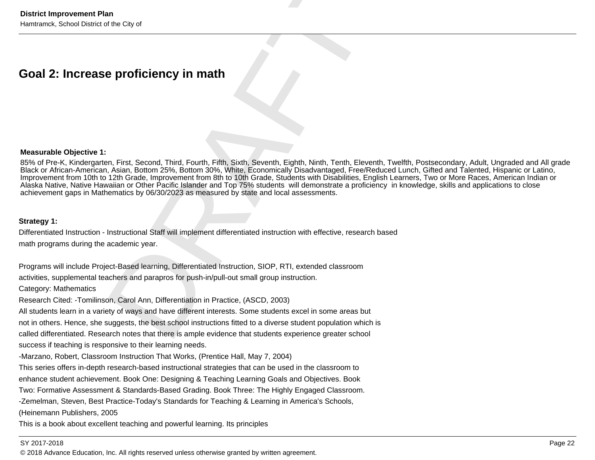### **Measurable Objective 1:**

District Improvement Plan<br>Hamifanck, School District of the City of<br>
Measurable Objective 1:<br>
Measurable Objective 1:<br>
Measurable Objective 1:<br>
By of Piec-K, Kindergarten, First, Second, Third, Fourth, Fifth, Sixth, Sevent 85% of Pre-K, Kindergarten, First, Second, Third, Fourth, Fifth, Sixth, Seventh, Eighth, Ninth, Tenth, Eleventh, Twelfth, Postsecondary, Adult, Ungraded and All gradeBlack or African-American, Asian, Bottom 25%, Bottom 30%, White, Economically Disadvantaged, Free/Reduced Lunch, Gifted and Talented, Hispanic or Latino,<br>Improvement from 10th to 12th Grade, Improvement from 8th to 10th Gr achievement gaps in Mathematics by 06/30/2023 as measured by state and local assessments.

success if teaching is responsive to their learning needs.

-Marzano, Robert, Classroom Instruction That Works, (Prentice Hall, May 7, 2004)

This series offers in-depth research-based instructional strategies that can be used in the classroom to

enhance student achievement. Book One: Designing & Teaching Learning Goals and Objectives. Book

Two: Formative Assessment & Standards-Based Grading. Book Three: The Highly Engaged Classroom.

-Zemelman, Steven, Best Practice-Today's Standards for Teaching & Learning in America's Schools,

(Heinemann Publishers, 2005

This is a book about excellent teaching and powerful learning. Its principles

# SY 2017-2018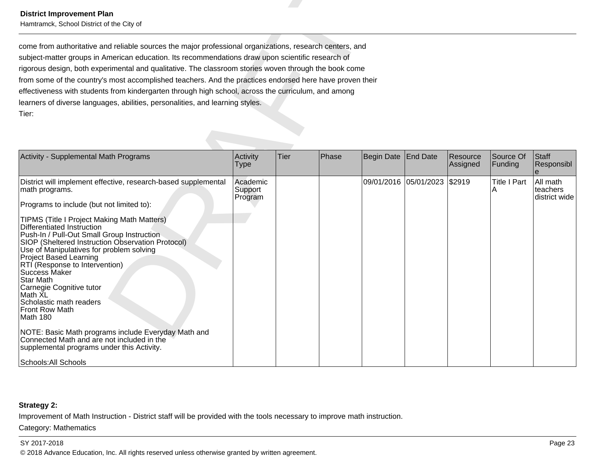| <b>District Improvement Plan</b><br>Hamtramck, School District of the City of                                                                                                                                                                                                                                                                                                                                                                                                                                                                                                                                                                                                                                                         |                                |      |       |            |                 |                      |                          |                                       |
|---------------------------------------------------------------------------------------------------------------------------------------------------------------------------------------------------------------------------------------------------------------------------------------------------------------------------------------------------------------------------------------------------------------------------------------------------------------------------------------------------------------------------------------------------------------------------------------------------------------------------------------------------------------------------------------------------------------------------------------|--------------------------------|------|-------|------------|-----------------|----------------------|--------------------------|---------------------------------------|
| come from authoritative and reliable sources the major professional organizations, research centers, and<br>subject-matter groups in American education. Its recommendations draw upon scientific research of<br>rigorous design, both experimental and qualitative. The classroom stories woven through the book come<br>from some of the country's most accomplished teachers. And the practices endorsed here have proven their<br>effectiveness with students from kindergarten through high school, across the curriculum, and among<br>learners of diverse languages, abilities, personalities, and learning styles.<br>Tier:                                                                                                   |                                |      |       |            |                 |                      |                          |                                       |
| Activity - Supplemental Math Programs                                                                                                                                                                                                                                                                                                                                                                                                                                                                                                                                                                                                                                                                                                 | Activity<br><b>Type</b>        | Tier | Phase | Begin Date | <b>End Date</b> | Resource<br>Assigned | Source Of<br>Funding     | Staff<br>Responsibl                   |
| District will implement effective, research-based supplemental<br>math programs.<br>Programs to include (but not limited to):<br>TIPMS (Title I Project Making Math Matters)<br>Differentiated Instruction<br>Push-In / Pull-Out Small Group Instruction<br>SIOP (Sheltered Instruction Observation Protocol)<br>Use of Manipulatives for problem solving<br>Project Based Learning<br>RTI (Response to Intervention)<br>Success Maker<br><b>Star Math</b><br>Carnegie Cognitive tutor<br>Math XL<br>Scholastic math readers<br>Front Row Math<br>Math 180<br>NOTE: Basic Math programs include Everyday Math and<br>Connected Math and are not included in the<br>supplemental programs under this Activity.<br>Schools: All Schools | Academic<br>Support<br>Program |      |       | 09/01/2016 | 05/01/2023      | \$2919               | <b>Title I Part</b><br>A | All math<br>teachers<br>district wide |

# **Strategy 2:**

Improvement of Math Instruction - District staff will be provided with the tools necessary to improve math instruction.

### Category: Mathematics

### SY 2017-2018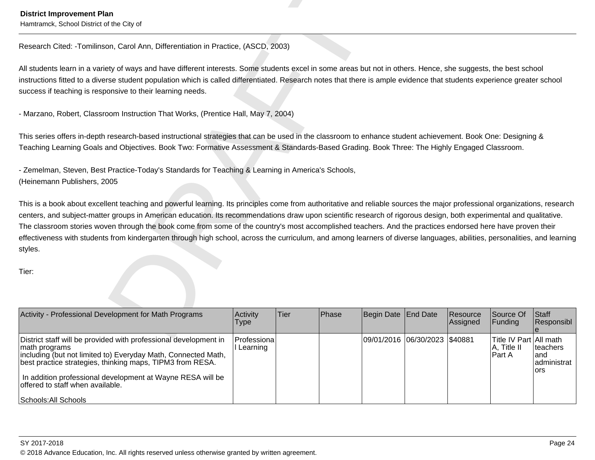Hamtramck, School District of the City of

Detrict Improvement Plan<br>
Hamansk, School Detrict Jon Carol Ann, Differentiation in Practice, (ASCC), 2003)<br>
Nitations (Second: Homel School Manuscript Internation in Practice, (ASCC), 2003)<br>
Nitations (Second: Homel Schoo

| District staff will be provided with professional development in<br>09/01/2016 06/30/2023 \$40881<br>Title IV Part All math<br>Professiona<br>l Learning                                                                                                                         | Activity - Professional Development for Math Programs | Activity<br><b>Type</b> | lTier. | Phase | Begin Date End Date | <b>Resource</b><br>Assigned | Source Of<br><b>IFunding</b> | <b>Staff</b><br>Responsibl |
|----------------------------------------------------------------------------------------------------------------------------------------------------------------------------------------------------------------------------------------------------------------------------------|-------------------------------------------------------|-------------------------|--------|-------|---------------------|-----------------------------|------------------------------|----------------------------|
| including (but not limited to) Everyday Math, Connected Math,<br>IPart A<br>land<br>best practice strategies, thinking maps, TIPM3 from RESA.<br>lors<br>In addition professional development at Wayne RESA will be<br>offered to staff when available.<br> Schools: All Schools | math programs                                         |                         |        |       |                     |                             | IA, Title II                 | teachers<br>administrat    |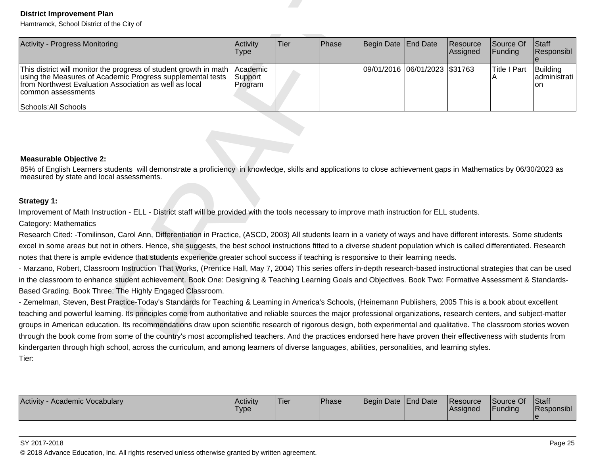| <b>District Improvement Plan</b><br>Hamtramck, School District of the City of                                                                                                                                                                                                                                                                                                                                                                                                                                                                                                                                                                                        |                                |      |       |            |                               |                      |                          |                                |
|----------------------------------------------------------------------------------------------------------------------------------------------------------------------------------------------------------------------------------------------------------------------------------------------------------------------------------------------------------------------------------------------------------------------------------------------------------------------------------------------------------------------------------------------------------------------------------------------------------------------------------------------------------------------|--------------------------------|------|-------|------------|-------------------------------|----------------------|--------------------------|--------------------------------|
| Activity - Progress Monitoring                                                                                                                                                                                                                                                                                                                                                                                                                                                                                                                                                                                                                                       | Activity<br>Type               | Tier | Phase | Begin Date | End Date                      | Resource<br>Assigned | Source Of<br>Funding     | Staff<br>Responsibl            |
| This district will monitor the progress of student growth in math<br>using the Measures of Academic Progress supplemental tests<br>from Northwest Evaluation Association as well as local<br>common assessments<br>Schools: All Schools                                                                                                                                                                                                                                                                                                                                                                                                                              | Academic<br>Support<br>Program |      |       |            | 09/01/2016 06/01/2023 \$31763 |                      | <b>Title I Part</b><br>Α | Building<br>administrati<br>on |
|                                                                                                                                                                                                                                                                                                                                                                                                                                                                                                                                                                                                                                                                      |                                |      |       |            |                               |                      |                          |                                |
| <b>Measurable Objective 2:</b><br>85% of English Learners students will demonstrate a proficiency in knowledge, skills and applications to close achievement gaps in Mathematics by 06/30/2023 as<br>measured by state and local assessments.                                                                                                                                                                                                                                                                                                                                                                                                                        |                                |      |       |            |                               |                      |                          |                                |
| Strategy 1:                                                                                                                                                                                                                                                                                                                                                                                                                                                                                                                                                                                                                                                          |                                |      |       |            |                               |                      |                          |                                |
| Improvement of Math Instruction - ELL - District staff will be provided with the tools necessary to improve math instruction for ELL students.<br>Category: Mathematics                                                                                                                                                                                                                                                                                                                                                                                                                                                                                              |                                |      |       |            |                               |                      |                          |                                |
| Research Cited: -Tomilinson, Carol Ann, Differentiation in Practice, (ASCD, 2003) All students learn in a variety of ways and have different interests. Some students<br>excel in some areas but not in others. Hence, she suggests, the best school instructions fitted to a diverse student population which is called differentiated. Research<br>notes that there is ample evidence that students experience greater school success if teaching is responsive to their learning needs.<br>- Marzano, Robert, Classroom Instruction That Works, (Prentice Hall, May 7, 2004) This series offers in-depth research-based instructional strategies that can be used |                                |      |       |            |                               |                      |                          |                                |
| in the classroom to enhance student achievement. Book One: Designing & Teaching Learning Goals and Objectives. Book Two: Formative Assessment & Standards-<br>Based Grading. Book Three: The Highly Engaged Classroom.<br>- Zemelman, Steven, Best Practice-Today's Standards for Teaching & Learning in America's Schools, (Heinemann Publishers, 2005 This is a book about excellent                                                                                                                                                                                                                                                                               |                                |      |       |            |                               |                      |                          |                                |
| teaching and powerful learning. Its principles come from authoritative and reliable sources the major professional organizations, research centers, and subject-matter<br>groups in American education. Its recommendations draw upon scientific research of rigorous design, both experimental and qualitative. The classroom stories woven                                                                                                                                                                                                                                                                                                                         |                                |      |       |            |                               |                      |                          |                                |
| through the book come from some of the country's most accomplished teachers. And the practices endorsed here have proven their effectiveness with students from<br>kindergarten through high school, across the curriculum, and among learners of diverse languages, abilities, personalities, and learning styles.                                                                                                                                                                                                                                                                                                                                                  |                                |      |       |            |                               |                      |                          |                                |
| Tier:                                                                                                                                                                                                                                                                                                                                                                                                                                                                                                                                                                                                                                                                |                                |      |       |            |                               |                      |                          |                                |

| Activity -<br>/ - Academic Vocabulary | Activity<br>'Type | <b>Tier</b> | Phase | Begin Date End Date | Resource<br> Assigned | Source Of<br>Funding | Staff<br>Responsibl |
|---------------------------------------|-------------------|-------------|-------|---------------------|-----------------------|----------------------|---------------------|
|                                       |                   |             |       |                     |                       |                      |                     |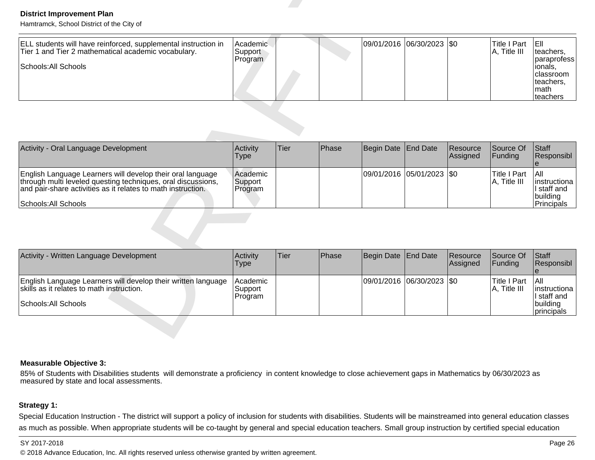| ELL students will have reinforced, supplemental instruction in<br>Tier 1 and Tier 2 mathematical academic vocabulary.<br>Schools: All Schools | Academic<br>Support<br>Program |  |  | 09/01/2016 06/30/2023 50 |  | <b>ITitle I Part</b><br>$ A,$ Title III | IEIL<br>Iteachers.<br>Iparaprofess I<br> Ionals,<br><b>Iclassroom</b><br>Iteachers.<br>Imath<br>Iteachers |
|-----------------------------------------------------------------------------------------------------------------------------------------------|--------------------------------|--|--|--------------------------|--|-----------------------------------------|-----------------------------------------------------------------------------------------------------------|
|-----------------------------------------------------------------------------------------------------------------------------------------------|--------------------------------|--|--|--------------------------|--|-----------------------------------------|-----------------------------------------------------------------------------------------------------------|

| <b>District Improvement Plan</b><br>Hamtramck, School District of the City of                                                                                                                                      |                                |             |       |                       |                           |                      |                                     |                                                                                              |
|--------------------------------------------------------------------------------------------------------------------------------------------------------------------------------------------------------------------|--------------------------------|-------------|-------|-----------------------|---------------------------|----------------------|-------------------------------------|----------------------------------------------------------------------------------------------|
| ELL students will have reinforced, supplemental instruction in<br>Tier 1 and Tier 2 mathematical academic vocabulary.<br>Schools: All Schools                                                                      | Academic<br>Support<br>Program |             |       |                       | 09/01/2016 06/30/2023 \$0 |                      | <b>Title I Part</b><br>A, Title III | leii.<br>teachers,<br>paraprofess<br>lionals.<br>classroom<br>teachers.<br>Imath<br>teachers |
|                                                                                                                                                                                                                    |                                |             |       |                       |                           |                      |                                     |                                                                                              |
| Activity - Oral Language Development                                                                                                                                                                               | Activity<br><b>Type</b>        | <b>Tier</b> | Phase | Begin Date            | <b>End Date</b>           | Resource<br>Assigned | Source Of<br>Funding                | Staff<br>Responsibl<br>$\theta$                                                              |
| English Language Learners will develop their oral language<br>through multi leveled questing techniques, oral discussions,<br>and pair-share activities as it relates to math instruction.<br>Schools: All Schools | Academic<br>Support<br>Program |             |       | 09/01/2016 05/01/2023 |                           | $ $ \$0              | <b>Title I Part</b><br>A, Title III | laii<br>Instructiona<br>I staff and<br>building<br>Principals                                |
|                                                                                                                                                                                                                    |                                |             |       |                       |                           |                      |                                     |                                                                                              |
| Activity - Written Language Development                                                                                                                                                                            | Activity<br><b>Type</b>        | <b>Tier</b> | Phase | Begin Date            | <b>End Date</b>           | Resource<br>Assigned | Source Of<br>Funding                | Staff<br>Responsibl<br>e                                                                     |
| English Language Learners will develop their written language<br>skills as it relates to math instruction.<br>Schools: All Schools                                                                                 | Academic<br>Support<br>Program |             |       | 09/01/2016 06/30/2023 |                           | $\sqrt{50}$          | <b>Title I Part</b><br>A, Title III | All<br>Iinstructiona<br>I staff and<br>building<br>principals                                |

| Activity - Written Language Development                                                                                            | <b>Activity</b><br><b>Type</b> | Tier | Phase | Begin Date End Date |                           | <b>Resource</b><br>Assigned | <b>Source Of</b><br>IFundina  | <b>IStaff</b><br><b>Responsibl</b>                                             |
|------------------------------------------------------------------------------------------------------------------------------------|--------------------------------|------|-------|---------------------|---------------------------|-----------------------------|-------------------------------|--------------------------------------------------------------------------------|
| English Language Learners will develop their written language<br>skills as it relates to math instruction.<br>Schools: All Schools | Academic<br>Support<br>Program |      |       |                     | 09/01/2016 06/30/2023 \$0 |                             | lTitle I Part<br>A, Title III | IAII<br>linstructiona<br>II staff and<br>Ibuildina<br><i><b>principals</b></i> |

### **Measurable Objective 3:**

85% of Students with Disabilities students will demonstrate a proficiency in content knowledge to close achievement gaps in Mathematics by 06/30/2023 as<br>measured by state and local assessments.

# **Strategy 1:**

Special Education Instruction - The district will support a policy of inclusion for students with disabilities. Students will be mainstreamed into general education classes as much as possible. When appropriate students will be co-taught by general and special education teachers. Small group instruction by certified special education

### SY 2017-2018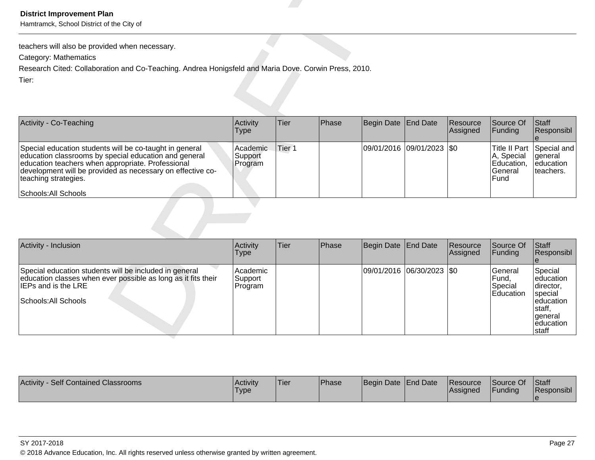| Activity - Co-Teaching                                                                                                                                                                                                                                                              | <b>Activity</b><br>Type        | Tier   | <b>IPhase</b> | Begin Date End Date         | Resource<br>Assigned | Source Of<br><b>Funding</b>                   | $\vert$ Staff<br>Responsibl                                       |
|-------------------------------------------------------------------------------------------------------------------------------------------------------------------------------------------------------------------------------------------------------------------------------------|--------------------------------|--------|---------------|-----------------------------|----------------------|-----------------------------------------------|-------------------------------------------------------------------|
| Special education students will be co-taught in general<br>education classrooms by special education and general<br>education teachers when appropriate. Professional<br>development will be provided as necessary on effective co-<br>teaching strategies.<br>Schools: All Schools | Academic<br>Support<br>Program | Tier 1 |               | 09/01/2016  09/01/2023  \$0 |                      | A, Special<br>Education,<br>lGeneral<br>lFund | Title II Part Special and<br>lgeneral<br>leducation<br>Iteachers. |

| <b>District Improvement Plan</b><br>Hamtramck, School District of the City of                                                                                                                                                                                                       |                                |                   |       |                   |                           |                      |                                                                     |                                                                                                        |
|-------------------------------------------------------------------------------------------------------------------------------------------------------------------------------------------------------------------------------------------------------------------------------------|--------------------------------|-------------------|-------|-------------------|---------------------------|----------------------|---------------------------------------------------------------------|--------------------------------------------------------------------------------------------------------|
| teachers will also be provided when necessary.                                                                                                                                                                                                                                      |                                |                   |       |                   |                           |                      |                                                                     |                                                                                                        |
| Category: Mathematics                                                                                                                                                                                                                                                               |                                |                   |       |                   |                           |                      |                                                                     |                                                                                                        |
| Research Cited: Collaboration and Co-Teaching. Andrea Honigsfeld and Maria Dove. Corwin Press, 2010.                                                                                                                                                                                |                                |                   |       |                   |                           |                      |                                                                     |                                                                                                        |
| Tier:                                                                                                                                                                                                                                                                               |                                |                   |       |                   |                           |                      |                                                                     |                                                                                                        |
| Activity - Co-Teaching                                                                                                                                                                                                                                                              | Activity<br><b>Type</b>        | Tier              | Phase | <b>Begin Date</b> | <b>End Date</b>           | Resource<br>Assigned | Source Of<br>Funding                                                | Staff<br>Responsibl<br>le.                                                                             |
| Special education students will be co-taught in general<br>education classrooms by special education and general<br>education teachers when appropriate. Professional<br>development will be provided as necessary on effective co-<br>teaching strategies.<br>Schools: All Schools | Academic<br>Support<br>Program | Tier <sub>1</sub> |       |                   | 09/01/2016 09/01/2023 \$0 |                      | <b>Title II Part</b><br>A, Special<br>Education,<br>General<br>Fund | Special and<br>lgeneral<br>leducation<br>teachers.                                                     |
| Activity - Inclusion                                                                                                                                                                                                                                                                | Activity                       | Tier              | Phase | <b>Begin Date</b> | End Date                  | Resource             | Source Of                                                           | Staff                                                                                                  |
|                                                                                                                                                                                                                                                                                     | <b>Type</b>                    |                   |       |                   |                           | Assigned             | Funding                                                             | Responsibl                                                                                             |
| Special education students will be included in general<br>education classes when ever possible as long as it fits their<br><b>IEPs and is the LRE</b><br>Schools: All Schools                                                                                                       | Academic<br>Support<br>Program |                   |       | 09/01/2016        | 06/30/2023  \$0           |                      | General<br>Fund,<br>Special<br>Education                            | Special<br>education<br>director,<br>special<br>education<br>staff,<br>lgeneral<br>education<br> staff |

| <b>Activity</b><br><b>Self Contained Classrooms</b> | <b>Activity</b><br>Type | 'Tier | <b>Phase</b> | Begin Date End Date | <b>Resource</b><br><b>IAssigned</b> | Source Of<br>Funding | <b>Staff</b><br>Responsibl |
|-----------------------------------------------------|-------------------------|-------|--------------|---------------------|-------------------------------------|----------------------|----------------------------|
|                                                     |                         |       |              |                     |                                     |                      |                            |

# SY 2017-2018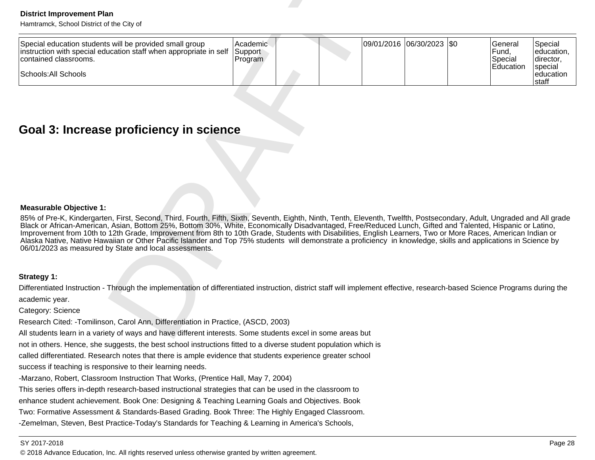| <b>District Improvement Plan</b><br>Hamtramck, School District of the City of                                                                                                                                                                                                                                                                                                                                                                                                                                                                                                                                                                                                                                                                                       |                                |  |                           |                                          |                                               |
|---------------------------------------------------------------------------------------------------------------------------------------------------------------------------------------------------------------------------------------------------------------------------------------------------------------------------------------------------------------------------------------------------------------------------------------------------------------------------------------------------------------------------------------------------------------------------------------------------------------------------------------------------------------------------------------------------------------------------------------------------------------------|--------------------------------|--|---------------------------|------------------------------------------|-----------------------------------------------|
| Special education students will be provided small group<br>instruction with special education staff when appropriate in self<br>contained classrooms.<br>Schools: All Schools                                                                                                                                                                                                                                                                                                                                                                                                                                                                                                                                                                                       | Academic<br>Support<br>Program |  | 09/01/2016 06/30/2023 \$0 | General<br>Fund,<br>Special<br>Education | Special<br>education,<br>director,<br>special |
|                                                                                                                                                                                                                                                                                                                                                                                                                                                                                                                                                                                                                                                                                                                                                                     |                                |  |                           |                                          | education<br>staff                            |
| Goal 3: Increase proficiency in science                                                                                                                                                                                                                                                                                                                                                                                                                                                                                                                                                                                                                                                                                                                             |                                |  |                           |                                          |                                               |
| <b>Measurable Objective 1:</b><br>85% of Pre-K, Kindergarten, First, Second, Third, Fourth, Fifth, Sixth, Seventh, Eighth, Ninth, Tenth, Eleventh, Twelfth, Postsecondary, Adult, Ungraded and All grade<br>Black or African-American, Asian, Bottom 25%, Bottom 30%, White, Economically Disadvantaged, Free/Reduced Lunch, Gifted and Talented, Hispanic or Latino,<br>Improvement from 10th to 12th Grade, Improvement from 8th to 10th Grade, Students with Disabilities, English Learners, Two or More Races, American Indian or<br>Alaska Native, Native Hawaiian or Other Pacific Islander and Top 75% students will demonstrate a proficiency in knowledge, skills and applications in Science by<br>06/01/2023 as measured by State and local assessments. |                                |  |                           |                                          |                                               |
| Strategy 1:                                                                                                                                                                                                                                                                                                                                                                                                                                                                                                                                                                                                                                                                                                                                                         |                                |  |                           |                                          |                                               |
| Differentiated Instruction - Through the implementation of differentiated instruction, district staff will implement effective, research-based Science Programs during the<br>academic year.                                                                                                                                                                                                                                                                                                                                                                                                                                                                                                                                                                        |                                |  |                           |                                          |                                               |
| Category: Science                                                                                                                                                                                                                                                                                                                                                                                                                                                                                                                                                                                                                                                                                                                                                   |                                |  |                           |                                          |                                               |
| Research Cited: -Tomilinson, Carol Ann, Differentiation in Practice, (ASCD, 2003)                                                                                                                                                                                                                                                                                                                                                                                                                                                                                                                                                                                                                                                                                   |                                |  |                           |                                          |                                               |
| All students learn in a variety of ways and have different interests. Some students excel in some areas but                                                                                                                                                                                                                                                                                                                                                                                                                                                                                                                                                                                                                                                         |                                |  |                           |                                          |                                               |

### **Measurable Objective 1:**

not in others. Hence, she suggests, the best school instructions fitted to a diverse student population which is

called differentiated. Research notes that there is ample evidence that students experience greater school

success if teaching is responsive to their learning needs.

-Marzano, Robert, Classroom Instruction That Works, (Prentice Hall, May 7, 2004)

This series offers in-depth research-based instructional strategies that can be used in the classroom to

enhance student achievement. Book One: Designing & Teaching Learning Goals and Objectives. Book

Two: Formative Assessment & Standards-Based Grading. Book Three: The Highly Engaged Classroom.

-Zemelman, Steven, Best Practice-Today's Standards for Teaching & Learning in America's Schools,

### SY 2017-2018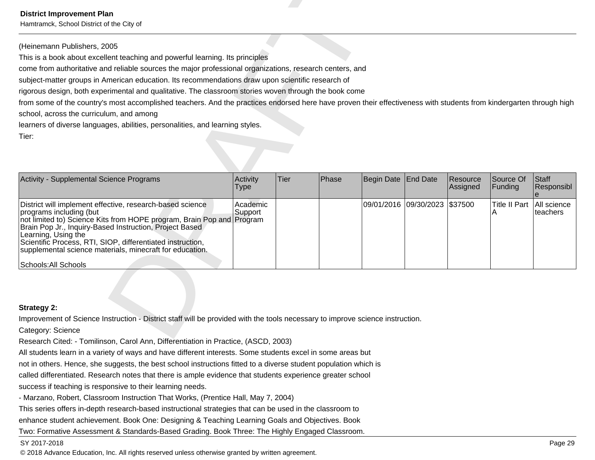| <b>District Improvement Plan</b><br>Hamtramck, School District of the City of                                                                                                                                                                                                                                                                                                                                                          |                     |             |       |                       |                 |                      |                           |                            |
|----------------------------------------------------------------------------------------------------------------------------------------------------------------------------------------------------------------------------------------------------------------------------------------------------------------------------------------------------------------------------------------------------------------------------------------|---------------------|-------------|-------|-----------------------|-----------------|----------------------|---------------------------|----------------------------|
| (Heinemann Publishers, 2005<br>This is a book about excellent teaching and powerful learning. Its principles<br>come from authoritative and reliable sources the major professional organizations, research centers, and<br>subject-matter groups in American education. Its recommendations draw upon scientific research of<br>rigorous design, both experimental and qualitative. The classroom stories woven through the book come |                     |             |       |                       |                 |                      |                           |                            |
| from some of the country's most accomplished teachers. And the practices endorsed here have proven their effectiveness with students from kindergarten through high<br>school, across the curriculum, and among<br>learners of diverse languages, abilities, personalities, and learning styles.<br>Tier:                                                                                                                              |                     |             |       |                       |                 |                      |                           |                            |
| Activity - Supplemental Science Programs                                                                                                                                                                                                                                                                                                                                                                                               | Activity<br>Type    | <b>Tier</b> | Phase | <b>Begin Date</b>     | <b>End Date</b> | Resource<br>Assigned | Source Of<br>Funding      | <b>Staff</b><br>Responsibl |
| District will implement effective, research-based science<br>programs including (but<br>not limited to) Science Kits from HOPE program, Brain Pop and Program<br>Brain Pop Jr., Inquiry-Based Instruction, Project Based<br>Learning, Using the<br>Scientific Process, RTI, SIOP, differentiated instruction,<br>supplemental science materials, minecraft for education.<br>Schools: All Schools                                      | Academic<br>Support |             |       | 09/01/2016 09/30/2023 |                 | \$37500              | <b>Title II Part</b><br>A | All science<br>teachers    |
| <b>Strategy 2:</b><br>Improvement of Science Instruction - District staff will be provided with the tools necessary to improve science instruction.<br>Category: Science<br>Research Cited: - Tomilinson, Carol Ann, Differentiation in Practice, (ASCD, 2003)                                                                                                                                                                         |                     |             |       |                       |                 |                      |                           |                            |

All students learn in a variety of ways and have different interests. Some students excel in some areas but

not in others. Hence, she suggests, the best school instructions fitted to a diverse student population which is

called differentiated. Research notes that there is ample evidence that students experience greater school

success if teaching is responsive to their learning needs.

- Marzano, Robert, Classroom Instruction That Works, (Prentice Hall, May 7, 2004)

This series offers in-depth research-based instructional strategies that can be used in the classroom to

enhance student achievement. Book One: Designing & Teaching Learning Goals and Objectives. Book

Two: Formative Assessment & Standards-Based Grading. Book Three: The Highly Engaged Classroom.

### SY 2017-2018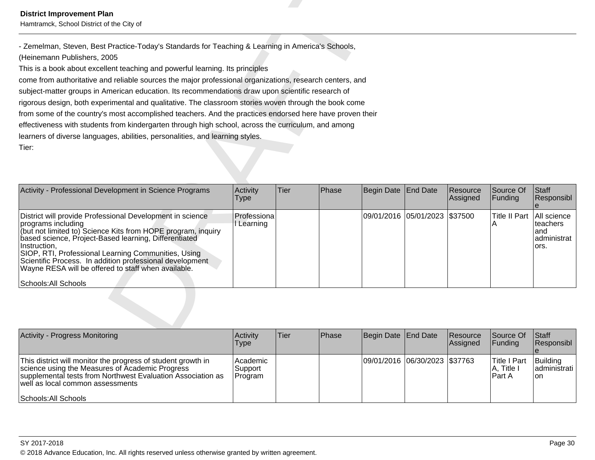| <b>District Improvement Plan</b><br>Hamtramck, School District of the City of                                                                                                                                                                                                                                                                                                                                              |                           |      |       |            |                       |                      |                           |                                                       |
|----------------------------------------------------------------------------------------------------------------------------------------------------------------------------------------------------------------------------------------------------------------------------------------------------------------------------------------------------------------------------------------------------------------------------|---------------------------|------|-------|------------|-----------------------|----------------------|---------------------------|-------------------------------------------------------|
| - Zemelman, Steven, Best Practice-Today's Standards for Teaching & Learning in America's Schools,                                                                                                                                                                                                                                                                                                                          |                           |      |       |            |                       |                      |                           |                                                       |
| (Heinemann Publishers, 2005                                                                                                                                                                                                                                                                                                                                                                                                |                           |      |       |            |                       |                      |                           |                                                       |
| This is a book about excellent teaching and powerful learning. Its principles                                                                                                                                                                                                                                                                                                                                              |                           |      |       |            |                       |                      |                           |                                                       |
| come from authoritative and reliable sources the major professional organizations, research centers, and                                                                                                                                                                                                                                                                                                                   |                           |      |       |            |                       |                      |                           |                                                       |
| subject-matter groups in American education. Its recommendations draw upon scientific research of                                                                                                                                                                                                                                                                                                                          |                           |      |       |            |                       |                      |                           |                                                       |
| rigorous design, both experimental and qualitative. The classroom stories woven through the book come                                                                                                                                                                                                                                                                                                                      |                           |      |       |            |                       |                      |                           |                                                       |
| from some of the country's most accomplished teachers. And the practices endorsed here have proven their                                                                                                                                                                                                                                                                                                                   |                           |      |       |            |                       |                      |                           |                                                       |
| effectiveness with students from kindergarten through high school, across the curriculum, and among                                                                                                                                                                                                                                                                                                                        |                           |      |       |            |                       |                      |                           |                                                       |
| learners of diverse languages, abilities, personalities, and learning styles.                                                                                                                                                                                                                                                                                                                                              |                           |      |       |            |                       |                      |                           |                                                       |
|                                                                                                                                                                                                                                                                                                                                                                                                                            |                           |      |       |            |                       |                      |                           |                                                       |
| Tier:                                                                                                                                                                                                                                                                                                                                                                                                                      |                           |      |       |            |                       |                      |                           |                                                       |
| Activity - Professional Development in Science Programs                                                                                                                                                                                                                                                                                                                                                                    | Activity<br>Type          | Tier | Phase | Begin Date | <b>End Date</b>       | Resource<br>Assigned | Source Of<br>Funding      | Staff<br>Responsibl                                   |
| District will provide Professional Development in science<br>programs including<br>(but not limited to) Science Kits from HOPE program, inquiry<br>based science, Project-Based learning, Differentiated<br>Instruction,<br>SIOP, RTI, Professional Learning Communities, Using<br>Scientific Process. In addition professional development<br>Wayne RESA will be offered to staff when available.<br>Schools: All Schools | Professiona<br>I Learning |      |       |            | 09/01/2016 05/01/2023 | \$37500              | <b>Title II Part</b><br>Α | All science<br>teachers<br>and<br>administrat<br>ors. |

| <b>Activity - Progress Monitoring</b>                                                                                                                                                                                                      | Activity<br><b>Type</b>            | ∣Tier∶ | <b>IPhase</b> | Begin Date End Date           | Resource<br><b>Assigned</b> | Source Of<br>$\vert$ Funding            | <b>Staff</b><br>Responsibl         |
|--------------------------------------------------------------------------------------------------------------------------------------------------------------------------------------------------------------------------------------------|------------------------------------|--------|---------------|-------------------------------|-----------------------------|-----------------------------------------|------------------------------------|
| This district will monitor the progress of student growth in<br>science using the Measures of Academic Progress<br>supplemental tests from Northwest Evaluation Association as<br>well as local common assessments<br>Schools: All Schools | Academic<br>∣Support i<br> Program |        |               | 09/01/2016 06/30/2023 \$37763 |                             | lTitle I Part<br> A, Title I<br>lPart A | Building<br>ladministrati l<br>Ton |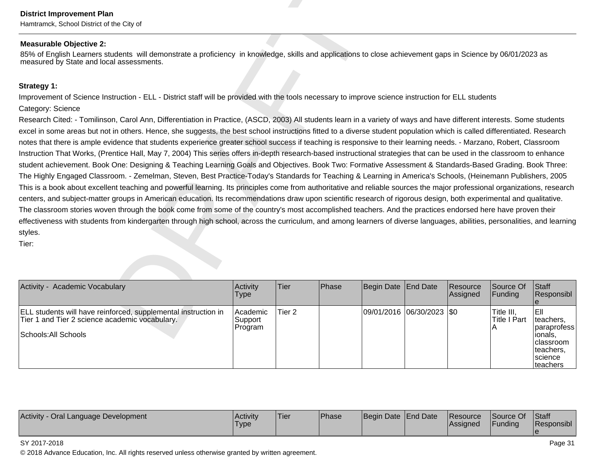Hamtramck, School District of the City of

Detrict Improvement Plan<br>
Measurable Objective 2:<br>
Measurable Objective 2:<br>
Measurable Objective 2:<br>
Measurable Objective 2:<br>
Strategy 1:<br>
Strategy 1:<br>
Strategy 1:<br>
Strategy 1:<br>
Strategy 1:<br>
Strategy 1:<br>
Strategy 1: Comin

| Activity - Academic Vocabulary                                                                                                           | Activity<br><b>Type</b>            | <b>Tier</b> | Phase | Begin Date End Date       | <b>Resource</b><br>Assigned | <b>Source Of</b><br> Funding | Staff<br>Responsibl                                                                                         |
|------------------------------------------------------------------------------------------------------------------------------------------|------------------------------------|-------------|-------|---------------------------|-----------------------------|------------------------------|-------------------------------------------------------------------------------------------------------------|
| ELL students will have reinforced, supplemental instruction in<br>Tier 1 and Tier 2 science academic vocabulary.<br>Schools: All Schools | Academic<br>lSupport i<br> Program | lTier 2     |       | 09/01/2016 06/30/2023 \$0 |                             | Title III,<br>lTitle I Part  | IEII<br>lteachers.<br>Iparaprofess l<br>Tionals.<br>Iclassroom<br>lteachers.<br><b>Science</b><br> teachers |

| <b>Activity</b><br>Oral Language Development | <b>Activity</b><br>'Type | <sup>1</sup> Tier | <b>Phase</b> | Begin Date End Date |  | <i><b>IResource</b></i><br><b>Assigned</b> | Source Of<br>Funding | Staff<br>Responsibl |
|----------------------------------------------|--------------------------|-------------------|--------------|---------------------|--|--------------------------------------------|----------------------|---------------------|
|----------------------------------------------|--------------------------|-------------------|--------------|---------------------|--|--------------------------------------------|----------------------|---------------------|

### SY 2017-2018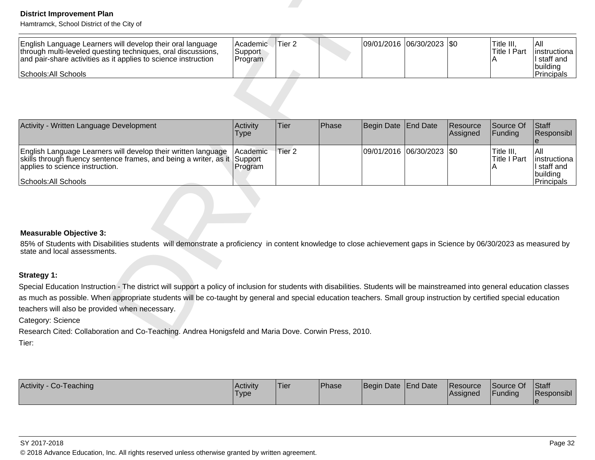| English Language Learners will develop their oral language<br>through multi-leveled questing techniques, oral discussions,<br>and pair-share activities as it applies to science instruction | l Academic<br>Support<br>Program | Tier 2 |  | 09/01/2016  06/30/2023  \$0 | Title III.<br>lTitle I Part | IAII<br>linstructional<br>I staff and |
|----------------------------------------------------------------------------------------------------------------------------------------------------------------------------------------------|----------------------------------|--------|--|-----------------------------|-----------------------------|---------------------------------------|
| Schools: All Schools                                                                                                                                                                         |                                  |        |  |                             |                             | building<br><b>Principals</b>         |

| <b>District Improvement Plan</b><br>Hamtramck, School District of the City of                                                                                                                                        |                                 |                   |       |                   |                           |                      |                                        |                                                               |
|----------------------------------------------------------------------------------------------------------------------------------------------------------------------------------------------------------------------|---------------------------------|-------------------|-------|-------------------|---------------------------|----------------------|----------------------------------------|---------------------------------------------------------------|
| English Language Learners will develop their oral language<br>through multi-leveled questing techniques, oral discussions,<br>and pair-share activities as it applies to science instruction<br>Schools: All Schools | Academic.<br>Support<br>Program | Tier <sub>2</sub> |       |                   | 09/01/2016 06/30/2023 \$0 |                      | Title III,<br><b>Title I Part</b><br>A | All<br>linstructiona<br>I staff and<br>building<br>Principals |
|                                                                                                                                                                                                                      |                                 |                   |       |                   |                           |                      |                                        |                                                               |
| Activity - Written Language Development                                                                                                                                                                              | Activity<br><b>Type</b>         | <b>Tier</b>       | Phase | <b>Begin Date</b> | <b>End Date</b>           | Resource<br>Assigned | Source Of<br>Funding                   | Staff<br>Responsibl<br>e                                      |
| English Language Learners will develop their written language<br>skills through fluency sentence frames, and being a writer, as it<br>applies to science instruction.<br>Schools: All Schools                        | Academic<br>Support<br>Program  | Tier <sub>2</sub> |       | 09/01/2016        | 06/30/2023 \$0            |                      | Title III,<br>Title I Part             | All<br>instructiona<br>I staff and<br>building<br>Principals  |
|                                                                                                                                                                                                                      |                                 |                   |       |                   |                           |                      |                                        |                                                               |
| <b>Measurable Objective 3:</b>                                                                                                                                                                                       |                                 |                   |       |                   |                           |                      |                                        |                                                               |
| 85% of Students with Disabilities students will demonstrate a proficiency in content knowledge to close achievement gaps in Science by 06/30/2023 as measured by<br>state and local assessments.                     |                                 |                   |       |                   |                           |                      |                                        |                                                               |
| Strategy 1:                                                                                                                                                                                                          |                                 |                   |       |                   |                           |                      |                                        |                                                               |
| Special Education Instruction - The district will support a policy of inclusion for students with disabilities. Students will be mainstreamed into general education classes                                         |                                 |                   |       |                   |                           |                      |                                        |                                                               |
| as much as possible. When appropriate students will be co-taught by general and special education teachers. Small group instruction by certified special education                                                   |                                 |                   |       |                   |                           |                      |                                        |                                                               |
| teachers will also be provided when necessary.                                                                                                                                                                       |                                 |                   |       |                   |                           |                      |                                        |                                                               |
| Category: Science                                                                                                                                                                                                    |                                 |                   |       |                   |                           |                      |                                        |                                                               |
| Research Cited: Collaboration and Co-Teaching. Andrea Honigsfeld and Maria Dove. Corwin Press, 2010.<br>Tier:                                                                                                        |                                 |                   |       |                   |                           |                      |                                        |                                                               |

| Activity - Co-Teaching | <b>Activity</b><br><b>Type</b> | <b>Tier</b> | <b>Phase</b> | Begin Date End Date |  | <b>Resource</b><br><b>Assigned</b> | Source Of<br>Funding | Staff<br><b>Responsibl</b> |
|------------------------|--------------------------------|-------------|--------------|---------------------|--|------------------------------------|----------------------|----------------------------|
|------------------------|--------------------------------|-------------|--------------|---------------------|--|------------------------------------|----------------------|----------------------------|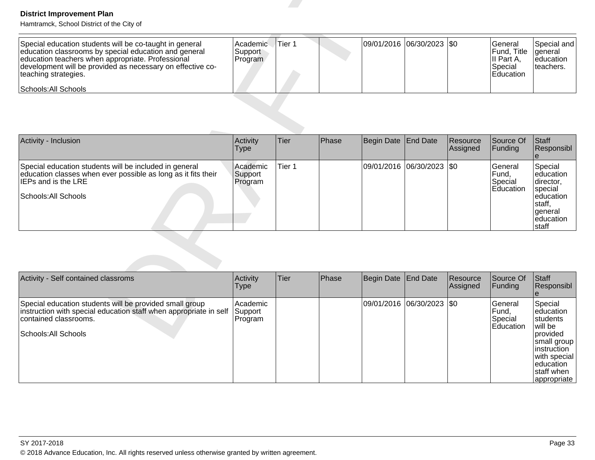| Special education students will be co-taught in general<br>education classrooms by special education and general<br>education teachers when appropriate. Professional<br>development will be provided as necessary on effective co-<br>teaching strategies. | Academic<br>Support<br>Program | Tier 1 | 09/01/2016  06/30/2023  \$0 |  | l General<br><b>IFund.</b> Title<br>III Part A.<br><b>Special</b><br><b>IEducation</b> | Special and I<br>laeneral<br>leducation<br>Iteachers. |
|-------------------------------------------------------------------------------------------------------------------------------------------------------------------------------------------------------------------------------------------------------------|--------------------------------|--------|-----------------------------|--|----------------------------------------------------------------------------------------|-------------------------------------------------------|
| Schools: All Schools                                                                                                                                                                                                                                        |                                |        |                             |  |                                                                                        |                                                       |

| <b>District Improvement Plan</b><br>Hamtramck, School District of the City of                                                                                                                                                                                                       |                                |                   |       |                   |                           |                      |                                                              |                                                                                                       |
|-------------------------------------------------------------------------------------------------------------------------------------------------------------------------------------------------------------------------------------------------------------------------------------|--------------------------------|-------------------|-------|-------------------|---------------------------|----------------------|--------------------------------------------------------------|-------------------------------------------------------------------------------------------------------|
| Special education students will be co-taught in general<br>education classrooms by special education and general<br>education teachers when appropriate. Professional<br>development will be provided as necessary on effective co-<br>teaching strategies.<br>Schools: All Schools | Academic<br>Support<br>Program | Tier 1            |       |                   | 09/01/2016 06/30/2023 \$0 |                      | General<br>Fund, Title<br>II Part A,<br>Special<br>Education | Special and<br>general<br>education<br>teachers.                                                      |
|                                                                                                                                                                                                                                                                                     |                                |                   |       |                   |                           |                      |                                                              |                                                                                                       |
| Activity - Inclusion                                                                                                                                                                                                                                                                | Activity<br><b>Type</b>        | Tier              | Phase | <b>Begin Date</b> | End Date                  | Resource<br>Assigned | Source Of<br>Funding                                         | Staff<br>Responsibl<br>$\boldsymbol{\Theta}$                                                          |
| Special education students will be included in general<br>education classes when ever possible as long as it fits their<br>IEPs and is the LRE<br>Schools: All Schools                                                                                                              | Academic<br>Support<br>Program | Tier <sub>1</sub> |       | 09/01/2016        | 06/30/2023                | \$0                  | General<br>Fund,<br>Special<br>Education                     | Special<br>leducation<br>director,<br>special<br>education<br>staff,<br>general<br>education<br>staff |
|                                                                                                                                                                                                                                                                                     |                                |                   |       |                   |                           |                      |                                                              |                                                                                                       |
| Activity - Self contained classroms                                                                                                                                                                                                                                                 | Activity<br><b>Type</b>        | Tier              | Phase | <b>Begin Date</b> | <b>End Date</b>           | Resource<br>Assigned | Source Of<br>Funding                                         | Staff<br>Responsibl<br>$\theta$                                                                       |
| Special education students will be provided small group<br>instruction with special education staff when appropriate in self<br>contained classrooms.<br>Schools: All Schools                                                                                                       | Academic<br>Support<br>Program |                   |       | 09/01/2016        | $ 06/30/2023 $ \$0        |                      | General<br>Fund,<br>Special<br>Education                     | Special<br>education<br>students<br>will be<br>provided                                               |

| Activity - Self contained classroms                                                                                                                                           | Activity<br>Type               | Tier | Phase | Begin Date End Date         | Resource<br>Assigned | Source Of<br><b>Funding</b>                              | Staff<br>Responsibl                                                                                                                                          |
|-------------------------------------------------------------------------------------------------------------------------------------------------------------------------------|--------------------------------|------|-------|-----------------------------|----------------------|----------------------------------------------------------|--------------------------------------------------------------------------------------------------------------------------------------------------------------|
| Special education students will be provided small group<br>instruction with special education staff when appropriate in self<br>contained classrooms.<br>Schools: All Schools | Academic<br>Support<br>Program |      |       | 09/01/2016  06/30/2023  \$0 |                      | <b>IGeneral</b><br>Fund.<br>Special<br><b>IEducation</b> | Special<br>leducation<br><b>Istudents</b><br>will be<br>provided<br> small group<br>linstruction<br>with special<br>leducation<br>staff when<br> appropriate |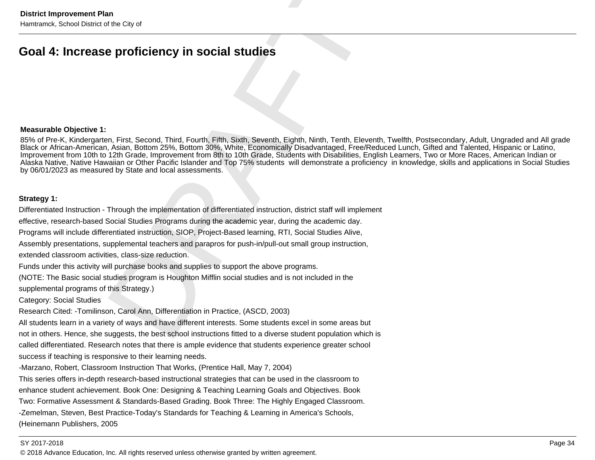### **Measurable Objective 1:**

District Improvement Plan<br>
Hemitamck, School District of the City of<br> **Goal 4: Increase proficiency in social studies**<br>
Second Third, Fourth, Fifth, Sixth, Seventh, Eighth, Ninth, Tenth, Sixthe<br>
85%, ef Pre-K, Kindergarten 85% of Pre-K, Kindergarten, First, Second, Third, Fourth, Fifth, Sixth, Seventh, Eighth, Ninth, Tenth, Eleventh, Twelfth, Postsecondary, Adult, Ungraded and All gradeBlack or African-American, Asian, Bottom 25%, Bottom 30%, White, Economically Disadvantaged, Free/Reduced Lunch, Gifted and Talented, Hispanic or Latino,<br>Improvement from 10th to 12th Grade, Improvement from 8th to 10th Gr Alaska Native, Native Hawaiian or Other Pacific Islander and Top 75% students will demonstrate a proficiency in knowledge, skills and applications in Social Studiesby 06/01/2023 as measured by State and local assessments.

called differentiated. Research notes that there is ample evidence that students experience greater schoolsuccess if teaching is responsive to their learning needs.

-Marzano, Robert, Classroom Instruction That Works, (Prentice Hall, May 7, 2004)

This series offers in-depth research-based instructional strategies that can be used in the classroom to enhance student achievement. Book One: Designing & Teaching Learning Goals and Objectives. BookTwo: Formative Assessment & Standards-Based Grading. Book Three: The Highly Engaged Classroom.-Zemelman, Steven, Best Practice-Today's Standards for Teaching & Learning in America's Schools,(Heinemann Publishers, 2005

### SY 2017-2018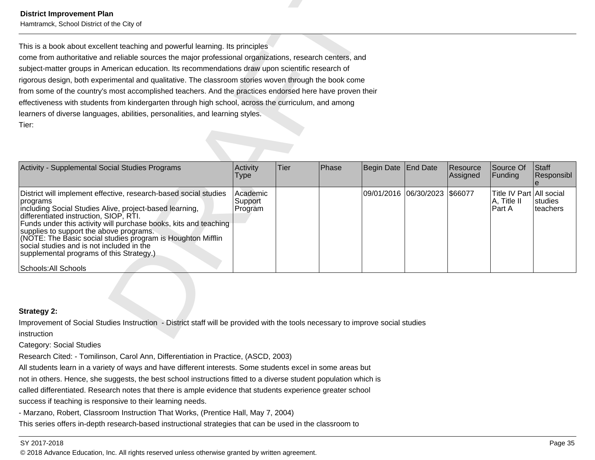| <b>District Improvement Plan</b><br>Hamtramck, School District of the City of                                                                                                                                                                                                                                                                                                                                                                                                                                                                                                                                                                                                                                        |                                |      |              |                       |                 |                      |                                                   |                            |  |  |
|----------------------------------------------------------------------------------------------------------------------------------------------------------------------------------------------------------------------------------------------------------------------------------------------------------------------------------------------------------------------------------------------------------------------------------------------------------------------------------------------------------------------------------------------------------------------------------------------------------------------------------------------------------------------------------------------------------------------|--------------------------------|------|--------------|-----------------------|-----------------|----------------------|---------------------------------------------------|----------------------------|--|--|
| This is a book about excellent teaching and powerful learning. Its principles<br>come from authoritative and reliable sources the major professional organizations, research centers, and<br>subject-matter groups in American education. Its recommendations draw upon scientific research of<br>rigorous design, both experimental and qualitative. The classroom stories woven through the book come<br>from some of the country's most accomplished teachers. And the practices endorsed here have proven their<br>effectiveness with students from kindergarten through high school, across the curriculum, and among<br>learners of diverse languages, abilities, personalities, and learning styles.<br>Tier: |                                |      |              |                       |                 |                      |                                                   |                            |  |  |
| Activity - Supplemental Social Studies Programs                                                                                                                                                                                                                                                                                                                                                                                                                                                                                                                                                                                                                                                                      | Activity<br>Type               | Tier | <b>Phase</b> | Begin Date            | <b>End Date</b> | Resource<br>Assigned | Source Of<br>Funding                              | <b>Staff</b><br>Responsibl |  |  |
| District will implement effective, research-based social studies<br>programs<br>including Social Studies Alive, project-based learning,<br>differentiated instruction, SIOP, RTI.<br>Funds under this activity will purchase books, kits and teaching<br>supplies to support the above programs.<br>(NOTE: The Basic social studies program is Houghton Mifflin<br>social studies and is not included in the<br>supplemental programs of this Strategy.)<br>Schools: All Schools                                                                                                                                                                                                                                     | Academic<br>Support<br>Program |      |              | 09/01/2016 06/30/2023 |                 | \$66077              | Title IV Part All social<br>A, Title II<br>Part A | <b>studies</b><br>teachers |  |  |
| <b>Strategy 2:</b><br>Improvement of Social Studies Instruction - District staff will be provided with the tools necessary to improve social studies<br>instruction                                                                                                                                                                                                                                                                                                                                                                                                                                                                                                                                                  |                                |      |              |                       |                 |                      |                                                   |                            |  |  |

Category: Social Studies

Research Cited: - Tomilinson, Carol Ann, Differentiation in Practice, (ASCD, 2003)

All students learn in a variety of ways and have different interests. Some students excel in some areas but

not in others. Hence, she suggests, the best school instructions fitted to a diverse student population which is

called differentiated. Research notes that there is ample evidence that students experience greater school

success if teaching is responsive to their learning needs.

- Marzano, Robert, Classroom Instruction That Works, (Prentice Hall, May 7, 2004)

This series offers in-depth research-based instructional strategies that can be used in the classroom to

### SY 2017-2018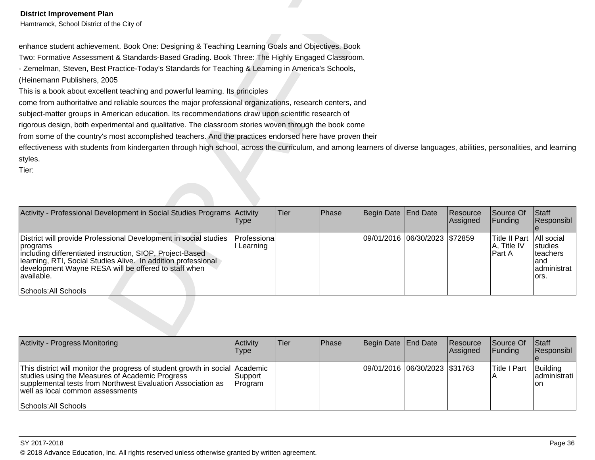| <b>District Improvement Plan</b><br>Hamtramck, School District of the City of                                                                                                                                                                                                                                                                                                                                                                                                                                                                                                                                                                                                                                                                                                                                                                                                                                                                                                                                                                                 |                         |      |       |            |                               |                      |                                               |                                                                 |
|---------------------------------------------------------------------------------------------------------------------------------------------------------------------------------------------------------------------------------------------------------------------------------------------------------------------------------------------------------------------------------------------------------------------------------------------------------------------------------------------------------------------------------------------------------------------------------------------------------------------------------------------------------------------------------------------------------------------------------------------------------------------------------------------------------------------------------------------------------------------------------------------------------------------------------------------------------------------------------------------------------------------------------------------------------------|-------------------------|------|-------|------------|-------------------------------|----------------------|-----------------------------------------------|-----------------------------------------------------------------|
| enhance student achievement. Book One: Designing & Teaching Learning Goals and Objectives. Book<br>Two: Formative Assessment & Standards-Based Grading. Book Three: The Highly Engaged Classroom.<br>- Zemelman, Steven, Best Practice-Today's Standards for Teaching & Learning in America's Schools,<br>(Heinemann Publishers, 2005<br>This is a book about excellent teaching and powerful learning. Its principles<br>come from authoritative and reliable sources the major professional organizations, research centers, and<br>subject-matter groups in American education. Its recommendations draw upon scientific research of<br>rigorous design, both experimental and qualitative. The classroom stories woven through the book come<br>from some of the country's most accomplished teachers. And the practices endorsed here have proven their<br>effectiveness with students from kindergarten through high school, across the curriculum, and among learners of diverse languages, abilities, personalities, and learning<br>styles.<br>Tier: |                         |      |       |            |                               |                      |                                               |                                                                 |
| Activity - Professional Development in Social Studies Programs Activity                                                                                                                                                                                                                                                                                                                                                                                                                                                                                                                                                                                                                                                                                                                                                                                                                                                                                                                                                                                       | <b>Type</b>             | Tier | Phase | Begin Date | <b>End Date</b>               | Resource<br>Assigned | Source Of<br>Funding                          | Staff<br>Responsibl<br>$\mathbf{e}$                             |
| District will provide Professional Development in social studies<br>programs<br>including differentiated instruction, SIOP, Project-Based<br>learning, RTI, Social Studies Alive. In addition professional<br>development Wayne RESA will be offered to staff when<br>available.<br>Schools: All Schools                                                                                                                                                                                                                                                                                                                                                                                                                                                                                                                                                                                                                                                                                                                                                      | Professiona<br>Learning |      |       |            | 09/01/2016 06/30/2023 \$72859 |                      | <b>Title II Part</b><br>A, Title IV<br>Part A | All social<br>studies<br>teachers<br>and<br>administrat<br>ors. |
|                                                                                                                                                                                                                                                                                                                                                                                                                                                                                                                                                                                                                                                                                                                                                                                                                                                                                                                                                                                                                                                               |                         |      |       |            |                               |                      |                                               |                                                                 |

| <b>Activity - Progress Monitoring</b>                                                                                                                                                                                                | <b>Activity</b><br>Type | Tier | <b>IPhase</b> | Begin Date End Date           | Resource<br><b>Assigned</b> | Source Of<br>IFundina | Start<br>Responsibl                 |
|--------------------------------------------------------------------------------------------------------------------------------------------------------------------------------------------------------------------------------------|-------------------------|------|---------------|-------------------------------|-----------------------------|-----------------------|-------------------------------------|
| This district will monitor the progress of student growth in social Academic<br>studies using the Measures of Academic Progress<br>supplemental tests from Northwest Evaluation Association as<br>I well as local common assessments | Support<br>Program      |      |               | 09/01/2016 06/30/2023 \$31763 |                             | Title I Part          | Building<br>ladministrati l<br>lon. |
| Schools: All Schools                                                                                                                                                                                                                 |                         |      |               |                               |                             |                       |                                     |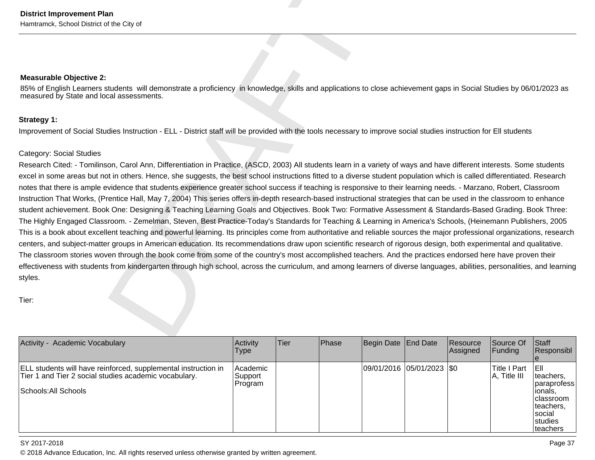District Improvement Plan<br>
Measurable Objective 2<br>
Measurable Objective 2<br>
Measurable Objective 2<br>
Measurable Objective 2<br>
Measurable Objective 2<br>
Since and Equal assessments.<br>
Since and Equal assessments<br>
Since and Equal

| Activity - Academic Vocabulary                                                                                                                  | Activity<br><b>Type</b>        | <b>Tier</b> | <b>Phase</b> | Begin Date End Date       | Resource<br>Assigned | Source Of<br> Funding           | Staff<br>Responsibl                                                                                                  |
|-------------------------------------------------------------------------------------------------------------------------------------------------|--------------------------------|-------------|--------------|---------------------------|----------------------|---------------------------------|----------------------------------------------------------------------------------------------------------------------|
| ELL students will have reinforced, supplemental instruction in<br>Tier 1 and Tier 2 social studies academic vocabulary.<br>Schools: All Schools | Academic<br>Support<br>Program |             |              | 09/01/2016 05/01/2023 \$0 |                      | Title I Part<br>$A$ , Title III | IEII<br>teachers.<br> paraprofess<br>lionals,<br> classroom<br>Iteachers,<br>Isocial<br><b>Istudies</b><br>Iteachers |

### SY 2017-2018

en and the set of the set of the set of the set of the set of the set of the set of the set of the set of the set of the set of the set of the set of the set of the set of the set of the set of the set of the set of the se © 2018 Advance Education, Inc. All rights reserved unless otherwise granted by written agreement.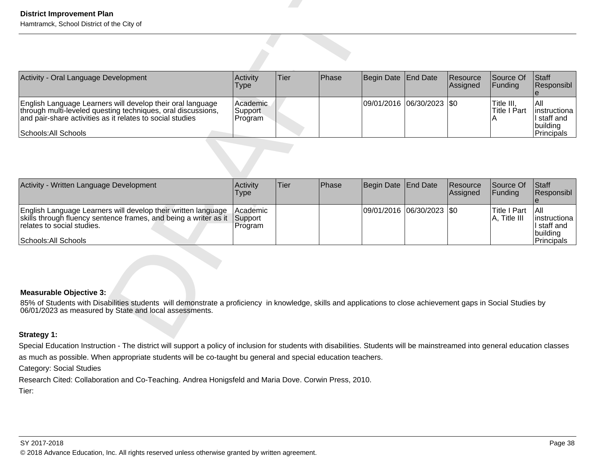| <b>District Improvement Plan</b><br>Hamtramck, School District of the City of                                                                                                                                                                                                                                                  |                                |      |       |                   |                    |                      |                                        |                                                              |
|--------------------------------------------------------------------------------------------------------------------------------------------------------------------------------------------------------------------------------------------------------------------------------------------------------------------------------|--------------------------------|------|-------|-------------------|--------------------|----------------------|----------------------------------------|--------------------------------------------------------------|
|                                                                                                                                                                                                                                                                                                                                |                                |      |       |                   |                    |                      |                                        |                                                              |
| Activity - Oral Language Development                                                                                                                                                                                                                                                                                           | Activity<br><b>Type</b>        | Tier | Phase | Begin Date        | <b>End Date</b>    | Resource<br>Assigned | Source Of<br>Funding                   | Staff<br>Responsibl<br>$\theta$                              |
| English Language Learners will develop their oral language<br>through multi-leveled questing techniques, oral discussions,<br>and pair-share activities as it relates to social studies<br><b>Schools: All Schools</b>                                                                                                         | Academic<br>Support<br>Program |      |       | 09/01/2016        | 06/30/2023         | l\$0                 | Title III,<br><b>Title I Part</b><br>A | All<br>instructiona<br>I staff and<br>building<br>Principals |
|                                                                                                                                                                                                                                                                                                                                |                                |      |       |                   |                    |                      |                                        |                                                              |
| Activity - Written Language Development                                                                                                                                                                                                                                                                                        | Activity<br><b>Type</b>        | Tier | Phase | <b>Begin Date</b> | <b>End Date</b>    | Resource<br>Assigned | Source Of<br>Funding                   | Staff<br>Responsibl<br>$\mathbf{e}$                          |
| English Language Learners will develop their written language<br>skills through fluency sentence frames, and being a writer as it<br>relates to social studies.<br>Schools: All Schools                                                                                                                                        | Academic<br>Support<br>Program |      |       | 09/01/2016        | $ 06/30/2023 $ \$0 |                      | <b>Title I Part</b><br>A, Title III    | All<br>Instructiona<br>I staff and<br>building<br>Principals |
| Measurable Objective 3:<br>85% of Students with Disabilities students will demonstrate a proficiency in knowledge, skills and applications to close achievement gaps in Social Studies by<br>06/01/2023 as measured by State and local assessments.                                                                            |                                |      |       |                   |                    |                      |                                        |                                                              |
| Strategy 1:                                                                                                                                                                                                                                                                                                                    |                                |      |       |                   |                    |                      |                                        |                                                              |
| Special Education Instruction - The district will support a policy of inclusion for students with disabilities. Students will be mainstreamed into general education classes<br>as much as possible. When appropriate students will be co-taught bu general and special education teachers.<br><b>Category: Social Studies</b> |                                |      |       |                   |                    |                      |                                        |                                                              |

| Activity - Written Language Development                                                                                                                                                 | Activity<br>Type                              | lTier. | <b>IPhase</b> | Begin Date End Date       | <b>Resource</b><br><b>Assigned</b> | <b>Source Of</b><br><b>IFundina</b> | <b>Staff</b><br>Responsibl                                        |
|-----------------------------------------------------------------------------------------------------------------------------------------------------------------------------------------|-----------------------------------------------|--------|---------------|---------------------------|------------------------------------|-------------------------------------|-------------------------------------------------------------------|
| English Language Learners will develop their written language<br>skills through fluency sentence frames, and being a writer as it<br>relates to social studies.<br>Schools: All Schools | <b>Academic</b><br><b>Support</b><br> Program |        |               | 09/01/2016 06/30/2023 \$0 |                                    | lTitle I Part<br>$ A,$ Title III    | I All<br>linstructiona<br>II staff and<br> building<br>Principals |

### **Measurable Objective 3:**

### **Strategy 1:**

Research Cited: Collaboration and Co-Teaching. Andrea Honigsfeld and Maria Dove. Corwin Press, 2010.

Tier: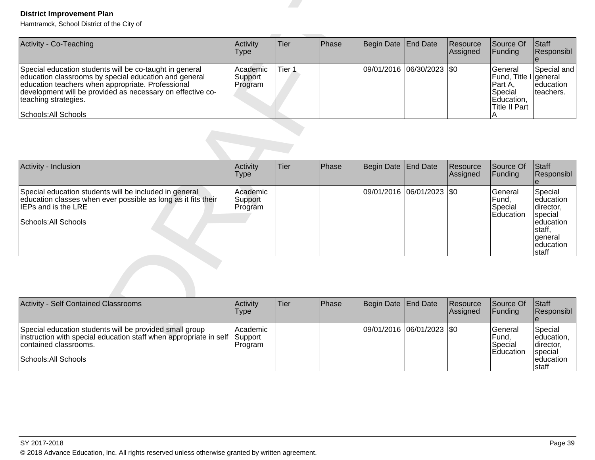| Activity - Co-Teaching                                                                                                                                                                                                                                                              | Activity<br><b>Type</b>          | Tier   | <b>Phase</b> | Begin Date End Date         | Resource<br><b>Assigned</b> | Source Of<br>IFundina                                                                    | Staff<br><b>Responsibl</b>              |
|-------------------------------------------------------------------------------------------------------------------------------------------------------------------------------------------------------------------------------------------------------------------------------------|----------------------------------|--------|--------------|-----------------------------|-----------------------------|------------------------------------------------------------------------------------------|-----------------------------------------|
| Special education students will be co-taught in general<br>education classrooms by special education and general<br>education teachers when appropriate. Professional<br>development will be provided as necessary on effective co-<br>teaching strategies.<br>Schools: All Schools | l Academic<br>Support<br>Program | Tier 1 |              | 09/01/2016 06/30/2023   \$0 |                             | lGeneral<br>Fund, Title I general<br>IPart A.<br>Special<br>Education,<br>lTitle II Part | Special and<br>leducation<br>Iteachers. |

| <b>District Improvement Plan</b><br>Hamtramck, School District of the City of                                                                                                                                                                                                       |                                |        |       |                   |                       |                      |                                                                                                   |                                                                                                      |
|-------------------------------------------------------------------------------------------------------------------------------------------------------------------------------------------------------------------------------------------------------------------------------------|--------------------------------|--------|-------|-------------------|-----------------------|----------------------|---------------------------------------------------------------------------------------------------|------------------------------------------------------------------------------------------------------|
| Activity - Co-Teaching                                                                                                                                                                                                                                                              | Activity<br><b>Type</b>        | Tier   | Phase | <b>Begin Date</b> | <b>End Date</b>       | Resource<br>Assigned | Source Of<br>Funding                                                                              | Staff<br>Responsibl                                                                                  |
| Special education students will be co-taught in general<br>education classrooms by special education and general<br>education teachers when appropriate. Professional<br>development will be provided as necessary on effective co-<br>teaching strategies.<br>Schools: All Schools | Academic<br>Support<br>Program | Tier 1 |       | 09/01/2016        | $ 06/30/2023 $ \$0    |                      | General<br>Fund, Title I general<br>Part A,<br>Special<br>Education,<br><b>Title II Part</b><br>А | Special and<br>education<br>teachers.                                                                |
|                                                                                                                                                                                                                                                                                     |                                |        |       |                   |                       |                      |                                                                                                   |                                                                                                      |
| Activity - Inclusion                                                                                                                                                                                                                                                                | Activity<br><b>Type</b>        | Tier   | Phase | <b>Begin Date</b> | <b>End Date</b>       | Resource<br>Assigned | Source Of<br>Funding                                                                              | Staff<br>Responsibl                                                                                  |
| Special education students will be included in general<br>education classes when ever possible as long as it fits their<br>IEPs and is the LRE<br>Schools: All Schools                                                                                                              | Academic<br>Support<br>Program |        |       |                   | 09/01/2016 06/01/2023 | $ $ \$0              | General<br>Fund,<br>Special<br>Education                                                          | Special<br>education<br>director,<br>special<br>education<br>staff,<br>general<br>education<br>staff |
|                                                                                                                                                                                                                                                                                     |                                |        |       |                   |                       |                      |                                                                                                   |                                                                                                      |
| <b>Activity - Self Contained Classrooms</b>                                                                                                                                                                                                                                         | Activity<br><b>Type</b>        | Tier   | Phase | Begin Date        | <b>End Date</b>       | Resource<br>Assigned | Source Of<br>Funding                                                                              | Staff<br>Responsibl                                                                                  |
| Special education students will be provided small group<br>instruction with special education staff when appropriate in self<br>contained classrooms.<br>Schools: All Schools                                                                                                       | Academic<br>Support<br>Program |        |       |                   | 09/01/2016 06/01/2023 | <b>SO</b>            | General<br>Fund,<br>Special<br>Education                                                          | Special<br>education,<br>director,<br>special<br>education<br>staff                                  |

| Activity - Self Contained Classrooms                                                                                                                                                  | Activity<br><b>Type</b> | Tier | <b>IPhase</b> | Begin Date End Date       | Resource<br>Assigned | Source Of<br><b>IFunding</b>                             | Staff<br>Responsibl                                                     |
|---------------------------------------------------------------------------------------------------------------------------------------------------------------------------------------|-------------------------|------|---------------|---------------------------|----------------------|----------------------------------------------------------|-------------------------------------------------------------------------|
| Special education students will be provided small group<br>instruction with special education staff when appropriate in self Support<br>contained classrooms.<br>Schools: All Schools | Academic <br>Program    |      |               | 09/01/2016 06/01/2023 \$0 |                      | <b>Seneral</b><br> Fund,<br>Special<br><b>IEducation</b> | Special<br>leducation,<br>Idirector.<br>special<br>leducation<br>Istaff |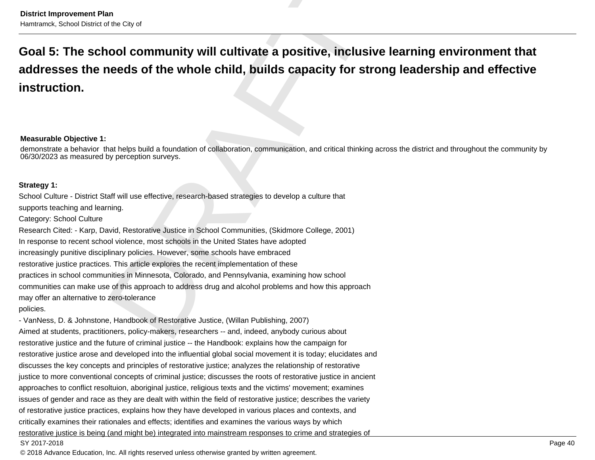### **Measurable Objective 1:**

demonstrate a behavior that helps build a foundation of collaboration, communication, and critical thinking across the district and throughout the community by06/30/2023 as measured by perception surveys.

District improvement Plan<br>**Goal 5: The school community will cultivate a positive, inclusive learning environment that<br>addresses the needs of the whole child, builds capacity for strong leadership and effective<br>instruction** 

restorative justice and the future of criminal justice -- the Handbook: explains how the campaign forrestorative justice arose and developed into the influential global social movement it is today; elucidates anddiscusses the key concepts and principles of restorative justice; analyzes the relationship of restorativejustice to more conventional concepts of criminal justice; discusses the roots of restorative justice in ancientapproaches to conflict resoltuion, aboriginal justice, religious texts and the victims' movement; examinesissues of gender and race as they are dealt with within the field of restorative justice; describes the varietyof restorative justice practices, explains how they have developed in various places and contexts, andcritically examines their rationales and effects; identifies and examines the various ways by which restorative justice is being (and might be) integrated into mainstream responses to crime and strategies ofSY 2017-2018en and the set of the set of the set of the set of the set of the set of the set of the set of the set of the set of the set of the set of the set of the set of the set of the set of the set of the set of the set of the se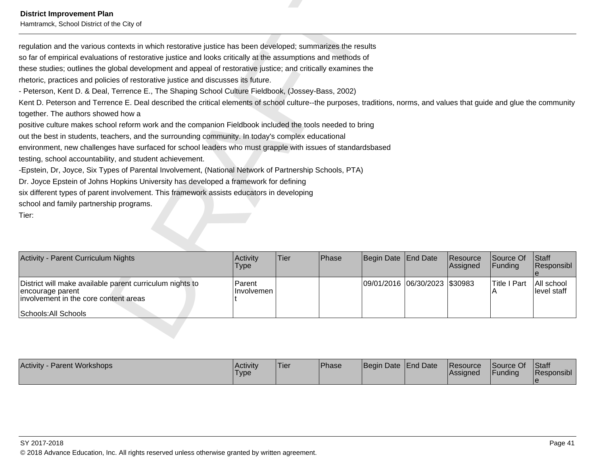Hamtramck, School District of the City of

Detrict Improvement Plan<br>
Standard and the contact of the Glyd<br>
contact and the contact of redoctive justice listing leads been developed, summarizes the results<br>
So for d'ompited evaluation of redoctive justice and docum

| Activity - Parent Curriculum Nights                                                                                                           | <b>Activity</b><br><b>Type</b> | ∣Tier∶ | <b>IPhase</b> | Begin Date End Date           | Resource<br>Assigned | Source Of<br><b>IFunding</b> | <b>Staff</b><br>Responsibl |
|-----------------------------------------------------------------------------------------------------------------------------------------------|--------------------------------|--------|---------------|-------------------------------|----------------------|------------------------------|----------------------------|
| District will make available parent curriculum nights to<br>encourage parent<br>involvement in the core content areas<br>Schools: All Schools | <b>Parent</b><br>∣Involvemen   |        |               | 09/01/2016 06/30/2023 \$30983 |                      | Title I Part                 | All school<br>llevel staff |

| Activity ·<br>- Parent Workshops | Activity<br><b>Type</b> | 'Tier | <b>Phase</b> | Begin Date End Date | <b>Resource</b><br><b>Assigned</b> | Source Of<br>Funding | Staff<br>Responsibl |
|----------------------------------|-------------------------|-------|--------------|---------------------|------------------------------------|----------------------|---------------------|
|                                  |                         |       |              |                     |                                    |                      |                     |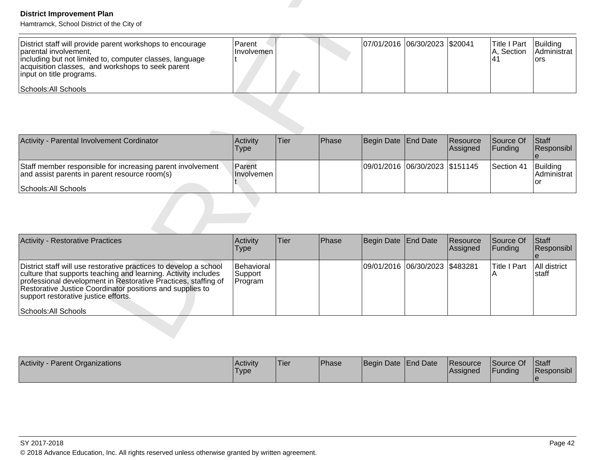| District staff will provide parent workshops to encourage<br>Iparental involvement.<br>including but not limited to, computer classes, language<br>acquisition classes, and workshops to seek parent<br>input on title programs. | <b>IParent</b><br>Hnvolvemen l | 07/01/2016  06/30/2023   \$20041 |  | Title I Part<br>IA. Section | Building<br><b>Administrat</b><br>Tors |
|----------------------------------------------------------------------------------------------------------------------------------------------------------------------------------------------------------------------------------|--------------------------------|----------------------------------|--|-----------------------------|----------------------------------------|
| Schools: All Schools                                                                                                                                                                                                             |                                |                                  |  |                             |                                        |

| Activity - Parental Involvement Cordinator                                                                  | <b>Activity</b><br>Type     | <b>Tier</b> | <b>Phase</b> | Begin Date End Date            | Resource<br><b>Assigned</b> | <b>Source Of</b><br><b>IFunding</b> | Staff<br><b>Responsibl</b>             |
|-------------------------------------------------------------------------------------------------------------|-----------------------------|-------------|--------------|--------------------------------|-----------------------------|-------------------------------------|----------------------------------------|
| Staff member responsible for increasing parent involvement<br>and assist parents in parent resource room(s) | <b>Parent</b><br>Involvemen |             |              | 09/01/2016 06/30/2023 \$151145 |                             | <b>Section 41</b>                   | Building<br><b>IAdministrat</b><br>'or |
| Schools: All Schools                                                                                        |                             |             |              |                                |                             |                                     |                                        |

| <b>District Improvement Plan</b><br>Hamtramck, School District of the City of                                                                                                                                                                                                                              |                                  |      |       |            |                 |                      |                                         |                                        |
|------------------------------------------------------------------------------------------------------------------------------------------------------------------------------------------------------------------------------------------------------------------------------------------------------------|----------------------------------|------|-------|------------|-----------------|----------------------|-----------------------------------------|----------------------------------------|
| District staff will provide parent workshops to encourage<br>parental involvement,<br>including but not limited to, computer classes, language<br>acquisition classes, and workshops to seek parent<br>input on title programs.<br>Schools: All Schools                                                    | Parent<br>Involvemen             |      |       | 07/01/2016 | 06/30/2023      | \$20041              | <b>Title I Part</b><br>A, Section<br>41 | Building<br>Administrat<br><b>ors</b>  |
|                                                                                                                                                                                                                                                                                                            |                                  |      |       |            |                 |                      |                                         |                                        |
| Activity - Parental Involvement Cordinator                                                                                                                                                                                                                                                                 | Activity<br>Type                 | Tier | Phase | Begin Date | <b>End Date</b> | Resource<br>Assigned | Source Of<br>Funding                    | <b>Staff</b><br>Responsibl<br>$\theta$ |
| Staff member responsible for increasing parent involvement<br>and assist parents in parent resource room(s)<br>Schools: All Schools                                                                                                                                                                        | Parent<br>Involvemen             |      |       | 09/01/2016 | 06/30/2023      | \$151145             | Section 41                              | Building<br>Administrat<br>or          |
|                                                                                                                                                                                                                                                                                                            |                                  |      |       |            |                 |                      |                                         |                                        |
| <b>Activity - Restorative Practices</b>                                                                                                                                                                                                                                                                    | Activity<br><b>Type</b>          | Tier | Phase | Begin Date | <b>End Date</b> | Resource<br>Assigned | Source Of<br>Funding                    | Staff<br>Responsibl<br>e               |
| District staff will use restorative practices to develop a school<br>culture that supports teaching and learning. Activity includes<br>professional development in Restorative Practices, staffing of<br>Restorative Justice Coordinator positions and supplies to<br>support restorative justice efforts. | Behavioral<br>Support<br>Program |      |       | 09/01/2016 | 06/30/2023      | \$483281             | <b>Title I Part</b><br>A                | All district<br>staff                  |
| Schools: All Schools                                                                                                                                                                                                                                                                                       |                                  |      |       |            |                 |                      |                                         |                                        |
|                                                                                                                                                                                                                                                                                                            |                                  |      |       |            |                 |                      |                                         |                                        |

| <b>Activity - Parent Organizations</b> | l Acti∨it∨<br><b>Type</b> | 'Tier | <b>Phase</b> | Begin Date End Date | Resource<br>lAssianed | Source Of<br><b>IFunding</b> | <b>Staff</b><br>Responsibl |
|----------------------------------------|---------------------------|-------|--------------|---------------------|-----------------------|------------------------------|----------------------------|
|                                        |                           |       |              |                     |                       |                              |                            |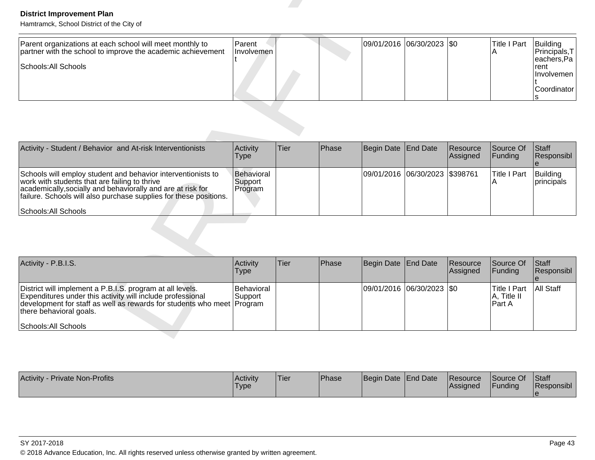| Parent organizations at each school will meet monthly to<br>partner with the school to improve the academic achievement<br>Schools: All Schools | <b>Parent</b><br>Involvemen |  | $ 09/01/2016 06/30/2023 $ \$0 | lTitle I Part | Building<br><b>IPrincipals.T</b><br> eachers,Pa  <br>Trent<br><b>Ilnvolvemen</b> I |
|-------------------------------------------------------------------------------------------------------------------------------------------------|-----------------------------|--|-------------------------------|---------------|------------------------------------------------------------------------------------|
|                                                                                                                                                 |                             |  |                               |               | Coordinator l                                                                      |
|                                                                                                                                                 |                             |  |                               |               |                                                                                    |

| <b>District Improvement Plan</b><br>Hamtramck, School District of the City of                                                                                                                                                                     |                                  |      |       |                       |                 |                      |                                              |                                                                                    |
|---------------------------------------------------------------------------------------------------------------------------------------------------------------------------------------------------------------------------------------------------|----------------------------------|------|-------|-----------------------|-----------------|----------------------|----------------------------------------------|------------------------------------------------------------------------------------|
| Parent organizations at each school will meet monthly to<br>partner with the school to improve the academic achievement<br>Schools: All Schools                                                                                                   | Parent<br>Involvemen             |      |       | 09/01/2016            | 06/30/2023 \$0  |                      | <b>Title I Part</b><br>Α                     | Building<br>Principals, T<br>eachers, Pa<br>rent<br>Involvemen<br>Coordinator<br>S |
|                                                                                                                                                                                                                                                   |                                  |      |       |                       |                 |                      |                                              |                                                                                    |
| Activity - Student / Behavior and At-risk Interventionists                                                                                                                                                                                        | Activity<br><b>Type</b>          | Tier | Phase | Begin Date            | <b>End Date</b> | Resource<br>Assigned | Source Of<br>Funding                         | Staff<br>Responsibl                                                                |
| Schools will employ student and behavior interventionists to<br>work with students that are failing to thrive<br>academically, socially and behaviorally and are at risk for<br>failure. Schools will also purchase supplies for these positions. | Behavioral<br>Support<br>Program |      |       | 09/01/2016 06/30/2023 |                 | \$398761             | <b>Title I Part</b><br>Α                     | Building<br>principals                                                             |
| Schools: All Schools                                                                                                                                                                                                                              |                                  |      |       |                       |                 |                      |                                              |                                                                                    |
| Activity - P.B.I.S.                                                                                                                                                                                                                               | Activity<br><b>Type</b>          | Tier | Phase | Begin Date            | <b>End Date</b> | Resource<br>Assigned | Source Of<br>Funding                         | Staff<br>Responsibl<br>$\mathbf e$                                                 |
| District will implement a P.B.I.S. program at all levels.<br>Expenditures under this activity will include professional<br>development for staff as well as rewards for students who meet Program<br>there behavioral goals.                      | Behavioral<br>Support            |      |       | 09/01/2016            | 06/30/2023      | \$0                  | <b>Title I Part</b><br>A, Title II<br>Part A | All Staff                                                                          |
| Schools: All Schools                                                                                                                                                                                                                              |                                  |      |       |                       |                 |                      |                                              |                                                                                    |

| Activity - P.B.I.S.                                                                                                                                                                                                                                  | Activity<br><b>Type</b>       | Tier | <b>IPhase</b> | Begin Date End Date      | Resource<br>Assigned | Source Of<br>IFundina                      | <b>Staff</b><br>Responsibl |
|------------------------------------------------------------------------------------------------------------------------------------------------------------------------------------------------------------------------------------------------------|-------------------------------|------|---------------|--------------------------|----------------------|--------------------------------------------|----------------------------|
| District will implement a P.B.I.S. program at all levels.<br>Expenditures under this activity will include professional<br>development for staff as well as rewards for students who meet Program<br>there behavioral goals.<br>Schools: All Schools | <b>Behavioral</b><br>⊥Support |      |               | 09/01/2016 06/30/2023 50 |                      | ITitle I Part<br>$ A,$ Title II<br>IPart A | <b>All Staff</b>           |

| <b>Activity</b><br><b>Private Non-Profits</b> | <b>Activity</b><br>'Type | 'Tier | <b>Phase</b> | Begin Date End Date | Resource<br><b>Assigned</b> | Source Of<br>Funding | <b>Staff</b><br><b>Responsibl</b> |
|-----------------------------------------------|--------------------------|-------|--------------|---------------------|-----------------------------|----------------------|-----------------------------------|
|                                               |                          |       |              |                     |                             |                      |                                   |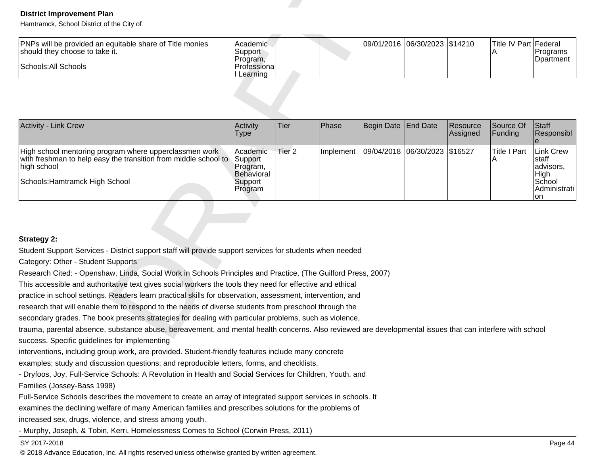| <b>IPNPs will be provided an equitable share of Title monies</b><br>should they choose to take it. | Academic<br>Support<br>Program. |  | 09/01/2016 06/30/2023 \$14210 |  | Title IV Part Federal | <b>IPrograms</b><br>Doartment |
|----------------------------------------------------------------------------------------------------|---------------------------------|--|-------------------------------|--|-----------------------|-------------------------------|
| Schools: All Schools                                                                               | Professional<br>Learning        |  |                               |  |                       |                               |

| <b>District Improvement Plan</b><br>Hamtramck, School District of the City of                                                                                                                                              |                                                                     |                   |           |            |                               |                      |                            |                                                                                |
|----------------------------------------------------------------------------------------------------------------------------------------------------------------------------------------------------------------------------|---------------------------------------------------------------------|-------------------|-----------|------------|-------------------------------|----------------------|----------------------------|--------------------------------------------------------------------------------|
| PNPs will be provided an equitable share of Title monies<br>should they choose to take it.<br>Schools: All Schools                                                                                                         | Academic<br>Support<br>Program,<br>Professiona                      |                   |           |            | 09/01/2016 06/30/2023 \$14210 |                      | Title IV Part Federal<br>Α | Programs<br>Dpartment                                                          |
|                                                                                                                                                                                                                            | Learning                                                            |                   |           |            |                               |                      |                            |                                                                                |
| <b>Activity - Link Crew</b>                                                                                                                                                                                                | Activity<br>Type                                                    | Tier              | Phase     | Begin Date | <b>End Date</b>               | Resource<br>Assigned | Source Of<br>Funding       | <b>Staff</b><br>Responsibl<br>e                                                |
| High school mentoring program where upperclassmen work<br>with freshman to help easy the transition from middle school to<br>high school<br>Schools: Hamtramck High School                                                 | Academic<br>Support<br>Program,<br>Behavioral<br>Support<br>Program | Tier <sub>2</sub> | Implement | 09/04/2018 | 06/30/2023                    | \$16527              | <b>Title I Part</b><br>Α   | <b>Link Crew</b><br>staff<br>advisors,<br>High<br>School<br>Administrati<br>on |
|                                                                                                                                                                                                                            |                                                                     |                   |           |            |                               |                      |                            |                                                                                |
| <b>Strategy 2:</b>                                                                                                                                                                                                         |                                                                     |                   |           |            |                               |                      |                            |                                                                                |
| Student Support Services - District support staff will provide support services for students when needed                                                                                                                   |                                                                     |                   |           |            |                               |                      |                            |                                                                                |
| Category: Other - Student Supports                                                                                                                                                                                         |                                                                     |                   |           |            |                               |                      |                            |                                                                                |
| Research Cited: - Openshaw, Linda, Social Work in Schools Principles and Practice, (The Guilford Press, 2007)<br>This accessible and authoritative text gives social workers the tools they need for effective and ethical |                                                                     |                   |           |            |                               |                      |                            |                                                                                |
| practice in school settings. Readers learn practical skills for observation, assessment, intervention, and                                                                                                                 |                                                                     |                   |           |            |                               |                      |                            |                                                                                |
| research that will enable them to respond to the needs of diverse students from preschool through the                                                                                                                      |                                                                     |                   |           |            |                               |                      |                            |                                                                                |
| secondary grades. The book presents strategies for dealing with particular problems, such as violence,                                                                                                                     |                                                                     |                   |           |            |                               |                      |                            |                                                                                |
| trauma, parental absence, substance abuse, bereavement, and mental health concerns. Also reviewed are developmental issues that can interfere with school                                                                  |                                                                     |                   |           |            |                               |                      |                            |                                                                                |
| success. Specific guidelines for implementing                                                                                                                                                                              |                                                                     |                   |           |            |                               |                      |                            |                                                                                |

interventions, including group work, are provided. Student-friendly features include many concrete

examples; study and discussion questions; and reproducible letters, forms, and checklists.

- Dryfoos, Joy, Full-Service Schools: A Revolution in Health and Social Services for Children, Youth, and

Families (Jossey-Bass 1998)

Full-Service Schools describes the movement to create an array of integrated support services in schools. It

examines the declining welfare of many American families and prescribes solutions for the problems of

increased sex, drugs, violence, and stress among youth.

- Murphy, Joseph, & Tobin, Kerri, Homelessness Comes to School (Corwin Press, 2011)

### SY 2017-2018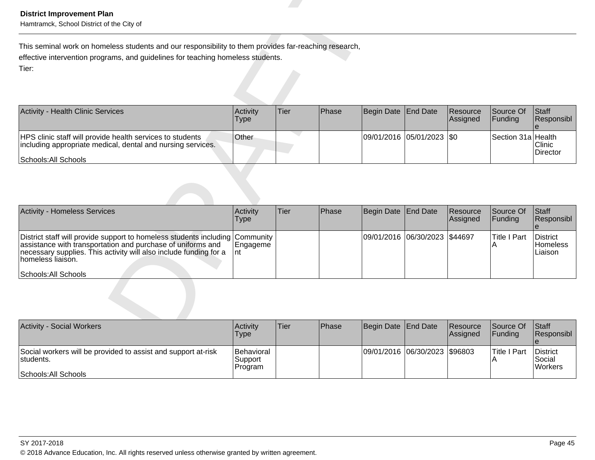| <b>Activity - Health Clinic Services</b>                                                                                                         | <b>Activity</b><br><b>Type</b> | Tier | <b>IPhase</b> | Begin Date End Date |                             | Resource<br><b>Assigned</b> | <b>Source Of</b><br><b>IFunding</b> | <b>Staff</b><br>Responsibl |
|--------------------------------------------------------------------------------------------------------------------------------------------------|--------------------------------|------|---------------|---------------------|-----------------------------|-----------------------------|-------------------------------------|----------------------------|
| HPS clinic staff will provide health services to students<br>including appropriate medical, dental and nursing services.<br>Schools: All Schools | <b>Other</b>                   |      |               |                     | 09/01/2016  05/01/2023  \$0 |                             | Section 31a Health                  | Clinic<br>Director         |

| <b>District Improvement Plan</b><br>Hamtramck, School District of the City of                                                                                                                                                                       |                             |             |       |                       |                 |                      |                          |                                        |
|-----------------------------------------------------------------------------------------------------------------------------------------------------------------------------------------------------------------------------------------------------|-----------------------------|-------------|-------|-----------------------|-----------------|----------------------|--------------------------|----------------------------------------|
| This seminal work on homeless students and our responsibility to them provides far-reaching research,<br>effective intervention programs, and guidelines for teaching homeless students.<br>Tier:                                                   |                             |             |       |                       |                 |                      |                          |                                        |
| <b>Activity - Health Clinic Services</b>                                                                                                                                                                                                            | Activity<br><b>Type</b>     | <b>Tier</b> | Phase | Begin Date            | <b>End Date</b> | Resource<br>Assigned | Source Of<br>Funding     | Staff<br>Responsibl                    |
| HPS clinic staff will provide health services to students<br>including appropriate medical, dental and nursing services.<br>Schools: All Schools                                                                                                    | Other                       |             |       | 09/01/2016 05/01/2023 |                 | \$0                  | Section 31a Health       | Clinic<br>Director                     |
|                                                                                                                                                                                                                                                     |                             |             |       |                       |                 |                      |                          |                                        |
| <b>Activity - Homeless Services</b>                                                                                                                                                                                                                 | Activity<br><b>Type</b>     | <b>Tier</b> | Phase | Begin Date            | <b>End Date</b> | Resource<br>Assigned | Source Of<br>Funding     | Staff<br>Responsibl<br>$\theta$        |
| District staff will provide support to homeless students including<br>assistance with transportation and purchase of uniforms and<br>necessary supplies. This activity will also include funding for a<br>homeless liaison.<br>Schools: All Schools | Community<br>Engageme<br>nt |             |       | 09/01/2016 06/30/2023 |                 | \$44697              | <b>Title I Part</b><br>A | District<br><b>Homeless</b><br>Liaison |
|                                                                                                                                                                                                                                                     |                             |             |       |                       |                 |                      |                          |                                        |
| <b>Activity - Social Workers</b>                                                                                                                                                                                                                    | Activity<br><b>Type</b>     | <b>Tier</b> | Phase | Begin Date            | <b>End Date</b> | Resource<br>Assigned | Source Of<br>Funding     | Staff<br>Responsibl                    |

| <b>Activity - Social Workers</b>                                                                   | <b>Activity</b><br>Type          | <b>Tier</b> | Phase | Begin Date End Date           | <b>Resource</b><br><b>Assigned</b> | Source Of<br>IFundina | <b>Staff</b><br><b>Responsibl</b>     |
|----------------------------------------------------------------------------------------------------|----------------------------------|-------------|-------|-------------------------------|------------------------------------|-----------------------|---------------------------------------|
| Social workers will be provided to assist and support at-risk<br>students.<br>Schools: All Schools | Behavioral<br>Support<br>Program |             |       | 09/01/2016 06/30/2023 \$96803 |                                    | <b>Title I Part</b>   | District<br>lSocial<br><b>Workers</b> |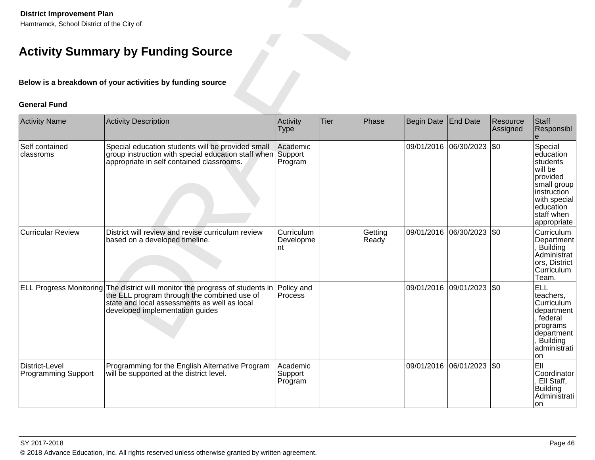| <b>District Improvement Plan</b><br>Hamtramck, School District of the City of |                                                                                                                                                                                                                                    |                                |             |                  |                   |                           |                      |                                                                                                                                                 |  |  |  |  |
|-------------------------------------------------------------------------------|------------------------------------------------------------------------------------------------------------------------------------------------------------------------------------------------------------------------------------|--------------------------------|-------------|------------------|-------------------|---------------------------|----------------------|-------------------------------------------------------------------------------------------------------------------------------------------------|--|--|--|--|
|                                                                               | <b>Activity Summary by Funding Source</b>                                                                                                                                                                                          |                                |             |                  |                   |                           |                      |                                                                                                                                                 |  |  |  |  |
|                                                                               | Below is a breakdown of your activities by funding source                                                                                                                                                                          |                                |             |                  |                   |                           |                      |                                                                                                                                                 |  |  |  |  |
| <b>General Fund</b>                                                           |                                                                                                                                                                                                                                    |                                |             |                  |                   |                           |                      |                                                                                                                                                 |  |  |  |  |
| <b>Activity Name</b>                                                          | <b>Activity Description</b>                                                                                                                                                                                                        | Activity<br><b>Type</b>        | <b>Tier</b> | Phase            | <b>Begin Date</b> | <b>End Date</b>           | Resource<br>Assigned | <b>Staff</b><br>Responsibl<br>e                                                                                                                 |  |  |  |  |
| Self contained<br>classroms                                                   | Special education students will be provided small<br>group instruction with special education staff when<br>appropriate in self contained classrooms.                                                                              | Academic<br>Support<br>Program |             |                  |                   | 09/01/2016 06/30/2023     | \$0                  | Special<br>education<br>students<br>will be<br>provided<br>small group<br>instruction<br>with special<br>education<br>staff when<br>appropriate |  |  |  |  |
| <b>Curricular Review</b>                                                      | District will review and revise curriculum review<br>based on a developed timeline.                                                                                                                                                | Curriculum<br>Developme<br>nt  |             | Getting<br>Ready |                   | 09/01/2016 06/30/2023     | \$0                  | Curriculum<br>Department<br>, Building<br>Administrat<br>ors, District<br>Curriculum<br>Team.                                                   |  |  |  |  |
|                                                                               | ELL Progress Monitoring The district will monitor the progress of students in Policy and<br>the ELL program through the combined use of Process<br>state and local assessments as well as local<br>developed implementation guides |                                |             |                  |                   | 09/01/2016 09/01/2023 \$0 |                      | <b>ELL</b><br>teachers,<br>Curriculum<br>department<br>, federal<br>programs<br>department<br>, Building<br>administrati<br>on                  |  |  |  |  |
| District-Level<br><b>Programming Support</b>                                  | Programming for the English Alternative Program<br>will be supported at the district level.                                                                                                                                        | Academic<br>Support<br>Program |             |                  |                   | 09/01/2016 06/01/2023 \$0 |                      | EII<br>Coordinator<br>Ell Staff,<br><b>Building</b><br>Administrati<br>on                                                                       |  |  |  |  |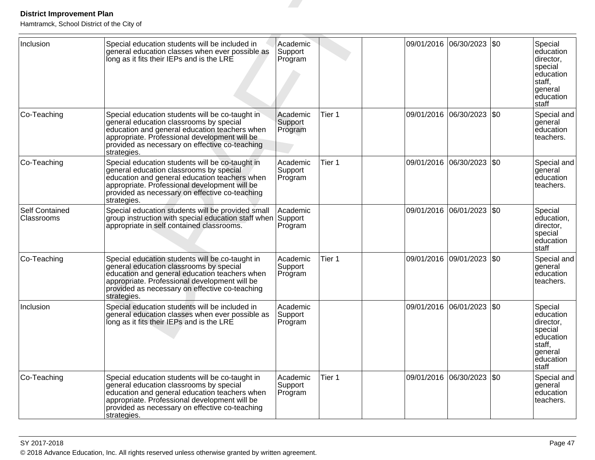| <b>District Improvement Plan</b><br>Hamtramck, School District of the City of |                                                                                                                                                                                                                                                               |                                |        |            |                           |           |                                                                                                              |
|-------------------------------------------------------------------------------|---------------------------------------------------------------------------------------------------------------------------------------------------------------------------------------------------------------------------------------------------------------|--------------------------------|--------|------------|---------------------------|-----------|--------------------------------------------------------------------------------------------------------------|
| Inclusion                                                                     | Special education students will be included in<br>general education classes when ever possible as<br>long as it fits their IEPs and is the LRE                                                                                                                | Academic<br>Support<br>Program |        | 09/01/2016 | 06/30/2023                | \$0       | Special<br>education<br>director,<br>special<br>education<br>staff,<br>general<br>leducation<br><b>Staff</b> |
| Co-Teaching                                                                   | Special education students will be co-taught in<br>general education classrooms by special<br>education and general education teachers when<br>appropriate. Professional development will be<br>provided as necessary on effective co-teaching<br>strategies. | Academic<br>Support<br>Program | Tier 1 | 09/01/2016 | 06/30/2023                | \$0       | Special and<br>general<br>education<br>teachers.                                                             |
| Co-Teaching                                                                   | Special education students will be co-taught in<br>general education classrooms by special<br>education and general education teachers when<br>appropriate. Professional development will be<br>provided as necessary on effective co-teaching<br>strategies. | Academic<br>Support<br>Program | Tier 1 |            | 09/01/2016 06/30/2023 \$0 |           | Special and<br>general<br>education<br>teachers.                                                             |
| <b>Self Contained</b><br>Classrooms                                           | Special education students will be provided small<br>group instruction with special education staff when<br>appropriate in self contained classrooms.                                                                                                         | Academic<br>Support<br>Program |        | 09/01/2016 | 06/01/2023                | \$0       | Special<br>education,<br>director,<br>special<br>education<br><b>Staff</b>                                   |
| Co-Teaching                                                                   | Special education students will be co-taught in<br>general education classrooms by special<br>education and general education teachers when<br>appropriate. Professional development will be<br>provided as necessary on effective co-teaching<br>strategies. | Academic<br>Support<br>Program | Tier 1 | 09/01/2016 | 09/01/2023                | \$0       | Special and<br>general<br>education<br>teachers.                                                             |
| Inclusion                                                                     | Special education students will be included in<br>general education classes when ever possible as<br>long as it fits their IEPs and is the LRE                                                                                                                | Academic<br>Support<br>Program |        |            | 09/01/2016 06/01/2023 \$0 |           | Special<br>education<br>Idirector.<br>special<br>education<br>staff,<br>general<br>education<br>staff        |
| Co-Teaching                                                                   | Special education students will be co-taught in<br>general education classrooms by special<br>education and general education teachers when<br>appropriate. Professional development will be<br>provided as necessary on effective co-teaching<br>strategies. | Academic<br>Support<br>Program | Tier 1 |            | 09/01/2016 06/30/2023     | <b>SO</b> | Special and<br> general<br>education<br>teachers.                                                            |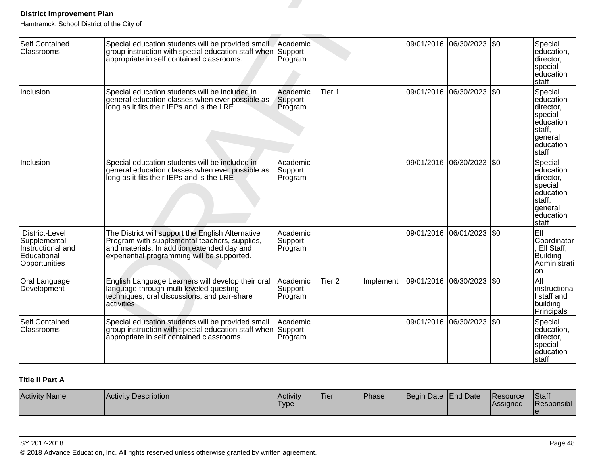| <b>District Improvement Plan</b><br>Hamtramck, School District of the City of       |                                                                                                                                                                                                   |                                |                   |           |                           |     |                                                                                                      |
|-------------------------------------------------------------------------------------|---------------------------------------------------------------------------------------------------------------------------------------------------------------------------------------------------|--------------------------------|-------------------|-----------|---------------------------|-----|------------------------------------------------------------------------------------------------------|
| <b>Self Contained</b><br>Classrooms                                                 | Special education students will be provided small<br>group instruction with special education staff when Support<br>appropriate in self contained classrooms.                                     | Academic<br>Program            |                   |           | 09/01/2016 06/30/2023 \$0 |     | Special<br>education,<br>director,<br>special<br>education<br>staff                                  |
| Inclusion                                                                           | Special education students will be included in<br>general education classes when ever possible as<br>long as it fits their IEPs and is the LRE                                                    | Academic<br>Support<br>Program | Tier 1            |           | 09/01/2016 06/30/2023 \$0 |     | Special<br>education<br>director,<br>special<br>education<br>staff.<br>general<br>education<br>staff |
| Inclusion                                                                           | Special education students will be included in<br>general education classes when ever possible as<br>long as it fits their IEPs and is the LRE                                                    | Academic<br>Support<br>Program |                   |           | 09/01/2016 06/30/2023 \$0 |     | Special<br>education<br>director,<br>special<br>education<br>staff.<br>general<br>education<br>staff |
| District-Level<br>Supplemental<br>Instructional and<br>Educational<br>Opportunities | The District will support the English Alternative<br>Program with supplemental teachers, supplies,<br>and materials. In addition, extended day and<br>experiential programming will be supported. | Academic<br>Support<br>Program |                   |           | 09/01/2016 06/01/2023 \$0 |     | EII<br>Coordinator<br>, Ell Staff,<br><b>Building</b><br>Administrati<br>on                          |
| Oral Language<br>Development                                                        | English Language Learners will develop their oral<br>language through multi leveled questing<br>techniques, oral discussions, and pair-share<br>activities                                        | Academic<br>Support<br>Program | Tier <sub>2</sub> | Implement | 09/01/2016 06/30/2023     | \$0 | All<br>instructiona<br>I staff and<br>building<br>Principals                                         |
| <b>Self Contained</b><br>Classrooms                                                 | Special education students will be provided small<br>group instruction with special education staff when<br>appropriate in self contained classrooms.                                             | Academic<br>Support<br>Program |                   |           | 09/01/2016 06/30/2023     | \$0 | Special<br>education,<br>director,<br>special<br>education<br>staff                                  |

# **Title II Part A**

| <b>Activity Name</b> | Activity Description | <b>Activity</b><br><sup>1</sup> Type | 'Tier | Phase | Begin Date End Date | <b>IResource</b><br>Assigned | Staff<br>Responsibl |
|----------------------|----------------------|--------------------------------------|-------|-------|---------------------|------------------------------|---------------------|
|                      |                      |                                      |       |       |                     |                              |                     |

### SY 2017-2018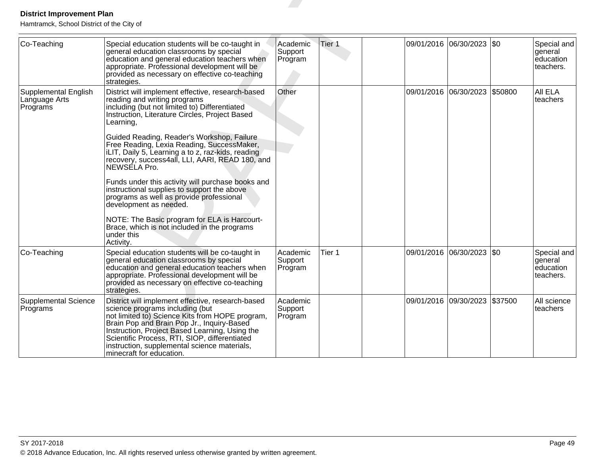| <b>District Improvement Plan</b><br>Hamtramck, School District of the City of |                                                                                                                                                                                                                                                                                                                                                                                                                                                                                                                                                                                                                                                                                                                            |                                |        |                           |           |                                                  |
|-------------------------------------------------------------------------------|----------------------------------------------------------------------------------------------------------------------------------------------------------------------------------------------------------------------------------------------------------------------------------------------------------------------------------------------------------------------------------------------------------------------------------------------------------------------------------------------------------------------------------------------------------------------------------------------------------------------------------------------------------------------------------------------------------------------------|--------------------------------|--------|---------------------------|-----------|--------------------------------------------------|
| Co-Teaching                                                                   | Special education students will be co-taught in<br>general education classrooms by special<br>education and general education teachers when<br>appropriate. Professional development will be<br>provided as necessary on effective co-teaching<br>strategies.                                                                                                                                                                                                                                                                                                                                                                                                                                                              | Academic<br>Support<br>Program | Tier 1 | 09/01/2016 06/30/2023 \$0 |           | Special and<br>general<br>education<br>teachers. |
| Supplemental English<br>Language Arts<br>Programs                             | District will implement effective, research-based<br>reading and writing programs<br>including (but not limited to) Differentiated<br>Instruction, Literature Circles, Project Based<br>Learning,<br>Guided Reading, Reader's Workshop, Failure<br>Free Reading, Lexia Reading, SuccessMaker,<br>iLIT, Daily 5, Learning a to z, raz-kids, reading<br>recovery, success4all, LLI, AARI, READ 180, and<br>NEWSELA Pro.<br>Funds under this activity will purchase books and<br>instructional supplies to support the above<br>programs as well as provide professional<br>development as needed.<br>NOTE: The Basic program for ELA is Harcourt-<br>Brace, which is not included in the programs<br>under this<br>Activity. | Other                          |        | 09/01/2016 06/30/2023     | \$50800   | All ELA<br>teachers                              |
| Co-Teaching                                                                   | Special education students will be co-taught in<br>general education classrooms by special<br>education and general education teachers when<br>appropriate. Professional development will be<br>provided as necessary on effective co-teaching<br>strategies.                                                                                                                                                                                                                                                                                                                                                                                                                                                              | Academic<br>Support<br>Program | Tier 1 | 09/01/2016 06/30/2023     | <b>SO</b> | Special and<br>general<br>education<br>teachers. |
| <b>Supplemental Science</b><br>Programs                                       | District will implement effective, research-based<br>science programs including (but<br>not limited to) Science Kits from HOPE program,<br>Brain Pop and Brain Pop Jr., Inquiry-Based<br>Instruction, Project Based Learning, Using the<br>Scientific Process, RTI, SIOP, differentiated<br>instruction, supplemental science materials,<br>minecraft for education.                                                                                                                                                                                                                                                                                                                                                       | Academic<br>Support<br>Program |        | 09/01/2016 09/30/2023     | \$37500   | All science<br>teachers                          |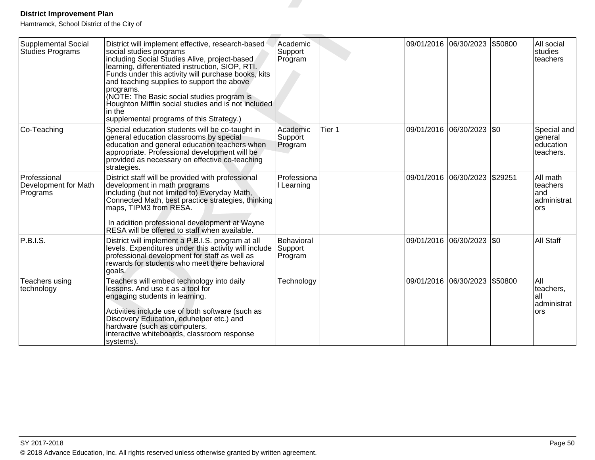| <b>District Improvement Plan</b><br>Hamtramck, School District of the City of |                                                                                                                                                                                                                                                                                                                                                                                                                                                                |                                  |        |  |                            |         |                                                   |
|-------------------------------------------------------------------------------|----------------------------------------------------------------------------------------------------------------------------------------------------------------------------------------------------------------------------------------------------------------------------------------------------------------------------------------------------------------------------------------------------------------------------------------------------------------|----------------------------------|--------|--|----------------------------|---------|---------------------------------------------------|
| <b>Supplemental Social</b><br>Studies Programs                                | District will implement effective, research-based<br>social studies programs<br>including Social Studies Alive, project-based<br>learning, differentiated instruction, SIOP, RTI.<br>Funds under this activity will purchase books, kits<br>and teaching supplies to support the above<br>programs.<br>(NOTE: The Basic social studies program is<br>Houghton Mifflin social studies and is not included<br>in the<br>supplemental programs of this Strategy.) | Academic<br>Support<br>Program   |        |  | 09/01/2016 06/30/2023      | \$50800 | All social<br>studies<br>teachers                 |
| Co-Teaching                                                                   | Special education students will be co-taught in<br>general education classrooms by special<br>education and general education teachers when<br>appropriate. Professional development will be<br>provided as necessary on effective co-teaching<br>strategies.                                                                                                                                                                                                  | Academic<br>Support<br>Program   | Tier 1 |  | 09/01/2016 06/30/2023      | \$0     | Special and<br>general<br>education<br>teachers.  |
| Professional<br>Development for Math<br>Programs                              | District staff will be provided with professional<br>development in math programs<br>including (but not limited to) Everyday Math,<br>Connected Math, best practice strategies, thinking<br>maps, TIPM3 from RESA.<br>In addition professional development at Wayne<br>RESA will be offered to staff when available.                                                                                                                                           | Professiona<br>I Learning        |        |  | 09/01/2016 06/30/2023      | \$29251 | All math<br>teachers<br>and<br>administrat<br>ors |
| P.B.I.S.                                                                      | District will implement a P.B.I.S. program at all<br>levels. Expenditures under this activity will include<br>professional development for staff as well as<br>rewards for students who meet there behavioral<br>goals.                                                                                                                                                                                                                                        | Behavioral<br>Support<br>Program |        |  | 09/01/2016 06/30/2023  \$0 |         | <b>All Staff</b>                                  |
| Teachers using<br>technology                                                  | Teachers will embed technology into daily<br>lessons. And use it as a tool for<br>engaging students in learning.<br>Activities include use of both software (such as<br>Discovery Education, eduhelper etc.) and<br>hardware (such as computers,<br>interactive whiteboards, classroom response<br>systems).                                                                                                                                                   | Technology                       |        |  | 09/01/2016 06/30/2023      | \$50800 | All<br>teachers,<br>lall<br>administrat<br>ors    |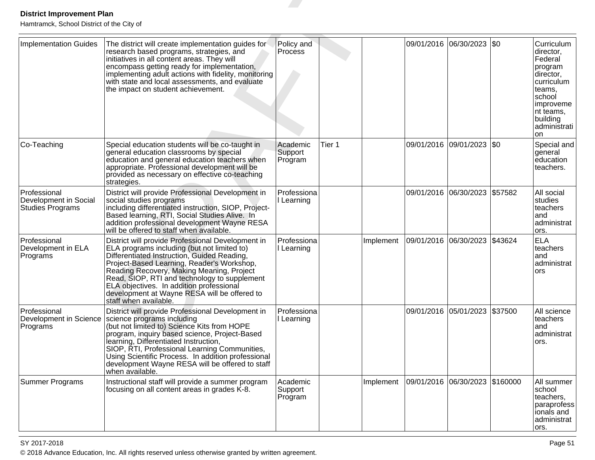| <b>District Improvement Plan</b><br>Hamtramck, School District of the City of |                                                                                                                                                                                                                                                                                                                                                                                                                                |                                |        |           |                       |                           |          |                                                                                                                                                           |
|-------------------------------------------------------------------------------|--------------------------------------------------------------------------------------------------------------------------------------------------------------------------------------------------------------------------------------------------------------------------------------------------------------------------------------------------------------------------------------------------------------------------------|--------------------------------|--------|-----------|-----------------------|---------------------------|----------|-----------------------------------------------------------------------------------------------------------------------------------------------------------|
| Implementation Guides                                                         | The district will create implementation guides for<br>research based programs, strategies, and<br>initiatives in all content areas. They will<br>encompass getting ready for implementation,<br>implementing adult actions with fidelity, monitoring<br>with state and local assessments, and evaluate<br>the impact on student achievement.                                                                                   | Policy and<br>Process          |        |           | 09/01/2016            | 06/30/2023                | \$0      | Curriculum<br>director,<br>Federal<br>program<br>director,<br>curriculum<br>teams.<br>school<br> improveme<br>nt teams,<br>building<br>administrati<br>on |
| Co-Teaching                                                                   | Special education students will be co-taught in<br>general education classrooms by special<br>education and general education teachers when<br>appropriate. Professional development will be<br>provided as necessary on effective co-teaching<br>strategies.                                                                                                                                                                  | Academic<br>Support<br>Program | Tier 1 |           |                       | 09/01/2016 09/01/2023 \$0 |          | Special and<br>general<br>education<br>teachers.                                                                                                          |
| Professional<br>Development in Social<br>Studies Programs                     | District will provide Professional Development in<br>social studies programs<br>including differentiated instruction, SIOP, Project-<br>Based learning, RTI, Social Studies Alive. In<br>addition professional development Wayne RESA<br>will be offered to staff when available.                                                                                                                                              | Professiona<br>Learning        |        |           | 09/01/2016            | 06/30/2023                | \$57582  | All social<br>studies<br>teachers<br>and<br>administrat<br>ors.                                                                                           |
| Professional<br>Development in ELA<br>Programs                                | District will provide Professional Development in<br>ELA programs including (but not limited to)<br>Differentiated Instruction, Guided Reading,<br>Project-Based Learning, Reader's Workshop,<br>Reading Recovery, Making Meaning, Project<br>Read, SIOP, RTI and technology to supplement<br>ELA objectives. In addition professional<br>development at Wayne RESA will be offered to<br>staff when available.                | Professiona<br>Learning        |        | Implement | 09/01/2016            | 06/30/2023                | \$43624  | <b>ELA</b><br>teachers<br>and<br>administrat<br>ors                                                                                                       |
| Professional<br>Programs                                                      | District will provide Professional Development in<br>Development in Science   science programs including<br>(but not limited to) Science Kits from HOPE<br>program, inquiry based science, Project-Based<br>learning, Differentiated Instruction,<br>SIOP, RTI, Professional Learning Communities,<br>Using Scientific Process. In addition professional<br>development Wayne RESA will be offered to staff<br>when available. | Professiona<br>I Learning      |        |           | 09/01/2016            | 05/01/2023                | \$37500  | All science<br>teachers<br>land<br>administrat<br>ors.                                                                                                    |
| <b>Summer Programs</b>                                                        | Instructional staff will provide a summer program<br>focusing on all content areas in grades K-8.                                                                                                                                                                                                                                                                                                                              | Academic<br>Support<br>Program |        | Implement | 09/01/2016 06/30/2023 |                           | \$160000 | All summer<br>school<br>teachers,<br>paraprofess<br>ionals and<br>administrat<br>ors.                                                                     |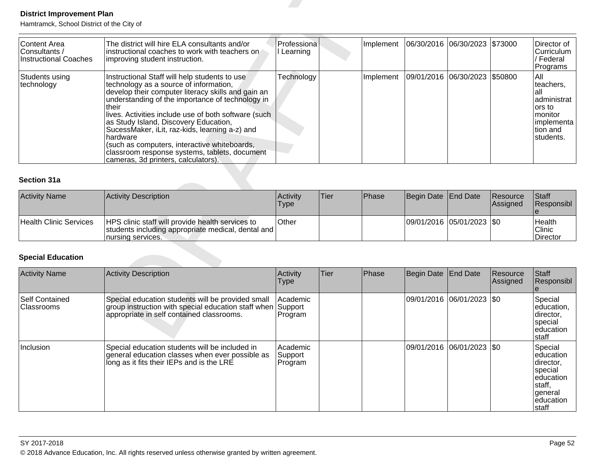| <b>District Improvement Plan</b><br>Hamtramck, School District of the City of |                                                                                                                                                                                                                                                                                                                                                                                                                                                                                                                   |                                |             |           |                   |                       |                      |                                                                                                        |
|-------------------------------------------------------------------------------|-------------------------------------------------------------------------------------------------------------------------------------------------------------------------------------------------------------------------------------------------------------------------------------------------------------------------------------------------------------------------------------------------------------------------------------------------------------------------------------------------------------------|--------------------------------|-------------|-----------|-------------------|-----------------------|----------------------|--------------------------------------------------------------------------------------------------------|
| <b>Content Area</b><br>Consultants /<br><b>Instructional Coaches</b>          | The district will hire ELA consultants and/or<br>instructional coaches to work with teachers on<br>improving student instruction.                                                                                                                                                                                                                                                                                                                                                                                 | Professiona<br>I Learning      |             | Implement | 06/30/2016        | 06/30/2023            | \$73000              | Director of<br>Curriculum<br>/ Federal<br>Programs                                                     |
| Students using<br>technology                                                  | Instructional Staff will help students to use<br>technology as a source of information,<br>develop their computer literacy skills and gain an<br>understanding of the importance of technology in<br>their<br>lives. Activities include use of both software (such<br>as Study Island, Discovery Education,<br>SucessMaker, iLit, raz-kids, learning a-z) and<br>hardware<br>(such as computers, interactive whiteboards,<br>classroom response systems, tablets, document<br>cameras, 3d printers, calculators). | Technology                     |             | Implement | 09/01/2016        | 06/30/2023            | \$50800              | All<br>teachers.<br>lall<br>administrat<br>ors to<br>monitor<br> implementa  <br>tion and<br>students. |
| <b>Section 31a</b>                                                            |                                                                                                                                                                                                                                                                                                                                                                                                                                                                                                                   |                                |             |           |                   |                       |                      |                                                                                                        |
| <b>Activity Name</b>                                                          | <b>Activity Description</b>                                                                                                                                                                                                                                                                                                                                                                                                                                                                                       | Activity<br><b>Type</b>        | Tier        | Phase     | Begin Date        | <b>End Date</b>       | Resource<br>Assigned | Staff<br>Responsibl                                                                                    |
| <b>Health Clinic Services</b>                                                 | HPS clinic staff will provide health services to<br>students including appropriate medical, dental and<br>nursing services.                                                                                                                                                                                                                                                                                                                                                                                       | Other                          |             |           |                   | 09/01/2016 05/01/2023 | \$0                  | Health<br>Clinic<br>Director                                                                           |
| <b>Special Education</b>                                                      |                                                                                                                                                                                                                                                                                                                                                                                                                                                                                                                   |                                |             |           |                   |                       |                      |                                                                                                        |
| <b>Activity Name</b>                                                          | <b>Activity Description</b>                                                                                                                                                                                                                                                                                                                                                                                                                                                                                       | Activity<br><b>Type</b>        | <b>Tier</b> | Phase     | <b>Begin Date</b> | <b>End Date</b>       | Resource<br>Assigned | <b>Staff</b><br>Responsibl<br>$\theta$                                                                 |
| <b>Self Contained</b><br>Classrooms                                           | Special education students will be provided small<br>group instruction with special education staff when<br>appropriate in self contained classrooms.                                                                                                                                                                                                                                                                                                                                                             | Academic<br>Support<br>Program |             |           | 09/01/2016        | 06/01/2023            | <b>SO</b>            | Special<br>education,<br>director,<br>special<br>education<br>Istaff                                   |

| <b>Activity Name</b>   | Activity Description                                                                                                                | Activity<br><b>Type</b> | 'Tier | Phase | Begin Date End Date       | <b>IResource</b><br><b>Assigned</b> | <b>Staff</b><br>Responsibl   |
|------------------------|-------------------------------------------------------------------------------------------------------------------------------------|-------------------------|-------|-------|---------------------------|-------------------------------------|------------------------------|
| Health Clinic Services | <b>HPS</b> clinic staff will provide health services to<br>students including appropriate medical, dental and<br>Inursing services. | <b>Other</b>            |       |       | 09/01/2016 05/01/2023 \$0 |                                     | Health<br>Clinic<br>Director |

| <b>Activity Name</b>                 | Activity Description                                                                                                                                  | Activity<br>Type               | <b>Tier</b> | Phase | Begin Date End Date         | Resource<br> Assigned | Staff<br>Responsibl                                                                                          |
|--------------------------------------|-------------------------------------------------------------------------------------------------------------------------------------------------------|--------------------------------|-------------|-------|-----------------------------|-----------------------|--------------------------------------------------------------------------------------------------------------|
| <b>Self Contained</b><br>∣Classrooms | Special education students will be provided small<br>group instruction with special education staff when<br>appropriate in self contained classrooms. | Academic<br>Support<br>Program |             |       | 09/01/2016  06/01/2023  \$0 |                       | Special<br>education,<br> director,<br>Ispecial<br>leducation<br>Istaff                                      |
| Inclusion                            | Special education students will be included in<br>general education classes when ever possible as<br>long as it fits their IEPs and is the LRE        | Academic<br>Support<br>Program |             |       | 09/01/2016  06/01/2023  \$0 |                       | Special<br>leducation<br> director,<br>Ispecial<br>leducation<br> staff,<br> general<br>leducation<br>Istaff |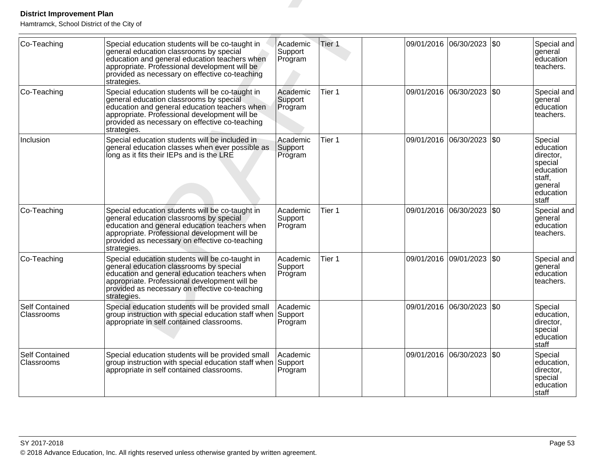| <b>District Improvement Plan</b><br>Hamtramck, School District of the City of |                                                                                                                                                                                                                                                               |                                |        |                       |                           |      |                                                                                                      |
|-------------------------------------------------------------------------------|---------------------------------------------------------------------------------------------------------------------------------------------------------------------------------------------------------------------------------------------------------------|--------------------------------|--------|-----------------------|---------------------------|------|------------------------------------------------------------------------------------------------------|
| Co-Teaching                                                                   | Special education students will be co-taught in<br>general education classrooms by special<br>education and general education teachers when<br>appropriate. Professional development will be<br>provided as necessary on effective co-teaching<br>strategies. | Academic<br>Support<br>Program | Tier 1 | 09/01/2016            | 06/30/2023                | l\$0 | Special and<br>general<br>education<br>teachers.                                                     |
| Co-Teaching                                                                   | Special education students will be co-taught in<br>general education classrooms by special<br>education and general education teachers when<br>appropriate. Professional development will be<br>provided as necessary on effective co-teaching<br>strategies. | Academic<br>Support<br>Program | Tier 1 |                       | 09/01/2016 06/30/2023     | \$0  | Special and<br>general<br>education<br>teachers.                                                     |
| Inclusion                                                                     | Special education students will be included in<br>general education classes when ever possible as<br>long as it fits their IEPs and is the LRE                                                                                                                | Academic<br>Support<br>Program | Tier 1 |                       | 09/01/2016 06/30/2023 \$0 |      | Special<br>education<br>director,<br>special<br>education<br>staff,<br>general<br>education<br>staff |
| Co-Teaching                                                                   | Special education students will be co-taught in<br>general education classrooms by special<br>education and general education teachers when<br>appropriate. Professional development will be<br>provided as necessary on effective co-teaching<br>strategies. | Academic<br>Support<br>Program | Tier 1 | 09/01/2016 06/30/2023 |                           | \$0  | Special and<br>general<br>education<br>teachers.                                                     |
| Co-Teaching                                                                   | Special education students will be co-taught in<br>general education classrooms by special<br>education and general education teachers when<br>appropriate. Professional development will be<br>provided as necessary on effective co-teaching<br>strategies. | Academic<br>Support<br>Program | Tier 1 | 09/01/2016            | 09/01/2023                | \$0  | Special and<br>general<br>education<br>teachers.                                                     |
| Self Contained<br>Classrooms                                                  | Special education students will be provided small<br>group instruction with special education staff when Support<br>appropriate in self contained classrooms.                                                                                                 | Academic<br>Program            |        |                       | 09/01/2016 06/30/2023 \$0 |      | Special<br>education,<br>director.<br>special<br>education<br>staff                                  |
| <b>Self Contained</b><br>Classrooms                                           | Special education students will be provided small<br>group instruction with special education staff when Support<br>appropriate in self contained classrooms.                                                                                                 | Academic<br>Program            |        |                       | 09/01/2016 06/30/2023     | \$0  | Special<br>education,<br>director,<br>special<br>education<br>staff                                  |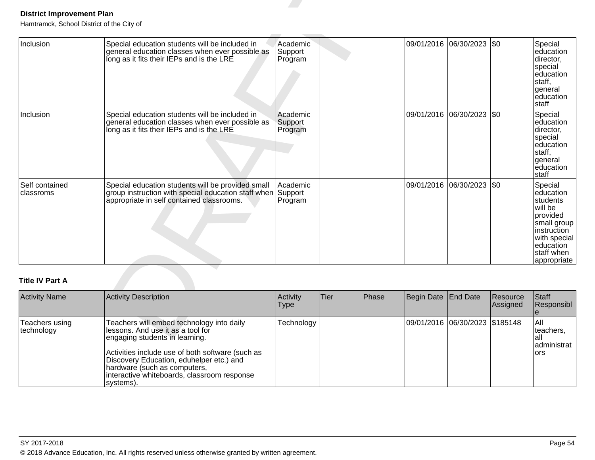| <b>District Improvement Plan</b><br>Hamtramck, School District of the City of |                                                                                                                                                       |                                |             |       |                   |                                |                      |                                                                                                                                                 |
|-------------------------------------------------------------------------------|-------------------------------------------------------------------------------------------------------------------------------------------------------|--------------------------------|-------------|-------|-------------------|--------------------------------|----------------------|-------------------------------------------------------------------------------------------------------------------------------------------------|
| Inclusion                                                                     | Special education students will be included in<br>general education classes when ever possible as<br>long as it fits their IEPs and is the LRE        | Academic<br>Support<br>Program |             |       |                   | 09/01/2016 06/30/2023 \$0      |                      | Special<br>education<br>director,<br>special<br>education<br>staff.<br>general<br>education<br>staff                                            |
| Inclusion                                                                     | Special education students will be included in<br>general education classes when ever possible as<br>long as it fits their IEPs and is the LRE        | Academic<br>Support<br>Program |             |       |                   | 09/01/2016 06/30/2023 \$0      |                      | Special<br>education<br>director,<br>special<br>education<br>staff,<br>general<br>education<br>staff                                            |
| Self contained<br>classroms                                                   | Special education students will be provided small<br>group instruction with special education staff when<br>appropriate in self contained classrooms. | Academic<br>Support<br>Program |             |       |                   | 09/01/2016 06/30/2023          | \$0                  | Special<br>education<br>students<br>will be<br>provided<br>small group<br>instruction<br>with special<br>education<br>staff when<br>appropriate |
| <b>Title IV Part A</b>                                                        |                                                                                                                                                       |                                |             |       |                   |                                |                      |                                                                                                                                                 |
| <b>Activity Name</b>                                                          | <b>Activity Description</b>                                                                                                                           | Activity<br><b>Type</b>        | <b>Tier</b> | Phase | <b>Begin Date</b> | <b>End Date</b>                | Resource<br>Assigned | <b>Staff</b><br>Responsibl<br>e                                                                                                                 |
| Teachers using<br>technology                                                  | Teachers will embed technology into daily<br>lessons. And use it as a tool for<br>engaging students in learning.                                      | Technology                     |             |       |                   | 09/01/2016 06/30/2023 \$185148 |                      | All<br>teachers,<br>lall                                                                                                                        |

| <b>Activity Name</b>          | Activity Description                                                                                                                                                                                                                                                                                           | Activity<br><b>Type</b> | Tier | Phase | Begin Date End Date |                                  | Resource<br>Assigned | Staff<br>Responsibl                              |
|-------------------------------|----------------------------------------------------------------------------------------------------------------------------------------------------------------------------------------------------------------------------------------------------------------------------------------------------------------|-------------------------|------|-------|---------------------|----------------------------------|----------------------|--------------------------------------------------|
| Teachers using<br> technology | Teachers will embed technology into daily<br>lessons. And use it as a tool for<br>engaging students in learning.<br>Activities include use of both software (such as<br>Discovery Education, eduhelper etc.) and<br> hardware (such as computers,<br>interactive whiteboards, classroom response<br>Isvstems). | Technology              |      |       |                     | 09/01/2016  06/30/2023  \$185148 |                      | IAII<br>teachers.<br>lall<br>administrat<br>lors |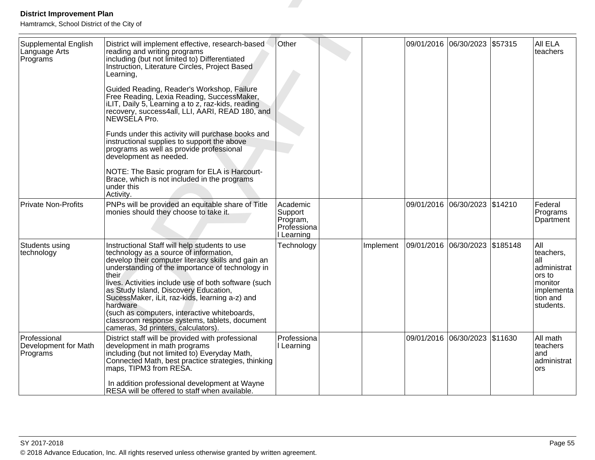| <b>District Improvement Plan</b>                                                               |                                                                                                                                                                                                                                                                                                                                                                                                                                                                                                                                                                                                                                                                                                                            |                                                              |           |                                  |                               |         |                                                                                                         |
|------------------------------------------------------------------------------------------------|----------------------------------------------------------------------------------------------------------------------------------------------------------------------------------------------------------------------------------------------------------------------------------------------------------------------------------------------------------------------------------------------------------------------------------------------------------------------------------------------------------------------------------------------------------------------------------------------------------------------------------------------------------------------------------------------------------------------------|--------------------------------------------------------------|-----------|----------------------------------|-------------------------------|---------|---------------------------------------------------------------------------------------------------------|
| Hamtramck, School District of the City of<br>Supplemental English<br>Language Arts<br>Programs | District will implement effective, research-based<br>reading and writing programs<br>including (but not limited to) Differentiated<br>Instruction, Literature Circles, Project Based<br>Learning,<br>Guided Reading, Reader's Workshop, Failure<br>Free Reading, Lexia Reading, SuccessMaker,<br>iLIT, Daily 5, Learning a to z, raz-kids, reading<br>recovery, success4all, LLI, AARI, READ 180, and<br>NEWSELA Pro.<br>Funds under this activity will purchase books and<br>instructional supplies to support the above<br>programs as well as provide professional<br>development as needed.<br>NOTE: The Basic program for ELA is Harcourt-<br>Brace, which is not included in the programs<br>under this<br>Activity. | Other                                                        |           | 09/01/2016 06/30/2023            |                               | \$57315 | All ELA<br>teachers                                                                                     |
| Private Non-Profits                                                                            | PNPs will be provided an equitable share of Title<br>monies should they choose to take it.                                                                                                                                                                                                                                                                                                                                                                                                                                                                                                                                                                                                                                 | Academic<br>Support<br>Program,<br>Professiona<br>I Learning |           |                                  | 09/01/2016 06/30/2023 \$14210 |         | Federal<br>Programs<br>Dpartment                                                                        |
| Students using<br>technology                                                                   | Instructional Staff will help students to use<br>technology as a source of information,<br>develop their computer literacy skills and gain an<br>understanding of the importance of technology in<br>their<br>lives. Activities include use of both software (such<br>as Study Island, Discovery Education,<br>SucessMaker, iLit, raz-kids, learning a-z) and<br>hardware<br>(such as computers, interactive whiteboards,<br>classroom response systems, tablets, document<br>cameras, 3d printers, calculators).                                                                                                                                                                                                          | Technology                                                   | Implement | 09/01/2016  06/30/2023  \$185148 |                               |         | All<br>teachers,<br>lall<br>administrat<br>ors to<br>Imonitor<br> implementa  <br>tion and<br>students. |
| Professional<br>Development for Math<br>Programs                                               | District staff will be provided with professional<br>development in math programs<br>including (but not limited to) Everyday Math,<br>Connected Math, best practice strategies, thinking<br>maps, TIPM3 from RESA.<br>In addition professional development at Wayne<br>RESA will be offered to staff when available.                                                                                                                                                                                                                                                                                                                                                                                                       | Professiona<br>I Learning                                    |           |                                  | 09/01/2016 06/30/2023 \$11630 |         | All math<br>teachers<br>land<br>administrat<br>ors                                                      |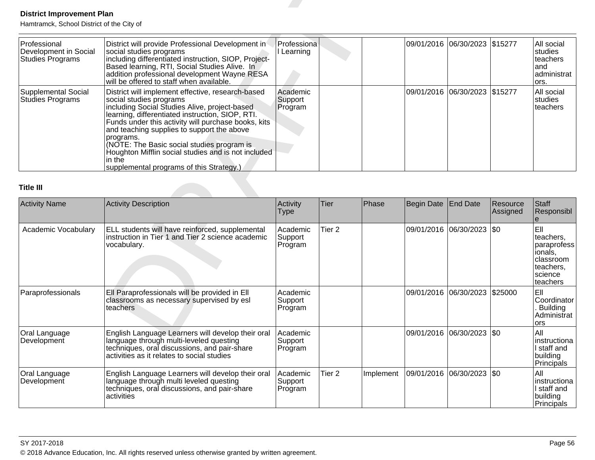| Professional<br>Development in Social<br><b>Studies Programs</b> | District will provide Professional Development in<br>social studies programs<br>including differentiated instruction, SIOP, Project-<br>Based learning, RTI, Social Studies Alive. In<br>addition professional development Wayne RESA<br>will be offered to staff when available.                                                                                                                                                                              | Professiona<br>l Learning      |  | 09/01/2016  06/30/2023  \$15277 | All social<br><b>Istudies</b><br>Iteachers<br>land<br>administrat<br>lors. |
|------------------------------------------------------------------|----------------------------------------------------------------------------------------------------------------------------------------------------------------------------------------------------------------------------------------------------------------------------------------------------------------------------------------------------------------------------------------------------------------------------------------------------------------|--------------------------------|--|---------------------------------|----------------------------------------------------------------------------|
| Supplemental Social<br><b>Studies Programs</b>                   | District will implement effective, research-based<br>social studies programs<br>including Social Studies Alive, project-based<br>learning, differentiated instruction, SIOP, RTI.<br>Funds under this activity will purchase books, kits<br>and teaching supplies to support the above<br>programs.<br>(NOTE: The Basic social studies program is<br>Houghton Mifflin social studies and is not included<br>in the<br>supplemental programs of this Strategy.) | Academic<br>Support<br>Program |  | 09/01/2016  06/30/2023  \$15277 | All social<br>studies<br>Iteachers                                         |

| <b>District Improvement Plan</b><br>Hamtramck, School District of the City of |                                                                                                                                                                                                                                                                                                                                                                                                                                                                |                                |                   |           |            |                               |                      |                                                                                             |
|-------------------------------------------------------------------------------|----------------------------------------------------------------------------------------------------------------------------------------------------------------------------------------------------------------------------------------------------------------------------------------------------------------------------------------------------------------------------------------------------------------------------------------------------------------|--------------------------------|-------------------|-----------|------------|-------------------------------|----------------------|---------------------------------------------------------------------------------------------|
| Professional<br>Development in Social<br>Studies Programs                     | District will provide Professional Development in<br>social studies programs<br>including differentiated instruction, SIOP, Project-<br>Based learning, RTI, Social Studies Alive. In<br>addition professional development Wayne RESA<br>will be offered to staff when available.                                                                                                                                                                              | Professiona<br>I Learning      |                   |           | 09/01/2016 | 06/30/2023 \$15277            |                      | All social<br>studies<br>teachers<br>and<br>administrat<br>ors.                             |
| <b>Supplemental Social</b><br><b>Studies Programs</b>                         | District will implement effective, research-based<br>social studies programs<br>including Social Studies Alive, project-based<br>learning, differentiated instruction, SIOP, RTI.<br>Funds under this activity will purchase books, kits<br>and teaching supplies to support the above<br>programs.<br>(NOTE: The Basic social studies program is<br>Houghton Mifflin social studies and is not included<br>in the<br>supplemental programs of this Strategy.) | Academic<br>Support<br>Program |                   |           |            | 09/01/2016 06/30/2023 \$15277 |                      | All social<br>studies<br>teachers                                                           |
| <b>Title III</b>                                                              |                                                                                                                                                                                                                                                                                                                                                                                                                                                                |                                |                   |           |            |                               |                      |                                                                                             |
| <b>Activity Name</b>                                                          | <b>Activity Description</b>                                                                                                                                                                                                                                                                                                                                                                                                                                    | Activity<br><b>Type</b>        | <b>Tier</b>       | Phase     | Begin Date | <b>End Date</b>               | Resource<br>Assigned | Staff<br>Responsibl                                                                         |
| Academic Vocabulary                                                           | ELL students will have reinforced, supplemental<br>instruction in Tier 1 and Tier 2 science academic<br>vocabulary.                                                                                                                                                                                                                                                                                                                                            | Academic<br>Support<br>Program | Tier <sub>2</sub> |           |            | 09/01/2016 06/30/2023 \$0     |                      | EII<br>teachers,<br>paraprofess<br>ionals,<br>classroom<br>teachers,<br>science<br>teachers |
| Paraprofessionals                                                             | Ell Paraprofessionals will be provided in Ell<br>classrooms as necessary supervised by esl<br>teachers                                                                                                                                                                                                                                                                                                                                                         | Academic<br>Support<br>Program |                   |           |            | 09/01/2016 06/30/2023 \$25000 |                      | EII<br>Coordinator<br>Building<br>Administrat<br>ors                                        |
| Oral Language<br>Development                                                  | English Language Learners will develop their oral<br>language through multi-leveled questing<br>techniques, oral discussions, and pair-share<br>activities as it relates to social studies                                                                                                                                                                                                                                                                     | Academic<br>Support<br>Program |                   |           |            | 09/01/2016 06/30/2023 \$0     |                      | All<br>instructiona<br>I staff and<br>building<br>Principals                                |
| Oral Language<br>Development                                                  | English Language Learners will develop their oral<br>language through multi leveled questing<br>techniques, oral discussions, and pair-share<br>activities                                                                                                                                                                                                                                                                                                     | Academic<br>Support<br>Program | Tier <sub>2</sub> | Implement |            | 09/01/2016  06/30/2023  \$0   |                      | All<br>instructiona<br>I staff and<br>building<br>Principals                                |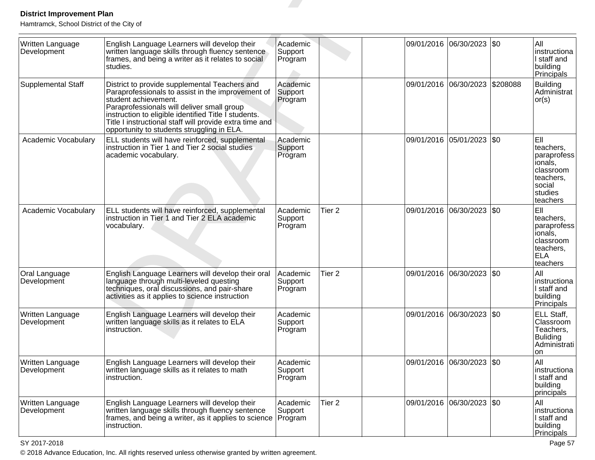| <b>District Improvement Plan</b><br>Hamtramck, School District of the City of |                                                                                                                                                                                                                                                                                                                                           |                                |                   |            |                           |          |                                                                                                               |
|-------------------------------------------------------------------------------|-------------------------------------------------------------------------------------------------------------------------------------------------------------------------------------------------------------------------------------------------------------------------------------------------------------------------------------------|--------------------------------|-------------------|------------|---------------------------|----------|---------------------------------------------------------------------------------------------------------------|
| Written Language<br>Development                                               | English Language Learners will develop their<br>written language skills through fluency sentence<br>frames, and being a writer as it relates to social<br>studies.                                                                                                                                                                        | Academic<br>Support<br>Program |                   | 09/01/2016 | 06/30/2023 \\$0           |          | All<br>instructiona<br>I staff and<br>building<br>Principals                                                  |
| Supplemental Staff                                                            | District to provide supplemental Teachers and<br>Paraprofessionals to assist in the improvement of<br>student achievement.<br>Paraprofessionals will deliver small group<br>instruction to eligible identified Title I students.<br>Title I instructional staff will provide extra time and<br>opportunity to students struggling in ELA. | Academic<br>Support<br>Program |                   | 09/01/2016 | 06/30/2023                | \$208088 | Building<br>Administrat<br>or(s)                                                                              |
| Academic Vocabulary                                                           | ELL students will have reinforced, supplemental<br>instruction in Tier 1 and Tier 2 social studies<br>academic vocabulary.                                                                                                                                                                                                                | Academic<br>Support<br>Program |                   |            | 09/01/2016 05/01/2023 \$0 |          | <b>E</b> II<br>teachers,<br>paraprofess<br>ionals,<br>classroom<br>teachers,<br>social<br>studies<br>teachers |
| Academic Vocabulary                                                           | ELL students will have reinforced, supplemental<br>instruction in Tier 1 and Tier 2 ELA academic<br>vocabulary.                                                                                                                                                                                                                           | Academic<br>Support<br>Program | Tier <sub>2</sub> | 09/01/2016 | 06/30/2023   \$0          |          | <b>E</b> II<br>teachers,<br>paraprofess<br>ionals,<br>classroom<br>teachers,<br><b>ELA</b><br>teachers        |
| Oral Language<br>Development                                                  | English Language Learners will develop their oral<br>language through multi-leveled questing<br>techniques, oral discussions, and pair-share<br>activities as it applies to science instruction                                                                                                                                           | Academic<br>Support<br>Program | Tier <sub>2</sub> | 09/01/2016 | 06/30/2023   \$0          |          | All<br>linstructiona<br>I staff and<br>building<br>Principals                                                 |
| Written Language<br>Development                                               | English Language Learners will develop their<br>written language skills as it relates to ELA<br>instruction.                                                                                                                                                                                                                              | Academic<br>Support<br>Program |                   | 09/01/2016 | 06/30/2023 \\$0           |          | ELL Staff,<br>Classroom<br>Teachers,<br>Buliding<br>Administrati<br>on                                        |
| Written Language<br>Development                                               | English Language Learners will develop their<br>written language skills as it relates to math<br>instruction.                                                                                                                                                                                                                             | Academic<br>Support<br>Program |                   | 09/01/2016 | $ 06/30/2023 $ \$0        |          | All<br>instructiona<br>I staff and<br>building<br>principals                                                  |
| Written Language<br>Development                                               | English Language Learners will develop their<br>written language skills through fluency sentence<br>frames, and being a writer, as it applies to science<br>instruction.                                                                                                                                                                  | Academic<br>Support<br>Program | Tier 2            |            | 09/01/2016 06/30/2023 \$0 |          | All<br>instructiona<br>I staff and<br>building<br><b>Principals</b>                                           |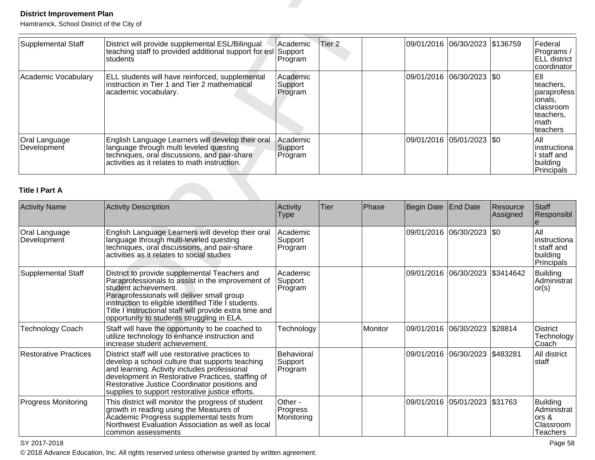| Supplemental Staff           | District will provide supplemental ESL/Bilingual<br>teaching staff to provided additional support for esl Support<br><b>Istudents</b>                                                         | Academic <br>Program           | Tier 2 | 09/01/2016  06/30/2023  \$136759 | Federal<br>/Programs <br>ELL district<br>lcoordinator                                           |
|------------------------------|-----------------------------------------------------------------------------------------------------------------------------------------------------------------------------------------------|--------------------------------|--------|----------------------------------|-------------------------------------------------------------------------------------------------|
| Academic Vocabulary          | <b>ELL</b> students will have reinforced, supplemental<br>instruction in Tier 1 and Tier 2 mathematical<br>academic vocabulary.                                                               | Academic<br>Support<br>Program |        | 09/01/2016  06/30/2023  \$0      | IEII<br>lteachers.<br> paraprofess<br>ionals.<br>Iclassroom<br>Iteachers.<br>Imath<br>Iteachers |
| Oral Language<br>Development | English Language Learners will develop their oral<br>language through multi leveled questing<br>techniques, oral discussions, and pair-share<br>activities as it relates to math instruction. | Academic<br>Support<br>Program |        | 09/01/2016  05/01/2023  \$0      | lAll<br>linstructiona<br>I staff and<br>building<br>Principals                                  |

| <b>District Improvement Plan</b>          |                                                                                                                                                                                                                                                                                                                                           |                                   |                   |         |                   |                                 |                      |                                                                                          |
|-------------------------------------------|-------------------------------------------------------------------------------------------------------------------------------------------------------------------------------------------------------------------------------------------------------------------------------------------------------------------------------------------|-----------------------------------|-------------------|---------|-------------------|---------------------------------|----------------------|------------------------------------------------------------------------------------------|
| Hamtramck, School District of the City of |                                                                                                                                                                                                                                                                                                                                           |                                   |                   |         |                   |                                 |                      |                                                                                          |
| <b>Supplemental Staff</b>                 | District will provide supplemental ESL/Bilingual<br>teaching staff to provided additional support for esl Support<br>students                                                                                                                                                                                                             | Academic<br>Program               | Tier <sub>2</sub> |         | 09/01/2016        | 06/30/2023                      | \$136759             | Federal<br>Programs /<br>ELL district<br>coordinator                                     |
| Academic Vocabulary                       | ELL students will have reinforced, supplemental<br>instruction in Tier 1 and Tier 2 mathematical<br>academic vocabulary.                                                                                                                                                                                                                  | Academic<br>Support<br>Program    |                   |         |                   | 09/01/2016 06/30/2023 \$0       |                      | Ell<br>teachers,<br>paraprofess<br>ionals,<br>classroom<br>teachers,<br>math<br>teachers |
| Oral Language<br>Development              | English Language Learners will develop their oral<br>language through multi leveled questing<br>techniques, oral discussions, and pair-share<br>activities as it relates to math instruction.                                                                                                                                             | Academic<br>Support<br>Program    |                   |         |                   | 09/01/2016 05/01/2023 \$0       |                      | All<br>linstructiona<br>I staff and<br>building<br>Principals                            |
| <b>Title I Part A</b>                     |                                                                                                                                                                                                                                                                                                                                           |                                   |                   |         |                   |                                 |                      |                                                                                          |
| <b>Activity Name</b>                      | <b>Activity Description</b>                                                                                                                                                                                                                                                                                                               | Activity<br><b>Type</b>           | <b>Tier</b>       | Phase   | <b>Begin Date</b> | <b>End Date</b>                 | Resource<br>Assigned | Staff<br>Responsibl                                                                      |
| Oral Language<br>Development              | English Language Learners will develop their oral<br>language through multi-leveled questing<br>techniques, oral discussions, and pair-share<br>activities as it relates to social studies                                                                                                                                                | Academic<br>Support<br>Program    |                   |         | 09/01/2016        | 06/30/2023                      | I\$0                 | All<br>linstructiona<br>I staff and<br>building<br>Principals                            |
| <b>Supplemental Staff</b>                 | District to provide supplemental Teachers and<br>Paraprofessionals to assist in the improvement of<br>student achievement.<br>Paraprofessionals will deliver small group<br>instruction to eligible identified Title I students.<br>Title I instructional staff will provide extra time and<br>opportunity to students struggling in ELA. | Academic<br>Support<br>Program    |                   |         |                   | 09/01/2016 06/30/2023 \$3414642 |                      | Building<br>Administrat<br>or(s)                                                         |
| Technology Coach                          | Staff will have the opportunity to be coached to<br>utilize technology to enhance instruction and<br>increase student achievement.                                                                                                                                                                                                        | Technology                        |                   | Monitor |                   | 09/01/2016 06/30/2023 \$28814   |                      | District<br>Technology<br>Coach                                                          |
| <b>Restorative Practices</b>              | District staff will use restorative practices to<br>develop a school culture that supports teaching<br>and learning. Activity includes professional<br>development in Restorative Practices, staffing of<br>Restorative Justice Coordinator positions and<br>supplies to support restorative justice efforts.                             | Behavioral<br>Support<br>Program  |                   |         |                   | 09/01/2016 06/30/2023 \$483281  |                      | All district<br><b>staff</b>                                                             |
| <b>Progress Monitoring</b>                | This district will monitor the progress of student<br>growth in reading using the Measures of<br>Academic Progress supplemental tests from<br>Northwest Evaluation Association as well as local<br>common assessments                                                                                                                     | Other -<br>Progress<br>Monitoring |                   |         |                   | 09/01/2016 05/01/2023 \$31763   |                      | <b>Building</b><br>Administrat<br>ors &<br>Classroom<br><b>Teachers</b>                  |

SY 2017-2018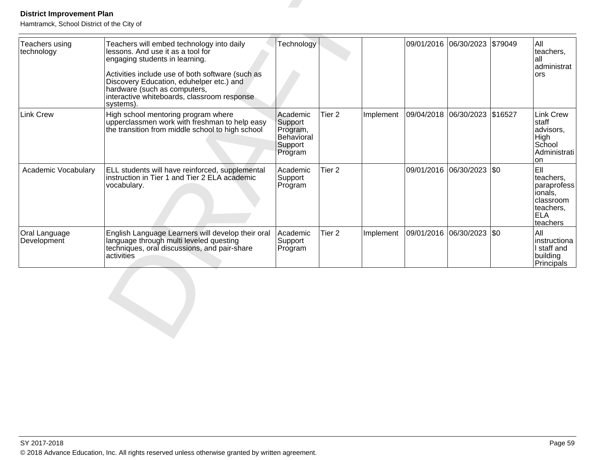| Teachers using<br>technology | Teachers will embed technology into daily<br>lessons. And use it as a tool for<br>engaging students in learning.                                                                         | Technology                                                          |                   |           |            | 09/01/2016 06/30/2023     | \$79049 | All<br>teachers,<br>lall<br>administrat                                                            |
|------------------------------|------------------------------------------------------------------------------------------------------------------------------------------------------------------------------------------|---------------------------------------------------------------------|-------------------|-----------|------------|---------------------------|---------|----------------------------------------------------------------------------------------------------|
|                              | Activities include use of both software (such as<br>Discovery Education, eduhelper etc.) and<br>hardware (such as computers,<br>interactive whiteboards, classroom response<br>systems). |                                                                     |                   |           |            |                           |         | <b>ors</b>                                                                                         |
| <b>Link Crew</b>             | High school mentoring program where<br>upperclassmen work with freshman to help easy<br>the transition from middle school to high school                                                 | Academic<br>Support<br>Program,<br>Behavioral<br>Support<br>Program | Tier <sub>2</sub> | Implement | 09/04/2018 | 06/30/2023                | \$16527 | Link Crew<br>staff<br>advisors,<br><b>High</b><br>School<br>Administrati<br>lon                    |
| Academic Vocabulary          | ELL students will have reinforced, supplemental<br>instruction in Tier 1 and Tier 2 ELA academic<br>vocabulary.                                                                          | Academic<br>Support<br>Program                                      | Tier <sub>2</sub> |           |            | 09/01/2016 06/30/2023 \$0 |         | leii.<br>teachers,<br>paraprofess<br>lionals,<br>classroom<br>teachers,<br><b>IELA</b><br>teachers |
| Oral Language<br>Development | English Language Learners will develop their oral<br>language through multi leveled questing<br>techniques, oral discussions, and pair-share<br>activities                               | Academic<br>Support<br>Program                                      | Tier <sub>2</sub> | Implement |            | 09/01/2016 06/30/2023     | \$0     | All<br>linstructiona<br>I staff and<br>building<br>Principals                                      |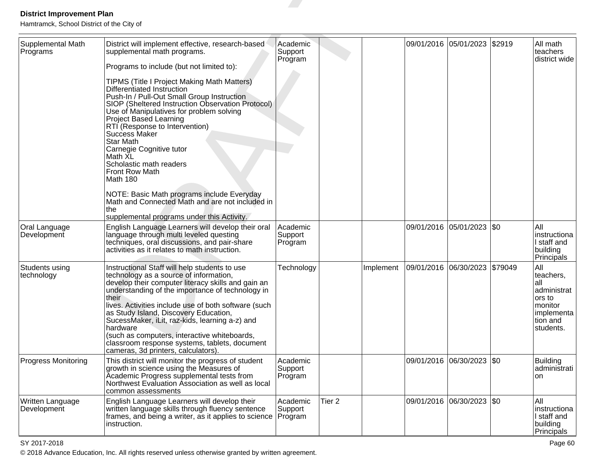| <b>District Improvement Plan</b>                                           |                                                                                                                                                                                                                                                                                                                                                                                                                                                                                                                                                                                                                                                                           |                                |                   |           |            |                           |           |                                                                                                       |
|----------------------------------------------------------------------------|---------------------------------------------------------------------------------------------------------------------------------------------------------------------------------------------------------------------------------------------------------------------------------------------------------------------------------------------------------------------------------------------------------------------------------------------------------------------------------------------------------------------------------------------------------------------------------------------------------------------------------------------------------------------------|--------------------------------|-------------------|-----------|------------|---------------------------|-----------|-------------------------------------------------------------------------------------------------------|
| Hamtramck, School District of the City of<br>Supplemental Math<br>Programs | District will implement effective, research-based<br>supplemental math programs.<br>Programs to include (but not limited to):<br>TIPMS (Title I Project Making Math Matters)<br>Differentiated Instruction<br>Push-In / Pull-Out Small Group Instruction<br>SIOP (Sheltered Instruction Observation Protocol)<br>Use of Manipulatives for problem solving<br><b>Project Based Learning</b><br>RTI (Response to Intervention)<br>Success Maker<br><b>Star Math</b><br>Carnegie Cognitive tutor<br>Math XL<br>Scholastic math readers<br>Front Row Math<br>Math 180<br>NOTE: Basic Math programs include Everyday<br>Math and Connected Math and are not included in<br>the | Academic<br>Support<br>Program |                   |           | 09/01/2016 | 05/01/2023                | \$2919    | All math<br>teachers<br>district wide                                                                 |
| Oral Language<br>Development                                               | supplemental programs under this Activity.<br>English Language Learners will develop their oral<br>language through multi leveled questing<br>techniques, oral discussions, and pair-share<br>activities as it relates to math instruction.                                                                                                                                                                                                                                                                                                                                                                                                                               | Academic<br>Support<br>Program |                   |           |            | 09/01/2016 05/01/2023     | <b>SO</b> | All<br>instructiona<br>I staff and<br>building<br>Principals                                          |
| Students using<br>technology                                               | Instructional Staff will help students to use<br>technology as a source of information,<br>develop their computer literacy skills and gain an<br>understanding of the importance of technology in<br>their<br>lives. Activities include use of both software (such<br>as Study Island, Discovery Education,<br>SucessMaker, iLit, raz-kids, learning a-z) and<br>hardware<br>(such as computers, interactive whiteboards,<br>classroom response systems, tablets, document<br>cameras, 3d printers, calculators).                                                                                                                                                         | Technology                     |                   | Implement | 09/01/2016 | 06/30/2023                | \$79049   | All<br>teachers,<br>lall<br>administrat<br>ors to<br> monitor<br> implementa<br>tion and<br>students. |
| <b>Progress Monitoring</b>                                                 | This district will monitor the progress of student<br>growth in science using the Measures of<br>Academic Progress supplemental tests from<br>Northwest Evaluation Association as well as local<br>common assessments                                                                                                                                                                                                                                                                                                                                                                                                                                                     | Academic<br>Support<br>Program |                   |           |            | 09/01/2016 06/30/2023 \$0 |           | <b>Building</b><br>administrati<br><b>on</b>                                                          |
| Written Language<br>Development                                            | English Language Learners will develop their<br>written language skills through fluency sentence<br>frames, and being a writer, as it applies to science<br>instruction.                                                                                                                                                                                                                                                                                                                                                                                                                                                                                                  | Academic<br>Support<br>Program | Tier <sub>2</sub> |           |            | 09/01/2016 06/30/2023 \$0 |           | All<br>instructiona<br>I staff and<br>building<br>Principals                                          |

entities are the contract of the contract of the contract of the contract of the contract of the contract of the contract of the contract of the contract of the contract of the contract of the contract of the contract of t © 2018 Advance Education, Inc. All rights reserved unless otherwise granted by written agreement.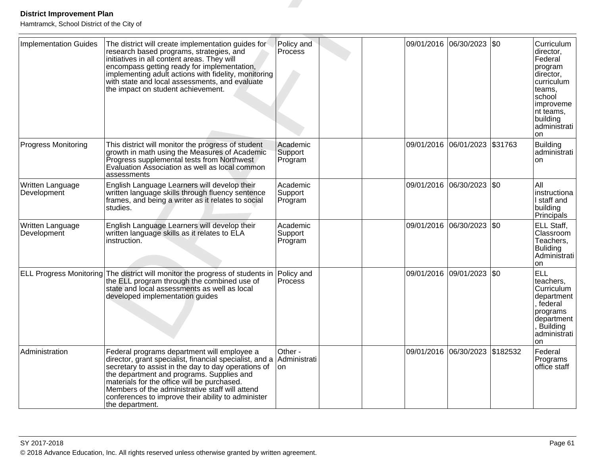| <b>District Improvement Plan</b><br>Hamtramck, School District of the City of |                                                                                                                                                                                                                                                                                                                                                                                       |                                |  |            |                                 |              |                                                                                                                                                                      |
|-------------------------------------------------------------------------------|---------------------------------------------------------------------------------------------------------------------------------------------------------------------------------------------------------------------------------------------------------------------------------------------------------------------------------------------------------------------------------------|--------------------------------|--|------------|---------------------------------|--------------|----------------------------------------------------------------------------------------------------------------------------------------------------------------------|
| <b>Implementation Guides</b>                                                  | The district will create implementation guides for<br>research based programs, strategies, and<br>initiatives in all content areas. They will<br>encompass getting ready for implementation,<br>implementing adult actions with fidelity, monitoring<br>with state and local assessments, and evaluate<br>the impact on student achievement.                                          | Policy and<br>Process          |  | 09/01/2016 | 06/30/2023                      | $ $ \$0      | Curriculum<br>director,<br>Federal<br> program<br>director,<br>curriculum<br>teams.<br> school<br> improveme<br>nt teams,<br>building<br>administrati  <br><b>on</b> |
| <b>Progress Monitoring</b>                                                    | This district will monitor the progress of student<br>growth in math using the Measures of Academic<br>Progress supplemental tests from Northwest<br>Evaluation Association as well as local common<br>assessments                                                                                                                                                                    | Academic<br>Support<br>Program |  |            | 09/01/2016  06/01/2023  \$31763 |              | Building<br>administrati  <br><b>on</b>                                                                                                                              |
| Written Language<br>Development                                               | English Language Learners will develop their<br>written language skills through fluency sentence<br>frames, and being a writer as it relates to social<br>studies.                                                                                                                                                                                                                    | Academic<br>Support<br>Program |  |            | 09/01/2016  06/30/2023  \$0     |              | All<br>instructiona<br>I staff and<br>building<br>Principals                                                                                                         |
| Written Language<br>Development                                               | English Language Learners will develop their<br>written language skills as it relates to ELA<br>instruction.                                                                                                                                                                                                                                                                          | Academic<br>Support<br>Program |  |            | 09/01/2016  06/30/2023  \$0     |              | ELL Staff,<br>Classroom<br>Teachers,<br>Buliding<br>Administrati l<br>lon                                                                                            |
|                                                                               | ELL Progress Monitoring The district will monitor the progress of students in<br>the ELL program through the combined use of<br>state and local assessments as well as local<br>developed implementation guides                                                                                                                                                                       | Policy and<br>Process          |  |            | 09/01/2016 09/01/2023           | $ 30\rangle$ | <b>ELL</b><br>teachers,<br>Curriculum<br>department<br>federal<br>programs<br> department  <br><b>Building</b><br>administrati<br><b>on</b>                          |
| Administration                                                                | Federal programs department will employee a<br>director, grant specialist, financial specialist, and a<br>secretary to assist in the day to day operations of<br>the department and programs. Supplies and<br>materials for the office will be purchased.<br>Members of the administrative staff will attend<br>conferences to improve their ability to administer<br>the department. | Other -<br>Administrati<br>lon |  |            | 09/01/2016 06/30/2023 \$182532  |              | Federal<br>Programs<br>office staff                                                                                                                                  |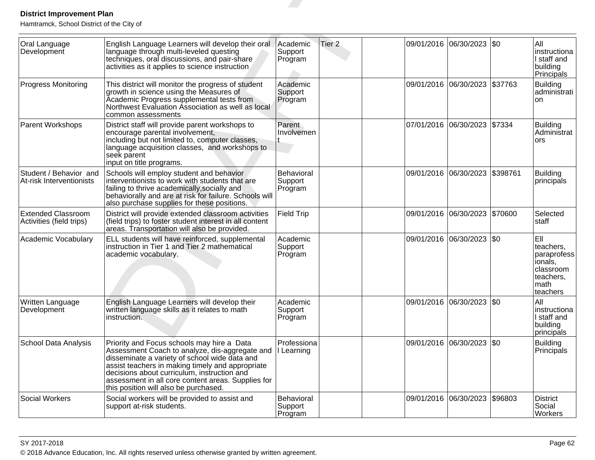| <b>District Improvement Plan</b><br>Hamtramck, School District of the City of |                                                                                                                                                                                                                                                                                                                                                 |                                         |                   |                           |             |                                                                                          |
|-------------------------------------------------------------------------------|-------------------------------------------------------------------------------------------------------------------------------------------------------------------------------------------------------------------------------------------------------------------------------------------------------------------------------------------------|-----------------------------------------|-------------------|---------------------------|-------------|------------------------------------------------------------------------------------------|
| Oral Language<br>Development                                                  | English Language Learners will develop their oral<br>language through multi-leveled questing<br>techniques, oral discussions, and pair-share<br>activities as it applies to science instruction                                                                                                                                                 | Academic<br>Support<br>Program          | Tier <sub>2</sub> | 09/01/2016 06/30/2023     | l\$0        | All<br>instructiona<br>I staff and<br>building<br>Principals                             |
| <b>Progress Monitoring</b>                                                    | This district will monitor the progress of student<br>growth in science using the Measures of<br>Academic Progress supplemental tests from<br>Northwest Evaluation Association as well as local<br>common assessments                                                                                                                           | Academic<br>Support<br>Program          |                   | 09/01/2016 06/30/2023     | \$37763     | <b>Building</b><br>administrati<br>on                                                    |
| Parent Workshops                                                              | District staff will provide parent workshops to<br>encourage parental involvement,<br>including but not limited to, computer classes,<br>language acquisition classes, and workshops to<br>seek parent<br>input on title programs.                                                                                                              | Parent<br>Involvemen                    |                   | 07/01/2016 06/30/2023     | \$7334      | <b>Building</b><br>Administrat<br>ors                                                    |
| Student / Behavior and<br>At-risk Interventionists                            | Schools will employ student and behavior<br>interventionists to work with students that are<br>failing to thrive academically, socially and<br>behaviorally and are at risk for failure. Schools will<br>also purchase supplies for these positions.                                                                                            | <b>Behavioral</b><br>Support<br>Program |                   | 09/01/2016 06/30/2023     | \$398761    | <b>Building</b><br>principals                                                            |
| <b>Extended Classroom</b><br>Activities (field trips)                         | District will provide extended classroom activities<br>(field trips) to foster student interest in all content<br>areas. Transportation will also be provided.                                                                                                                                                                                  | Field Trip                              |                   | 09/01/2016 06/30/2023     | \$70600     | Selected<br>staff                                                                        |
| Academic Vocabulary                                                           | ELL students will have reinforced, supplemental<br>instruction in Tier 1 and Tier 2 mathematical<br>academic vocabulary.                                                                                                                                                                                                                        | Academic<br>Support<br>Program          |                   | 09/01/2016 06/30/2023     | $\sqrt{50}$ | EII<br>teachers,<br>paraprofess<br>ionals,<br>classroom<br>teachers,<br>math<br>teachers |
| Written Language<br>Development                                               | English Language Learners will develop their<br>written language skills as it relates to math<br>instruction.                                                                                                                                                                                                                                   | Academic<br>Support<br>Program          |                   | 09/01/2016 06/30/2023     | \$0         | All<br>instructiona<br>I staff and<br>building<br>principals                             |
| School Data Analysis                                                          | Priority and Focus schools may hire a Data<br>Assessment Coach to analyze, dis-aggregate and<br>disseminate a variety of school wide data and<br>assist teachers in making timely and appropriate<br>decisions about curriculum, instruction and<br>assessment in all core content areas. Supplies for<br>this position will also be purchased. | Professiona<br>I Learning               |                   | 09/01/2016 06/30/2023 \$0 |             | <b>Building</b><br>Principals                                                            |
| Social Workers                                                                | Social workers will be provided to assist and<br>support at-risk students.                                                                                                                                                                                                                                                                      | Behavioral<br>Support<br>Program        |                   | 09/01/2016 06/30/2023     | \$96803     | <b>District</b><br>Social<br>Workers                                                     |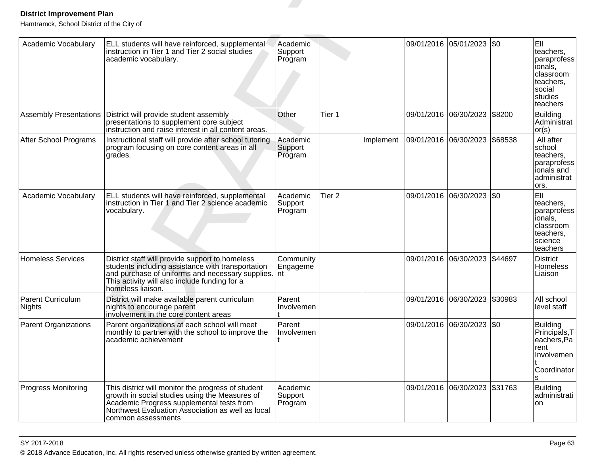| <b>District Improvement Plan</b><br>Hamtramck, School District of the City of |                                                                                                                                                                                                                                |                                |                   |           |            |                               |           |                                                                                                       |
|-------------------------------------------------------------------------------|--------------------------------------------------------------------------------------------------------------------------------------------------------------------------------------------------------------------------------|--------------------------------|-------------------|-----------|------------|-------------------------------|-----------|-------------------------------------------------------------------------------------------------------|
| Academic Vocabulary                                                           | ELL students will have reinforced, supplemental<br>instruction in Tier 1 and Tier 2 social studies<br>academic vocabulary.                                                                                                     | Academic<br>Support<br>Program |                   |           | 09/01/2016 | 05/01/2023                    | l\$0      | EII<br>teachers.<br>paraprofess<br>ionals,<br>classroom<br>teachers,<br>social<br>studies<br>teachers |
| <b>Assembly Presentations</b>                                                 | District will provide student assembly<br>presentations to supplement core subject<br>instruction and raise interest in all content areas.                                                                                     | Other                          | Tier 1            |           | 09/01/2016 | 06/30/2023                    | \$8200    | <b>Building</b><br>Administrat<br>or(s)                                                               |
| After School Programs                                                         | Instructional staff will provide after school tutoring<br>program focusing on core content areas in all<br>grades.                                                                                                             | Academic<br>Support<br>Program |                   | Implement |            | 09/01/2016 06/30/2023         | \$68538   | All after<br>school<br>teachers,<br>paraprofess<br>ionals and<br>administrat<br>ors.                  |
| Academic Vocabulary                                                           | ELL students will have reinforced, supplemental<br>instruction in Tier 1 and Tier 2 science academic<br>vocabulary.                                                                                                            | Academic<br>Support<br>Program | Tier <sub>2</sub> |           | 09/01/2016 | 06/30/2023                    | <b>SO</b> | EII<br>teachers,<br>paraprofess<br>ionals,<br>classroom<br>teachers,<br>science<br>teachers           |
| Homeless Services                                                             | District staff will provide support to homeless<br>students including assistance with transportation<br>and purchase of uniforms and necessary supplies.<br>This activity will also include funding for a<br>homeless liaison. | Community<br>Engageme<br>Int   |                   |           | 09/01/2016 | 06/30/2023                    | \$44697   | <b>District</b><br>Homeless<br>Liaison                                                                |
| <b>Parent Curriculum</b><br>Nights                                            | District will make available parent curriculum<br>nights to encourage parent<br>involvement in the core content areas                                                                                                          | Parent<br>Involvemen           |                   |           |            | 09/01/2016 06/30/2023         | \$30983   | All school<br>level staff                                                                             |
| Parent Organizations                                                          | Parent organizations at each school will meet<br>monthly to partner with the school to improve the<br>academic achievement                                                                                                     | Parent<br>Involvemen           |                   |           |            | 09/01/2016 06/30/2023 \$0     |           | <b>Building</b><br>Principals, T<br>eachers, Pa<br>rent<br>Involvemen<br>Coordinator                  |
| Progress Monitoring                                                           | This district will monitor the progress of student<br>growth in social studies using the Measures of<br>Academic Progress supplemental tests from<br>Northwest Evaluation Association as well as local<br>common assessments   | Academic<br>Support<br>Program |                   |           |            | 09/01/2016 06/30/2023 \$31763 |           | <b>Building</b><br>administrati<br>on                                                                 |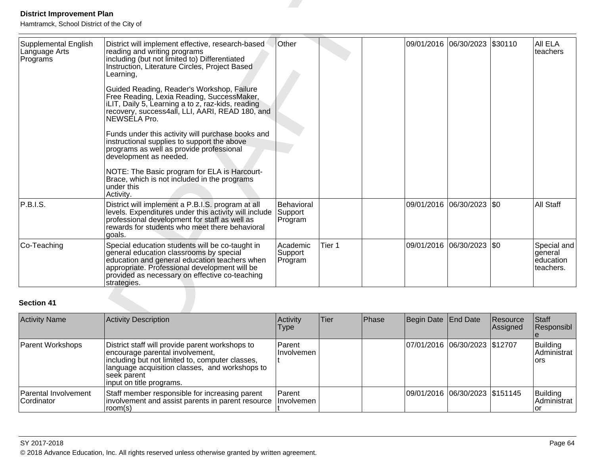| <b>District Improvement Plan</b><br>Hamtramck, School District of the City of |                                                                                                                                                                                                                                                                                                                                                                                                                                                                                                                                                                                                                                                                                                                            |                                  |        |       |                     |                            |                      |                                                  |
|-------------------------------------------------------------------------------|----------------------------------------------------------------------------------------------------------------------------------------------------------------------------------------------------------------------------------------------------------------------------------------------------------------------------------------------------------------------------------------------------------------------------------------------------------------------------------------------------------------------------------------------------------------------------------------------------------------------------------------------------------------------------------------------------------------------------|----------------------------------|--------|-------|---------------------|----------------------------|----------------------|--------------------------------------------------|
| Supplemental English<br>Language Arts<br>Programs                             | District will implement effective, research-based<br>reading and writing programs<br>including (but not limited to) Differentiated<br>Instruction, Literature Circles, Project Based<br>Learning,<br>Guided Reading, Reader's Workshop, Failure<br>Free Reading, Lexia Reading, SuccessMaker,<br>ILIT, Daily 5, Learning a to z, raz-kids, reading<br>recovery, success4all, LLI, AARI, READ 180, and<br>NEWSELA Pro.<br>Funds under this activity will purchase books and<br>instructional supplies to support the above<br>programs as well as provide professional<br>development as needed.<br>NOTE: The Basic program for ELA is Harcourt-<br>Brace, which is not included in the programs<br>under this<br>Activity. | Other                            |        |       |                     | 09/01/2016 06/30/2023      | \$30110              | All ELA<br>teachers                              |
| P.B.I.S.                                                                      | District will implement a P.B.I.S. program at all<br>levels. Expenditures under this activity will include<br>professional development for staff as well as<br>rewards for students who meet there behavioral<br>goals.                                                                                                                                                                                                                                                                                                                                                                                                                                                                                                    | Behavioral<br>Support<br>Program |        |       | 09/01/2016          | 06/30/2023                 | <b>SO</b>            | <b>All Staff</b>                                 |
| Co-Teaching                                                                   | Special education students will be co-taught in<br>general education classrooms by special<br>education and general education teachers when<br>appropriate. Professional development will be<br>provided as necessary on effective co-teaching<br>strategies.                                                                                                                                                                                                                                                                                                                                                                                                                                                              | Academic<br>Support<br>Program   | Tier 1 |       |                     | 09/01/2016 06/30/2023  \$0 |                      | Special and<br>general<br>education<br>teachers. |
| <b>Section 41</b>                                                             |                                                                                                                                                                                                                                                                                                                                                                                                                                                                                                                                                                                                                                                                                                                            |                                  |        |       |                     |                            |                      |                                                  |
| <b>Activity Name</b>                                                          | <b>Activity Description</b>                                                                                                                                                                                                                                                                                                                                                                                                                                                                                                                                                                                                                                                                                                | Activity<br><b>Type</b>          | Tier   | Phase | Begin Date End Date |                            | Resource<br>Assigned | Staff<br>Responsibl<br>e                         |

| <b>Activity Name</b>                      | Activity Description                                                                                                                                                                                                                  | Activity<br>Type     | Tier | Phase | Begin Date End Date |                                | Resource<br>Assigned | <b>Staff</b><br>Responsibl      |
|-------------------------------------------|---------------------------------------------------------------------------------------------------------------------------------------------------------------------------------------------------------------------------------------|----------------------|------|-------|---------------------|--------------------------------|----------------------|---------------------------------|
| Parent Workshops                          | District staff will provide parent workshops to<br>encourage parental involvement,<br>including but not limited to, computer classes,<br>language acquisition classes, and workshops to<br> seek parent_<br>linput on title programs. | Parent<br>Involvemen |      |       |                     | 07/01/2016 06/30/2023 \$12707  |                      | Building<br>Administrat<br>lors |
| Parental Involvement<br><b>Cordinator</b> | Staff member responsible for increasing parent<br>involvement and assist parents in parent resource<br>room(s)                                                                                                                        | Parent<br>Involvemen |      |       |                     | 09/01/2016 06/30/2023 \$151145 |                      | Building<br>Administrat         |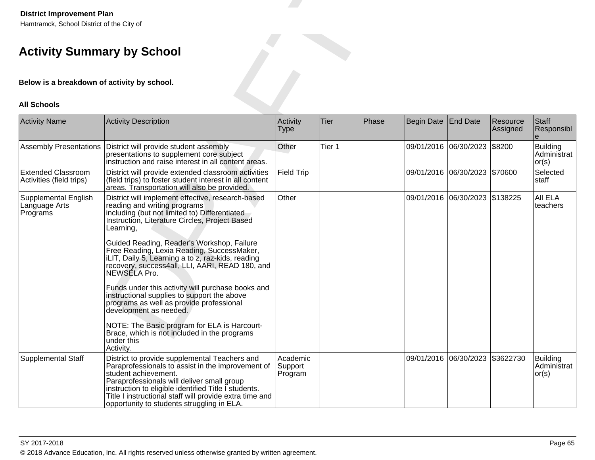| <b>District Improvement Plan</b><br>Hamtramck, School District of the City of |                                                                                                                                                                                                                                                                                                                                                                                                                                                                                                                                                                                                                                                                                                                            |                                |             |       |            |                                 |                      |                                   |  |  |
|-------------------------------------------------------------------------------|----------------------------------------------------------------------------------------------------------------------------------------------------------------------------------------------------------------------------------------------------------------------------------------------------------------------------------------------------------------------------------------------------------------------------------------------------------------------------------------------------------------------------------------------------------------------------------------------------------------------------------------------------------------------------------------------------------------------------|--------------------------------|-------------|-------|------------|---------------------------------|----------------------|-----------------------------------|--|--|
| <b>Activity Summary by School</b>                                             |                                                                                                                                                                                                                                                                                                                                                                                                                                                                                                                                                                                                                                                                                                                            |                                |             |       |            |                                 |                      |                                   |  |  |
| Below is a breakdown of activity by school.                                   |                                                                                                                                                                                                                                                                                                                                                                                                                                                                                                                                                                                                                                                                                                                            |                                |             |       |            |                                 |                      |                                   |  |  |
| <b>All Schools</b>                                                            |                                                                                                                                                                                                                                                                                                                                                                                                                                                                                                                                                                                                                                                                                                                            |                                |             |       |            |                                 |                      |                                   |  |  |
| <b>Activity Name</b>                                                          | <b>Activity Description</b>                                                                                                                                                                                                                                                                                                                                                                                                                                                                                                                                                                                                                                                                                                | Activity<br><b>Type</b>        | <b>Tier</b> | Phase | Begin Date | <b>End Date</b>                 | Resource<br>Assigned | Staff<br>Responsibl               |  |  |
| <b>Assembly Presentations</b>                                                 | District will provide student assembly<br>presentations to supplement core subject<br>instruction and raise interest in all content areas.                                                                                                                                                                                                                                                                                                                                                                                                                                                                                                                                                                                 | Other                          | Tier 1      |       |            | 09/01/2016 06/30/2023           | \$8200               | Building<br>Administrat<br> or(s) |  |  |
| <b>Extended Classroom</b><br>Activities (field trips)                         | District will provide extended classroom activities<br>(field trips) to foster student interest in all content<br>areas. Transportation will also be provided.                                                                                                                                                                                                                                                                                                                                                                                                                                                                                                                                                             | <b>Field Trip</b>              |             |       |            | 09/01/2016 06/30/2023 \$70600   |                      | Selected<br>staff                 |  |  |
| <b>Supplemental English</b><br>Language Arts<br>Programs                      | District will implement effective, research-based<br>reading and writing programs<br>including (but not limited to) Differentiated<br>Instruction, Literature Circles, Project Based<br>Learning,<br>Guided Reading, Reader's Workshop, Failure<br>Free Reading, Lexia Reading, SuccessMaker,<br>iLIT, Daily 5, Learning a to z, raz-kids, reading<br>recovery, success4all, LLI, AARI, READ 180, and<br>NEWSELA Pro.<br>Funds under this activity will purchase books and<br>instructional supplies to support the above<br>programs as well as provide professional<br>development as needed.<br>NOTE: The Basic program for ELA is Harcourt-<br>Brace, which is not included in the programs<br>under this<br>Activity. | Other                          |             |       |            | 09/01/2016 06/30/2023 \$138225  |                      | All ELA<br>teachers               |  |  |
| Supplemental Staff                                                            | District to provide supplemental Teachers and<br>Paraprofessionals to assist in the improvement of<br>student achievement.<br>Paraprofessionals will deliver small group<br>instruction to eligible identified Title I students.<br>Title I instructional staff will provide extra time and<br>opportunity to students struggling in ELA.                                                                                                                                                                                                                                                                                                                                                                                  | Academic<br>Support<br>Program |             |       |            | 09/01/2016 06/30/2023 \$3622730 |                      | Building<br>Administrat<br> or(s) |  |  |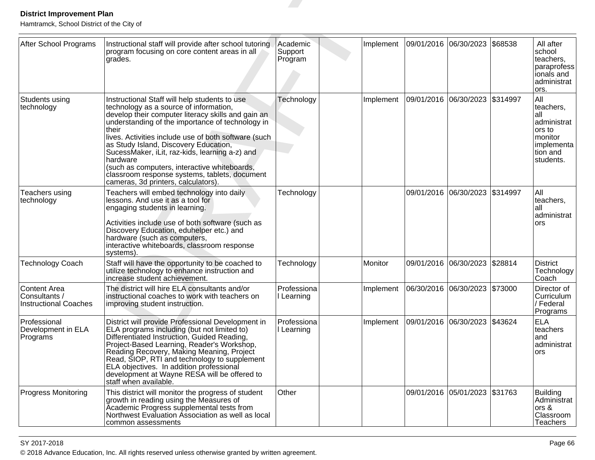| <b>District Improvement Plan</b><br>Hamtramck, School District of the City of |                                                                                                                                                                                                                                                                                                                                                                                                                                                                                                                   |                                |           |                                         |                               |          |                                                                                                    |
|-------------------------------------------------------------------------------|-------------------------------------------------------------------------------------------------------------------------------------------------------------------------------------------------------------------------------------------------------------------------------------------------------------------------------------------------------------------------------------------------------------------------------------------------------------------------------------------------------------------|--------------------------------|-----------|-----------------------------------------|-------------------------------|----------|----------------------------------------------------------------------------------------------------|
| After School Programs                                                         | Instructional staff will provide after school tutoring<br>program focusing on core content areas in all<br>grades.                                                                                                                                                                                                                                                                                                                                                                                                | Academic<br>Support<br>Program | Implement | 09/01/2016 06/30/2023                   |                               | \$68538  | All after<br>school<br>teachers,<br>paraprofess<br>ionals and<br>administrat<br>ors.               |
| Students using<br>technology                                                  | Instructional Staff will help students to use<br>technology as a source of information,<br>develop their computer literacy skills and gain an<br>understanding of the importance of technology in<br>their<br>lives. Activities include use of both software (such<br>as Study Island, Discovery Education,<br>SucessMaker, iLit, raz-kids, learning a-z) and<br>hardware<br>(such as computers, interactive whiteboards,<br>classroom response systems, tablets, document<br>cameras, 3d printers, calculators). | Technology                     | Implement | 09/01/2016 06/30/2023 \$314997          |                               |          | All<br>teachers,<br>all<br>administrat<br>ors to<br>monitor<br>implementa<br>tion and<br>students. |
| Teachers using<br>technology                                                  | Teachers will embed technology into daily<br>lessons. And use it as a tool for<br>engaging students in learning.<br>Activities include use of both software (such as<br>Discovery Education, eduhelper etc.) and<br>hardware (such as computers,<br>interactive whiteboards, classroom response<br>systems)                                                                                                                                                                                                       | Technology                     |           |                                         | 09/01/2016 06/30/2023         | \$314997 | All<br>teachers,<br>all<br>administrat<br>ors                                                      |
| <b>Technology Coach</b>                                                       | Staff will have the opportunity to be coached to<br>utilize technology to enhance instruction and<br>increase student achievement.                                                                                                                                                                                                                                                                                                                                                                                | Technology                     | Monitor   |                                         | 09/01/2016 06/30/2023         | \$28814  | <b>District</b><br>Technology<br>Coach                                                             |
| Content Area<br>/ Consultants<br><b>Instructional Coaches</b>                 | The district will hire ELA consultants and/or<br>instructional coaches to work with teachers on<br>improving student instruction.                                                                                                                                                                                                                                                                                                                                                                                 | Professiona<br>I Learning      | Implement |                                         | 06/30/2016 06/30/2023 \$73000 |          | Director of<br>Curriculum<br>/ Federal<br>Programs                                                 |
| Professional<br>Development in ELA<br>Programs                                | District will provide Professional Development in<br>ELA programs including (but not limited to)<br>Differentiated Instruction, Guided Reading,<br>Project-Based Learning, Reader's Workshop,<br>Reading Recovery, Making Meaning, Project<br>Read, SIOP, RTI and technology to supplement<br>ELA objectives. In addition professional<br>development at Wayne RESA will be offered to<br>staff when available.                                                                                                   | Professiona<br>I Learning      |           | Implement 09/01/2016 06/30/2023 \$43624 |                               |          | <b>ELA</b><br>teachers<br>and<br>administrat<br>ors                                                |
| <b>Progress Monitoring</b>                                                    | This district will monitor the progress of student<br>growth in reading using the Measures of<br>Academic Progress supplemental tests from<br>Northwest Evaluation Association as well as local<br>common assessments                                                                                                                                                                                                                                                                                             | Other                          |           |                                         | 09/01/2016 05/01/2023 \$31763 |          | <b>Building</b><br>Administrat<br>ors &<br>Classroom<br>Teachers                                   |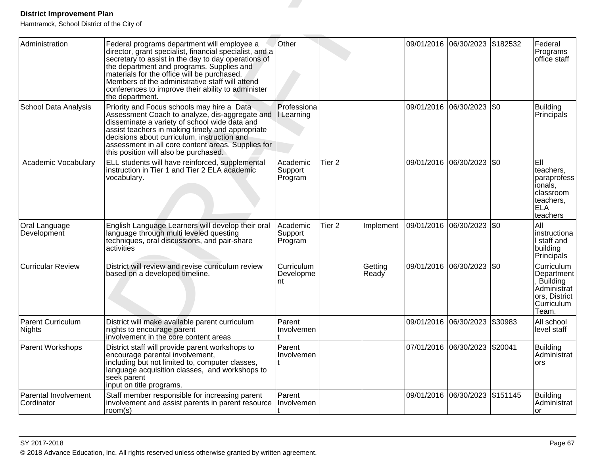| <b>District Improvement Plan</b><br>Hamtramck, School District of the City of |                                                                                                                                                                                                                                                                                                                                                                                       |                                |                   |                  |            |                                |          |                                                                                                |
|-------------------------------------------------------------------------------|---------------------------------------------------------------------------------------------------------------------------------------------------------------------------------------------------------------------------------------------------------------------------------------------------------------------------------------------------------------------------------------|--------------------------------|-------------------|------------------|------------|--------------------------------|----------|------------------------------------------------------------------------------------------------|
| Administration                                                                | Federal programs department will employee a<br>director, grant specialist, financial specialist, and a<br>secretary to assist in the day to day operations of<br>the department and programs. Supplies and<br>materials for the office will be purchased.<br>Members of the administrative staff will attend<br>conferences to improve their ability to administer<br>the department. | Other                          |                   |                  | 09/01/2016 | 06/30/2023                     | \$182532 | Federal<br>Programs<br>office staff                                                            |
| <b>School Data Analysis</b>                                                   | Priority and Focus schools may hire a Data<br>Assessment Coach to analyze, dis-aggregate and<br>disseminate a variety of school wide data and<br>assist teachers in making timely and appropriate<br>decisions about curriculum, instruction and<br>assessment in all core content areas. Supplies for<br>this position will also be purchased.                                       | Professiona<br>I Learning      |                   |                  |            | 09/01/2016 06/30/2023          | \$0      | <b>Building</b><br>Principals                                                                  |
| Academic Vocabulary                                                           | ELL students will have reinforced, supplemental<br>instruction in Tier 1 and Tier 2 ELA academic<br>vocabulary.                                                                                                                                                                                                                                                                       | Academic<br>Support<br>Program | Tier <sub>2</sub> |                  |            | 09/01/2016 06/30/2023 \$0      |          | EII<br>teachers,<br>paraprofess<br>ionals,<br>classroom<br>teachers,<br><b>ELA</b><br>teachers |
| Oral Language<br>Development                                                  | English Language Learners will develop their oral<br>language through multi leveled questing<br>techniques, oral discussions, and pair-share<br>activities                                                                                                                                                                                                                            | Academic<br>Support<br>Program | Tier <sub>2</sub> | Implement        |            | 09/01/2016  06/30/2023  \$0    |          | All<br>instructiona<br>I staff and<br>building<br>Principals                                   |
| <b>Curricular Review</b>                                                      | District will review and revise curriculum review<br>based on a developed timeline.                                                                                                                                                                                                                                                                                                   | Curriculum<br>Developme<br>nt  |                   | Getting<br>Ready |            | 09/01/2016 06/30/2023          | I\$0     | Curriculum<br>Department<br>Building<br>Administrat<br>ors, District<br>Curriculum<br>Team.    |
| <b>Parent Curriculum</b><br>Nights                                            | District will make available parent curriculum<br>nights to encourage parent<br>involvement in the core content areas                                                                                                                                                                                                                                                                 | Parent<br>Involvemen           |                   |                  |            | 09/01/2016 06/30/2023 \$30983  |          | All school<br>level staff                                                                      |
| Parent Workshops                                                              | District staff will provide parent workshops to<br>encourage parental involvement,<br>including but not limited to, computer classes,<br>language acquisition classes, and workshops to<br>seek parent<br>input on title programs.                                                                                                                                                    | Parent<br>Involvemen           |                   |                  |            | 07/01/2016 06/30/2023 \$20041  |          | <b>Building</b><br>Administrat<br>ors                                                          |
| Parental Involvement<br>Cordinator                                            | Staff member responsible for increasing parent<br>involvement and assist parents in parent resource<br>room(s)                                                                                                                                                                                                                                                                        | Parent<br>Involvemen           |                   |                  |            | 09/01/2016 06/30/2023 \$151145 |          | <b>Building</b><br>Administrat<br>or                                                           |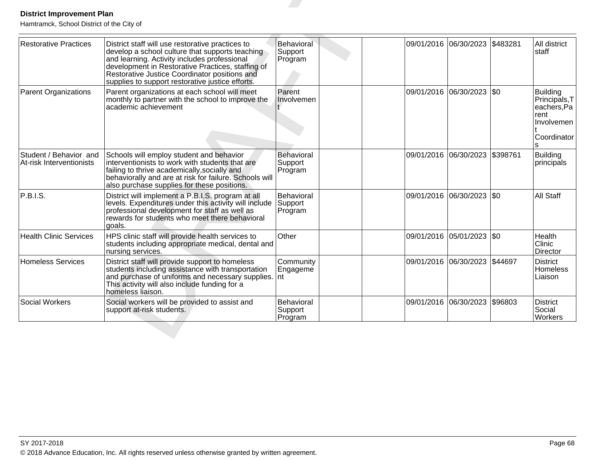| <b>Restorative Practices</b>                       | District staff will use restorative practices to<br>develop a school culture that supports teaching<br>and learning. Activity includes professional<br>development in Restorative Practices, staffing of<br>Restorative Justice Coordinator positions and<br>supplies to support restorative justice efforts. | Behavioral<br>Support<br>Program |            | 09/01/2016 06/30/2023     | \$483281 | All district<br>staff                                                                     |
|----------------------------------------------------|---------------------------------------------------------------------------------------------------------------------------------------------------------------------------------------------------------------------------------------------------------------------------------------------------------------|----------------------------------|------------|---------------------------|----------|-------------------------------------------------------------------------------------------|
| <b>Parent Organizations</b>                        | Parent organizations at each school will meet<br>monthly to partner with the school to improve the<br>academic achievement                                                                                                                                                                                    | Parent<br>Involvemen             |            | 09/01/2016 06/30/2023     | \$0      | <b>Building</b><br>Principals, T<br>eachers, Pa<br>rent<br>Involvemen<br>Coordinator<br>S |
| Student / Behavior and<br>At-risk Interventionists | Schools will employ student and behavior<br>interventionists to work with students that are<br>failing to thrive academically, socially and<br>behaviorally and are at risk for failure. Schools will<br>also purchase supplies for these positions.                                                          | Behavioral<br>Support<br>Program |            | 09/01/2016 06/30/2023     | \$398761 | <b>Building</b><br>principals                                                             |
| P.B.I.S.                                           | District will implement a P.B.I.S. program at all<br>levels. Expenditures under this activity will include<br>professional development for staff as well as<br>rewards for students who meet there behavioral<br>goals.                                                                                       | Behavioral<br>Support<br>Program |            | 09/01/2016 06/30/2023     | \$0      | All Staff                                                                                 |
| <b>Health Clinic Services</b>                      | HPS clinic staff will provide health services to<br>students including appropriate medical, dental and<br>nursing services.                                                                                                                                                                                   | Other                            |            | 09/01/2016 05/01/2023 \$0 |          | Health<br>Clinic<br><b>Director</b>                                                       |
| <b>Homeless Services</b>                           | District staff will provide support to homeless<br>students including assistance with transportation<br>and purchase of uniforms and necessary supplies.<br>This activity will also include funding for a<br>homeless liaison.                                                                                | Community<br>Engageme<br>Int     | 09/01/2016 | 06/30/2023                | \$44697  | <b>District</b><br><b>Homeless</b><br>Liaison                                             |
| Social Workers                                     | Social workers will be provided to assist and<br>support at-risk students.                                                                                                                                                                                                                                    | Behavioral<br>Support<br>Program |            | 09/01/2016 06/30/2023     | \$96803  | <b>District</b><br>Social<br>Workers                                                      |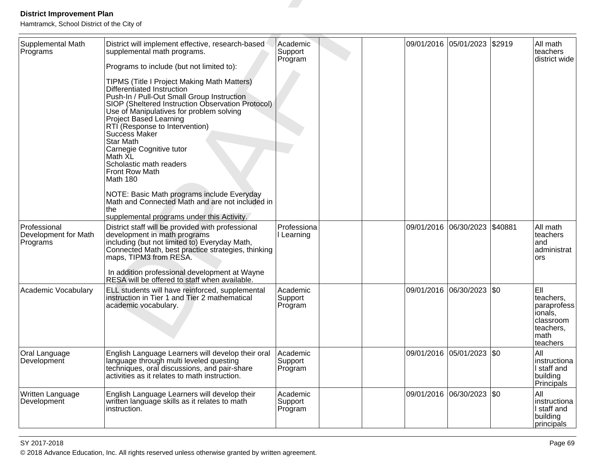| <b>District Improvement Plan</b>                                           |                                                                                                                                                                                                                                                                                                                                                                                                                                                                                                                                                                                                                                                                                                                         |                                |                       |                           |         |                                                                                           |
|----------------------------------------------------------------------------|-------------------------------------------------------------------------------------------------------------------------------------------------------------------------------------------------------------------------------------------------------------------------------------------------------------------------------------------------------------------------------------------------------------------------------------------------------------------------------------------------------------------------------------------------------------------------------------------------------------------------------------------------------------------------------------------------------------------------|--------------------------------|-----------------------|---------------------------|---------|-------------------------------------------------------------------------------------------|
| Hamtramck, School District of the City of<br>Supplemental Math<br>Programs | District will implement effective, research-based<br>supplemental math programs.<br>Programs to include (but not limited to):<br>TIPMS (Title I Project Making Math Matters)<br>Differentiated Instruction<br>Push-In / Pull-Out Small Group Instruction<br>SIOP (Sheltered Instruction Observation Protocol)<br>Use of Manipulatives for problem solving<br><b>Project Based Learning</b><br>RTI (Response to Intervention)<br>Success Maker<br><b>Star Math</b><br>Carnegie Cognitive tutor<br>Math XL<br>Scholastic math readers<br>Front Row Math<br>Math 180<br>NOTE: Basic Math programs include Everyday<br>Math and Connected Math and are not included in<br>the<br>supplemental programs under this Activity. | Academic<br>Support<br>Program |                       | 09/01/2016 05/01/2023     | \$2919  | All math<br>teachers<br>district wide                                                     |
| Professional<br>Development for Math<br>Programs                           | District staff will be provided with professional<br>development in math programs<br>including (but not limited to) Everyday Math,<br>Connected Math, best practice strategies, thinking<br>maps, TIPM3 from RESA.<br>In addition professional development at Wayne<br>RESA will be offered to staff when available.                                                                                                                                                                                                                                                                                                                                                                                                    | Professiona<br>I Learning      | 09/01/2016 06/30/2023 |                           | \$40881 | All math<br>teachers<br>land<br>administrat<br>ors                                        |
| Academic Vocabulary                                                        | ELL students will have reinforced, supplemental<br>instruction in Tier 1 and Tier 2 mathematical<br>academic vocabulary.                                                                                                                                                                                                                                                                                                                                                                                                                                                                                                                                                                                                | Academic<br>Support<br>Program | 09/01/2016 06/30/2023 |                           | \$0     | EII<br>teachers,<br>paraprofess<br>lionals,<br>classroom<br>teachers,<br>math<br>teachers |
| Oral Language<br>Development                                               | English Language Learners will develop their oral<br>language through multi leveled questing<br>techniques, oral discussions, and pair-share<br>activities as it relates to math instruction.                                                                                                                                                                                                                                                                                                                                                                                                                                                                                                                           | Academic<br>Support<br>Program |                       | 09/01/2016 05/01/2023     | \$0     | All<br>Iinstructiona<br>I staff and<br>building<br>Principals                             |
| Written Language<br>Development                                            | English Language Learners will develop their<br>written language skills as it relates to math<br>instruction.                                                                                                                                                                                                                                                                                                                                                                                                                                                                                                                                                                                                           | Academic<br>Support<br>Program |                       | 09/01/2016 06/30/2023 \$0 |         | All<br>instructiona<br>I staff and<br>building<br>principals                              |

en and the set of the set of the set of the set of the set of the set of the set of the set of the set of the set of the set of the set of the set of the set of the set of the set of the set of the set of the set of the se © 2018 Advance Education, Inc. All rights reserved unless otherwise granted by written agreement.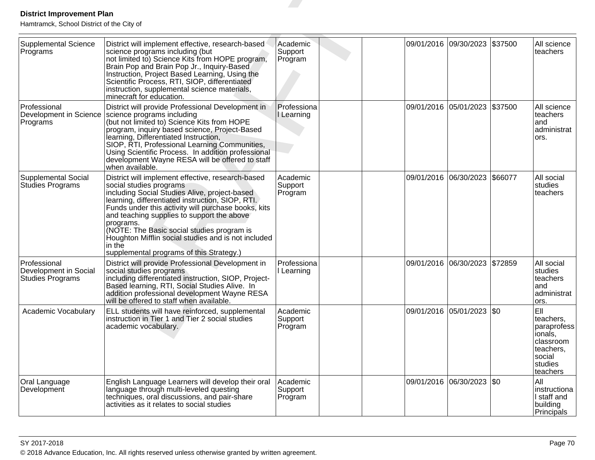| <b>District Improvement Plan</b>                                 |                                                                                                                                                                                                                                                                                                                                                                                                                                                                |                                |                       |                       |         |                                                                                                       |
|------------------------------------------------------------------|----------------------------------------------------------------------------------------------------------------------------------------------------------------------------------------------------------------------------------------------------------------------------------------------------------------------------------------------------------------------------------------------------------------------------------------------------------------|--------------------------------|-----------------------|-----------------------|---------|-------------------------------------------------------------------------------------------------------|
| Hamtramck, School District of the City of                        |                                                                                                                                                                                                                                                                                                                                                                                                                                                                |                                |                       |                       |         |                                                                                                       |
| <b>Supplemental Science</b><br>Programs                          | District will implement effective, research-based<br>science programs including (but<br>not limited to) Science Kits from HOPE program,<br>Brain Pop and Brain Pop Jr., Inquiry-Based<br>Instruction, Project Based Learning, Using the<br>Scientific Process, RTI, SIOP, differentiated<br>instruction, supplemental science materials,<br>minecraft for education.                                                                                           | Academic<br>Support<br>Program | 09/01/2016 09/30/2023 |                       | \$37500 | All science<br>teachers                                                                               |
| Professional<br>Programs                                         | District will provide Professional Development in<br>Development in Science   science programs including<br>(but not limited to) Science Kits from HOPE<br>program, inquiry based science, Project-Based<br>learning, Differentiated Instruction,<br>SIOP, RTI, Professional Learning Communities,<br>Using Scientific Process. In addition professional<br>development Wayne RESA will be offered to staff<br>when available.                                 | Professiona<br>I Learning      | 09/01/2016 05/01/2023 |                       | \$37500 | All science<br>teachers<br>land<br>ladministrat<br>ors.                                               |
| <b>Supplemental Social</b><br><b>Studies Programs</b>            | District will implement effective, research-based<br>social studies programs<br>including Social Studies Alive, project-based<br>learning, differentiated instruction, SIOP, RTI.<br>Funds under this activity will purchase books, kits<br>and teaching supplies to support the above<br>programs.<br>(NOTE: The Basic social studies program is<br>Houghton Mifflin social studies and is not included<br>in the<br>supplemental programs of this Strategy.) | Academic<br>Support<br>Program | 09/01/2016            | 06/30/2023            | \$66077 | All social<br>studies<br>lteachers                                                                    |
| Professional<br>Development in Social<br><b>Studies Programs</b> | District will provide Professional Development in<br>social studies programs<br>including differentiated instruction, SIOP, Project-<br>Based learning, RTI, Social Studies Alive. In<br>addition professional development Wayne RESA<br>will be offered to staff when available.                                                                                                                                                                              | Professiona<br>I Learning      |                       | 09/01/2016 06/30/2023 | \$72859 | All social<br>studies<br>lteachers<br>and<br>administrat<br>ors.                                      |
| Academic Vocabulary                                              | ELL students will have reinforced, supplemental<br>Instruction in Tier 1 and Tier 2 social studies<br>academic vocabulary.                                                                                                                                                                                                                                                                                                                                     | Academic<br>Support<br>Program |                       | 09/01/2016 05/01/2023 | \$0     | EII<br>teachers,<br>paraprofess<br>ionals,<br>classroom<br>teachers,<br>social<br>studies<br>teachers |
| Oral Language<br>Development                                     | English Language Learners will develop their oral<br>language through multi-leveled questing<br>techniques, oral discussions, and pair-share<br>activities as it relates to social studies                                                                                                                                                                                                                                                                     | Academic<br>Support<br>Program |                       | 09/01/2016 06/30/2023 | \$0     | All<br>instructiona<br>I staff and<br>building<br>Principals                                          |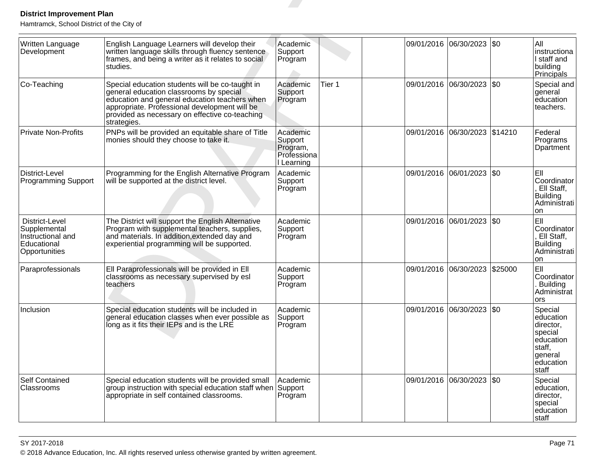| <b>District Improvement Plan</b><br>Hamtramck, School District of the City of       |                                                                                                                                                                                                                                                               |                                                              |        |            |                           |                                                                                                      |
|-------------------------------------------------------------------------------------|---------------------------------------------------------------------------------------------------------------------------------------------------------------------------------------------------------------------------------------------------------------|--------------------------------------------------------------|--------|------------|---------------------------|------------------------------------------------------------------------------------------------------|
| Written Language<br>Development                                                     | English Language Learners will develop their<br>written language skills through fluency sentence<br>frames, and being a writer as it relates to social<br>studies.                                                                                            | Academic<br>Support<br>Program                               |        | 09/01/2016 | 06/30/2023 \\$0           | All<br>instructiona<br>I staff and<br>building<br>Principals                                         |
| Co-Teaching                                                                         | Special education students will be co-taught in<br>general education classrooms by special<br>education and general education teachers when<br>appropriate. Professional development will be<br>provided as necessary on effective co-teaching<br>strategies. | Academic<br>Support<br>Program                               | Tier 1 |            | 09/01/2016 06/30/2023 \$0 | Special and<br>general<br>education<br>teachers.                                                     |
| <b>Private Non-Profits</b>                                                          | PNPs will be provided an equitable share of Title<br>monies should they choose to take it.                                                                                                                                                                    | Academic<br>Support<br>Program,<br>Professiona<br>I Learning |        | 09/01/2016 | 06/30/2023 \$14210        | Federal<br>Programs<br>Dpartment                                                                     |
| District-Level<br><b>Programming Support</b>                                        | Programming for the English Alternative Program<br>will be supported at the district level.                                                                                                                                                                   | Academic<br>Support<br>Program                               |        |            | 09/01/2016 06/01/2023 \$0 | EII<br>Coordinator<br>Ell Staff,<br>Building<br>Administrati<br>on                                   |
| District-Level<br>Supplemental<br>Instructional and<br>Educational<br>Opportunities | The District will support the English Alternative<br>Program with supplemental teachers, supplies,<br>and materials. In addition, extended day and<br>experiential programming will be supported.                                                             | Academic<br>Support<br>Program                               |        |            | 09/01/2016 06/01/2023 \$0 | EII<br>Coordinator<br>, Ell Staff,<br>Building<br>Administrati<br>lon                                |
| Paraprofessionals                                                                   | Ell Paraprofessionals will be provided in Ell<br>classrooms as necessary supervised by esl<br>teachers                                                                                                                                                        | Academic<br>Support<br>Program                               |        | 09/01/2016 | 06/30/2023 \$25000        | EII<br>Coordinator<br>. Building<br>Administrat<br>lors                                              |
| Inclusion                                                                           | Special education students will be included in<br>general education classes when ever possible as<br>long as it fits their IEPs and is the LRE                                                                                                                | Academic<br>Support<br>Program                               |        | 09/01/2016 | 06/30/2023 \\$0           | Special<br>education<br>airector,<br>special<br>education<br>staff,<br>general<br>education<br>staff |
| <b>Self Contained</b><br>Classrooms                                                 | Special education students will be provided small<br>group instruction with special education staff when<br>appropriate in self contained classrooms.                                                                                                         | Academic<br>Support<br>Program                               |        |            | 09/01/2016 06/30/2023 \$0 | Special<br>education,<br>director,<br> special<br>education<br>staff                                 |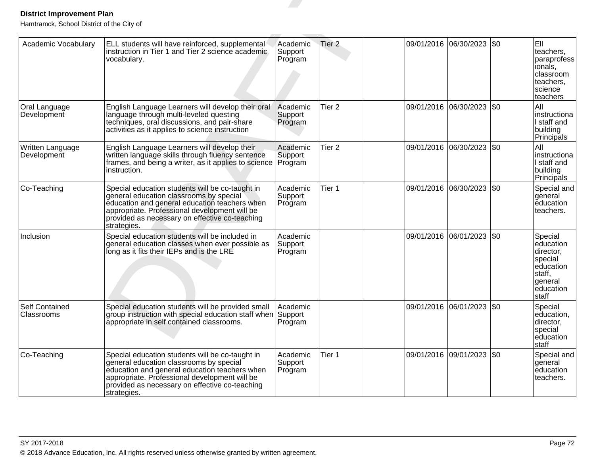| <b>District Improvement Plan</b>                                 |                                                                                                                                                                                                                                                               |                                |                   |            |                       |           |                                                                                                             |
|------------------------------------------------------------------|---------------------------------------------------------------------------------------------------------------------------------------------------------------------------------------------------------------------------------------------------------------|--------------------------------|-------------------|------------|-----------------------|-----------|-------------------------------------------------------------------------------------------------------------|
| Hamtramck, School District of the City of<br>Academic Vocabulary | ELL students will have reinforced, supplemental<br>instruction in Tier 1 and Tier 2 science academic<br>vocabulary.                                                                                                                                           | Academic<br>Support<br>Program | Tier <sub>2</sub> | 09/01/2016 | 06/30/2023            | <b>SO</b> | EII<br>teachers,<br>paraprofess<br> ionals,<br>classroom<br>teachers,<br>science<br>teachers                |
| Oral Language<br>Development                                     | English Language Learners will develop their oral<br>language through multi-leveled questing<br>techniques, oral discussions, and pair-share<br>activities as it applies to science instruction                                                               | Academic<br>Support<br>Program | Tier <sub>2</sub> | 09/01/2016 | 06/30/2023            | \$0       | All<br>Instructiona<br>I staff and<br>building<br>Principals                                                |
| Written Language<br>Development                                  | English Language Learners will develop their<br>written language skills through fluency sentence<br>frames, and being a writer, as it applies to science<br>instruction.                                                                                      | Academic<br>Support<br>Program | Tier <sub>2</sub> | 09/01/2016 | 06/30/2023            | \$0       | All<br>Instructiona<br>I staff and<br>building<br>Principals                                                |
| Co-Teaching                                                      | Special education students will be co-taught in<br>general education classrooms by special<br>education and general education teachers when<br>appropriate. Professional development will be<br>provided as necessary on effective co-teaching<br>strategies. | Academic<br>Support<br>Program | Tier 1            | 09/01/2016 | 06/30/2023            | \$0       | Special and<br>general<br>education<br>lteachers.                                                           |
| Inclusion                                                        | Special education students will be included in<br>general education classes when ever possible as<br>long as it fits their IEPs and is the LRE                                                                                                                | Academic<br>Support<br>Program |                   | 09/01/2016 | 06/01/2023            | \$0       | Special<br>education<br>director,<br>special<br>education<br>staff,<br>general<br>education<br><b>Staff</b> |
| <b>Self Contained</b><br>l Classrooms                            | Special education students will be provided small<br>group instruction with special education staff when Support<br>appropriate in self contained classrooms.                                                                                                 | Academic<br>Program            |                   |            | 09/01/2016 06/01/2023 | l\$0      | Special<br>education,<br>Idirector.<br>special<br>education<br>staff                                        |
| Co-Teaching                                                      | Special education students will be co-taught in<br>general education classrooms by special<br>education and general education teachers when<br>appropriate. Professional development will be<br>provided as necessary on effective co-teaching<br>strategies. | Academic<br>Support<br>Program | Tier 1            |            | 09/01/2016 09/01/2023 | \$0       | Special and<br>general<br>education<br>teachers.                                                            |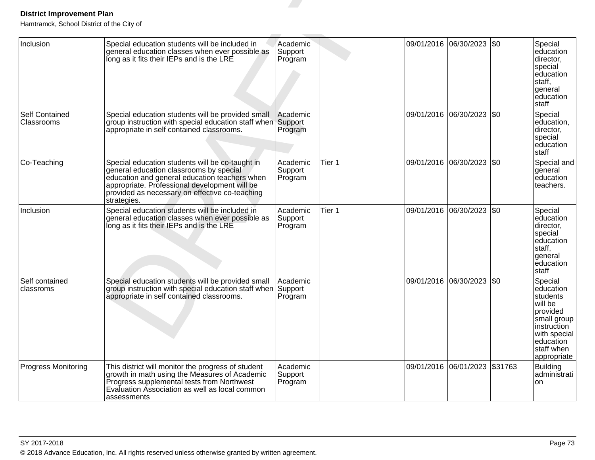| <b>District Improvement Plan</b><br>Hamtramck, School District of the City of |                                                                                                                                                                                                                                                               |                                |        |                       |                               |     |                                                                                                                                                 |
|-------------------------------------------------------------------------------|---------------------------------------------------------------------------------------------------------------------------------------------------------------------------------------------------------------------------------------------------------------|--------------------------------|--------|-----------------------|-------------------------------|-----|-------------------------------------------------------------------------------------------------------------------------------------------------|
| Inclusion                                                                     | Special education students will be included in<br>general education classes when ever possible as<br>long as it fits their IEPs and is the LRE                                                                                                                | Academic<br>Support<br>Program |        | 09/01/2016            | 06/30/2023                    | \$0 | Special<br>education<br>director,<br>special<br>education<br>staff,<br>general<br>education<br>staff                                            |
| <b>Self Contained</b><br>Classrooms                                           | Special education students will be provided small<br>group instruction with special education staff when Support<br>appropriate in self contained classrooms.                                                                                                 | Academic<br>Program            |        | 09/01/2016            | 06/30/2023                    | \$0 | Special<br>education,<br>director,<br>special<br>education<br>staff                                                                             |
| Co-Teaching                                                                   | Special education students will be co-taught in<br>general education classrooms by special<br>education and general education teachers when<br>appropriate. Professional development will be<br>provided as necessary on effective co-teaching<br>strategies. | Academic<br>Support<br>Program | Tier 1 |                       | 09/01/2016 06/30/2023 \$0     |     | Special and<br>general<br>education<br>teachers.                                                                                                |
| Inclusion                                                                     | Special education students will be included in<br>general education classes when ever possible as<br>long as it fits their IEPs and is the LRE                                                                                                                | Academic<br>Support<br>Program | Tier 1 | 09/01/2016 06/30/2023 |                               | \$0 | Special<br>education<br>director,<br>special<br>education<br>staff,<br>general<br>education<br>staff                                            |
| Self contained<br>classroms                                                   | Special education students will be provided small<br>group instruction with special education staff when<br>appropriate in self contained classrooms.                                                                                                         | Academic<br>Support<br>Program |        |                       | 09/01/2016 06/30/2023         | \$0 | Special<br>education<br>students<br>will be<br>provided<br>small group<br>instruction<br>with special<br>education<br>staff when<br>appropriate |
| Progress Monitoring                                                           | This district will monitor the progress of student<br>growth in math using the Measures of Academic<br>Progress supplemental tests from Northwest<br>Evaluation Association as well as local common<br>assessments                                            | Academic<br>Support<br>Program |        |                       | 09/01/2016 06/01/2023 \$31763 |     | <b>Building</b><br>administrati<br>on.                                                                                                          |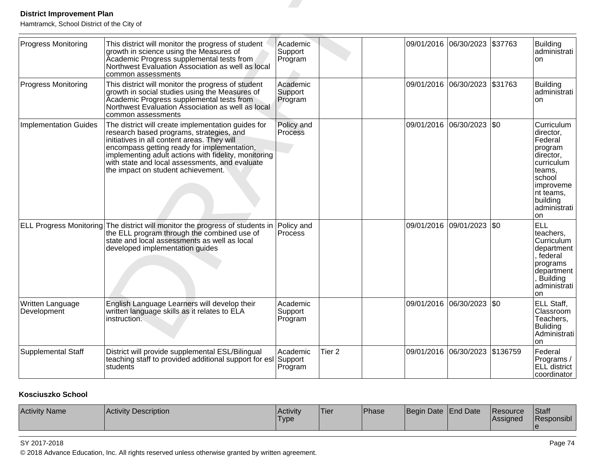| <b>District Improvement Plan</b>                                 |                                                                                                                                                                                                                                                                                                                                              |                                |                   |            |                                |         |                                                                                                                                                           |
|------------------------------------------------------------------|----------------------------------------------------------------------------------------------------------------------------------------------------------------------------------------------------------------------------------------------------------------------------------------------------------------------------------------------|--------------------------------|-------------------|------------|--------------------------------|---------|-----------------------------------------------------------------------------------------------------------------------------------------------------------|
| Hamtramck, School District of the City of<br>Progress Monitoring | This district will monitor the progress of student<br>growth in science using the Measures of<br>Academic Progress supplemental tests from<br>Northwest Evaluation Association as well as local<br>common assessments                                                                                                                        | Academic<br>Support<br>Program |                   |            | 09/01/2016 06/30/2023          | \$37763 | Building<br>administrati<br>on                                                                                                                            |
| Progress Monitoring                                              | This district will monitor the progress of student<br>growth in social studies using the Measures of<br>Academic Progress supplemental tests from<br>Northwest Evaluation Association as well as local<br>common assessments                                                                                                                 | Academic<br>Support<br>Program |                   |            | 09/01/2016 06/30/2023          | \$31763 | <b>Building</b><br>administrati<br>on                                                                                                                     |
| <b>Implementation Guides</b>                                     | The district will create implementation guides for<br>research based programs, strategies, and<br>initiatives in all content areas. They will<br>encompass getting ready for implementation,<br>implementing adult actions with fidelity, monitoring<br>with state and local assessments, and evaluate<br>the impact on student achievement. | Policy and<br><b>Process</b>   |                   | 09/01/2016 | 06/30/2023                     | \$0     | Curriculum<br>director,<br> Federal<br>program<br>director,<br>curriculum<br>teams,<br>school<br>improveme<br>nt teams,<br>building<br>administrati<br>on |
|                                                                  | ELL Progress Monitoring The district will monitor the progress of students in<br>the ELL program through the combined use of<br>state and local assessments as well as local<br>developed implementation guides                                                                                                                              | Policy and<br>Process          |                   |            | 09/01/2016 09/01/2023          | \$0     | <b>ELL</b><br>teachers.<br>Curriculum<br>department<br>, federal<br>programs<br>department<br>Building<br>administrati<br>on                              |
| Written Language<br>Development                                  | English Language Learners will develop their<br>written language skills as it relates to ELA<br>instruction.                                                                                                                                                                                                                                 | Academic<br>Support<br>Program |                   |            | 09/01/2016 06/30/2023          | \$0     | ELL Staff,<br>Classroom<br>Teachers,<br>Buliding<br>Administrati<br><b>on</b>                                                                             |
| Supplemental Staff                                               | District will provide supplemental ESL/Bilingual<br>teaching staff to provided additional support for esl<br>students                                                                                                                                                                                                                        | Academic<br>Support<br>Program | Tier <sub>2</sub> |            | 09/01/2016 06/30/2023 \$136759 |         | Federal<br>Programs /<br>ELL district<br>coordinator                                                                                                      |

### **Kosciuszko School**

| <b>Activity Name</b><br><b>Activity Description</b> | IActivitv<br><b>Type</b> | Tier | Phase | Begin Date End Date |  | <b>IResource</b><br><b>IAssianed</b> | Staff<br>Responsibl |
|-----------------------------------------------------|--------------------------|------|-------|---------------------|--|--------------------------------------|---------------------|
|-----------------------------------------------------|--------------------------|------|-------|---------------------|--|--------------------------------------|---------------------|

### SY 2017-2018

© 2018 Advance Education, Inc. All rights reserved unless otherwise granted by written agreement.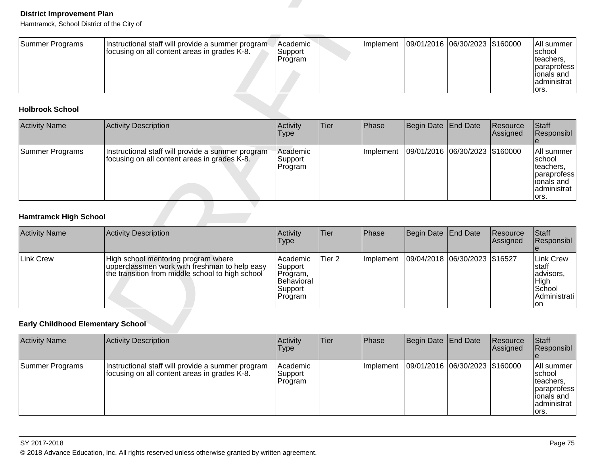| Summer Programs | Instructional staff will provide a summer program<br>focusing on all content areas in grades K-8. | l Academic<br>Support<br>Program |  | Implement   09/01/2016   06/30/2023   \$160000 |  |  | <b>All summer</b><br>Ischool<br>Iteachers.<br><i><b>Iparaprofess</b></i><br>lionals and<br>ladministrat<br>lors. |
|-----------------|---------------------------------------------------------------------------------------------------|----------------------------------|--|------------------------------------------------|--|--|------------------------------------------------------------------------------------------------------------------|
|-----------------|---------------------------------------------------------------------------------------------------|----------------------------------|--|------------------------------------------------|--|--|------------------------------------------------------------------------------------------------------------------|

| <b>District Improvement Plan</b><br>Hamtramck, School District of the City of |                                                                                                                                          |                                                                     |                   |           |                     |                                |                      |                                                                                       |
|-------------------------------------------------------------------------------|------------------------------------------------------------------------------------------------------------------------------------------|---------------------------------------------------------------------|-------------------|-----------|---------------------|--------------------------------|----------------------|---------------------------------------------------------------------------------------|
| <b>Summer Programs</b>                                                        | Instructional staff will provide a summer program.<br>focusing on all content areas in grades K-8.                                       | Academic<br>Support<br>Program                                      |                   | Implement |                     | 09/01/2016 06/30/2023 \$160000 |                      | All summer<br>school<br>teachers,<br>paraprofess<br>ionals and<br>administrat<br>ors. |
| <b>Holbrook School</b>                                                        |                                                                                                                                          |                                                                     |                   |           |                     |                                |                      |                                                                                       |
| <b>Activity Name</b>                                                          | <b>Activity Description</b>                                                                                                              | Activity<br><b>Type</b>                                             | <b>Tier</b>       | Phase     | <b>Begin Date</b>   | End Date                       | Resource<br>Assigned | <b>Staff</b><br>Responsibl<br>e                                                       |
| <b>Summer Programs</b>                                                        | Instructional staff will provide a summer program<br>focusing on all content areas in grades K-8.                                        | Academic<br>Support<br>Program                                      |                   | Implement | 09/01/2016          | 06/30/2023                     | \$160000             | All summer<br>school<br>teachers,<br>paraprofess<br>ionals and<br>administrat<br>ors. |
| <b>Hamtramck High School</b>                                                  |                                                                                                                                          |                                                                     |                   |           |                     |                                |                      |                                                                                       |
| <b>Activity Name</b>                                                          | <b>Activity Description</b>                                                                                                              | Activity<br><b>Type</b>                                             | <b>Tier</b>       | Phase     | <b>Begin Date</b>   | <b>End Date</b>                | Resource<br>Assigned | <b>Staff</b><br>Responsibl                                                            |
| <b>Link Crew</b>                                                              | High school mentoring program where<br>upperclassmen work with freshman to help easy<br>the transition from middle school to high school | Academic<br>Support<br>Program,<br>Behavioral<br>Support<br>Program | Tier <sub>2</sub> | Implement |                     | 09/04/2018 06/30/2023 \$16527  |                      | <b>Link Crew</b><br>staff<br>advisors,<br>High<br>School<br>Administrati<br><b>on</b> |
| <b>Early Childhood Elementary School</b>                                      |                                                                                                                                          |                                                                     |                   |           |                     |                                |                      |                                                                                       |
| <b>Activity Name</b>                                                          | <b>Activity Description</b>                                                                                                              | Activity                                                            | Tier              | Phase     | Begin Date End Date |                                | Resource             | Staff                                                                                 |

| <b>Activity Name</b> | Activity Description                                                                                                                     | Activity<br><b>Type</b>                                                       | <b>Tier</b> | <b>Phase</b>      | Begin Date   End Date |                               | Resource<br><b>Assigned</b> | <b>Staff</b><br>Responsibl                                                  |
|----------------------|------------------------------------------------------------------------------------------------------------------------------------------|-------------------------------------------------------------------------------|-------------|-------------------|-----------------------|-------------------------------|-----------------------------|-----------------------------------------------------------------------------|
| Link Crew            | High school mentoring program where<br>upperclassmen work with freshman to help easy<br>the transition from middle school to high school | l Academic<br>Support<br>Program,<br><b>IBehavioral</b><br>Support<br>Program | lTier 2     | <b>Ilmplement</b> |                       | 09/04/2018 06/30/2023 \$16527 |                             | Link Crew<br>∣staff<br>advisors,<br>High<br>School<br>Administrati l<br>Ion |

| <b>Activity Name</b> | Activity Description                                                                              | Activity<br><b>Type</b>        | Tier | Phase     | Begin Date End Date |                                | Resource<br><b>Assigned</b> | Staff<br>Responsibl                                                                                    |
|----------------------|---------------------------------------------------------------------------------------------------|--------------------------------|------|-----------|---------------------|--------------------------------|-----------------------------|--------------------------------------------------------------------------------------------------------|
| Summer Programs      | Instructional staff will provide a summer program<br>focusing on all content areas in grades K-8. | Academic<br>Support<br>Program |      | Implement |                     | 09/01/2016 06/30/2023 \$160000 |                             | All summer<br>Ischool<br>teachers.<br><i><b>paraprofess</b></i><br>lionals and<br>administrat<br>lors. |